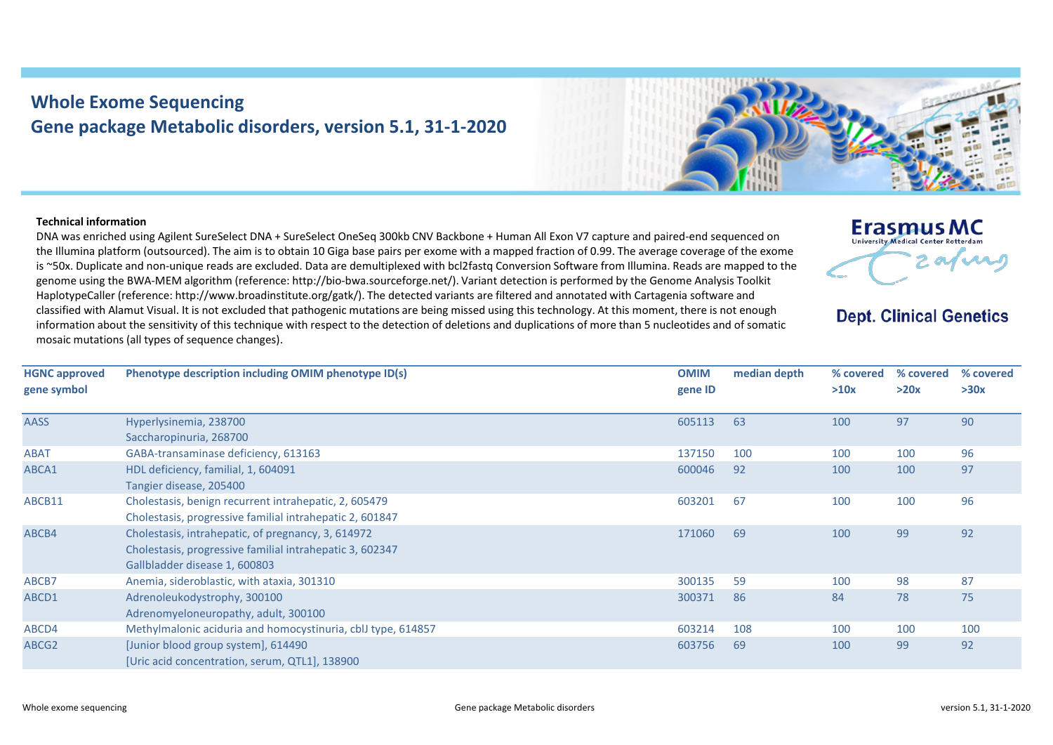## **Whole Exome Sequencing Gene package Metabolic disorders, version 5.1, 31-1-2020**

## **Technical information**

DNA was enriched using Agilent SureSelect DNA + SureSelect OneSeq 300kb CNV Backbone + Human All Exon V7 capture and paired-end sequenced on the Illumina platform (outsourced). The aim is to obtain 10 Giga base pairs per exome with a mapped fraction of 0.99. The average coverage of the exome is ~50x. Duplicate and non-unique reads are excluded. Data are demultiplexed with bcl2fastq Conversion Software from Illumina. Reads are mapped to the genome using the BWA-MEM algorithm (reference: http://bio-bwa.sourceforge.net/). Variant detection is performed by the Genome Analysis Toolkit HaplotypeCaller (reference: http://www.broadinstitute.org/gatk/). The detected variants are filtered and annotated with Cartagenia software and classified with Alamut Visual. It is not excluded that pathogenic mutations are being missed using this technology. At this moment, there is not enough information about the sensitivity of this technique with respect to the detection of deletions and duplications of more than 5 nucleotides and of somatic mosaic mutations (all types of sequence changes).



## **Dept. Clinical Genetics**

| <b>HGNC approved</b> | Phenotype description including OMIM phenotype ID(s)         | <b>OMIM</b> | median depth | % covered | % covered | % covered |
|----------------------|--------------------------------------------------------------|-------------|--------------|-----------|-----------|-----------|
| gene symbol          |                                                              | gene ID     |              | >10x      | >20x      | >30x      |
|                      |                                                              |             |              |           |           |           |
| <b>AASS</b>          | Hyperlysinemia, 238700                                       | 605113      | 63           | 100       | 97        | 90        |
|                      | Saccharopinuria, 268700                                      |             |              |           |           |           |
| <b>ABAT</b>          | GABA-transaminase deficiency, 613163                         | 137150      | 100          | 100       | 100       | 96        |
| ABCA1                | HDL deficiency, familial, 1, 604091                          | 600046      | 92           | 100       | 100       | 97        |
|                      | Tangier disease, 205400                                      |             |              |           |           |           |
| ABCB11               | Cholestasis, benign recurrent intrahepatic, 2, 605479        | 603201      | 67           | 100       | 100       | 96        |
|                      | Cholestasis, progressive familial intrahepatic 2, 601847     |             |              |           |           |           |
| ABCB4                | Cholestasis, intrahepatic, of pregnancy, 3, 614972           | 171060      | 69           | 100       | 99        | 92        |
|                      | Cholestasis, progressive familial intrahepatic 3, 602347     |             |              |           |           |           |
|                      | Gallbladder disease 1, 600803                                |             |              |           |           |           |
| ABCB7                | Anemia, sideroblastic, with ataxia, 301310                   | 300135      | 59           | 100       | 98        | 87        |
| ABCD1                | Adrenoleukodystrophy, 300100                                 | 300371      | 86           | 84        | 78        | 75        |
|                      | Adrenomyeloneuropathy, adult, 300100                         |             |              |           |           |           |
| ABCD4                | Methylmalonic aciduria and homocystinuria, cblJ type, 614857 | 603214      | 108          | 100       | 100       | 100       |
| ABCG2                | [Junior blood group system], 614490                          | 603756      | 69           | 100       | 99        | 92        |
|                      | [Uric acid concentration, serum, QTL1], 138900               |             |              |           |           |           |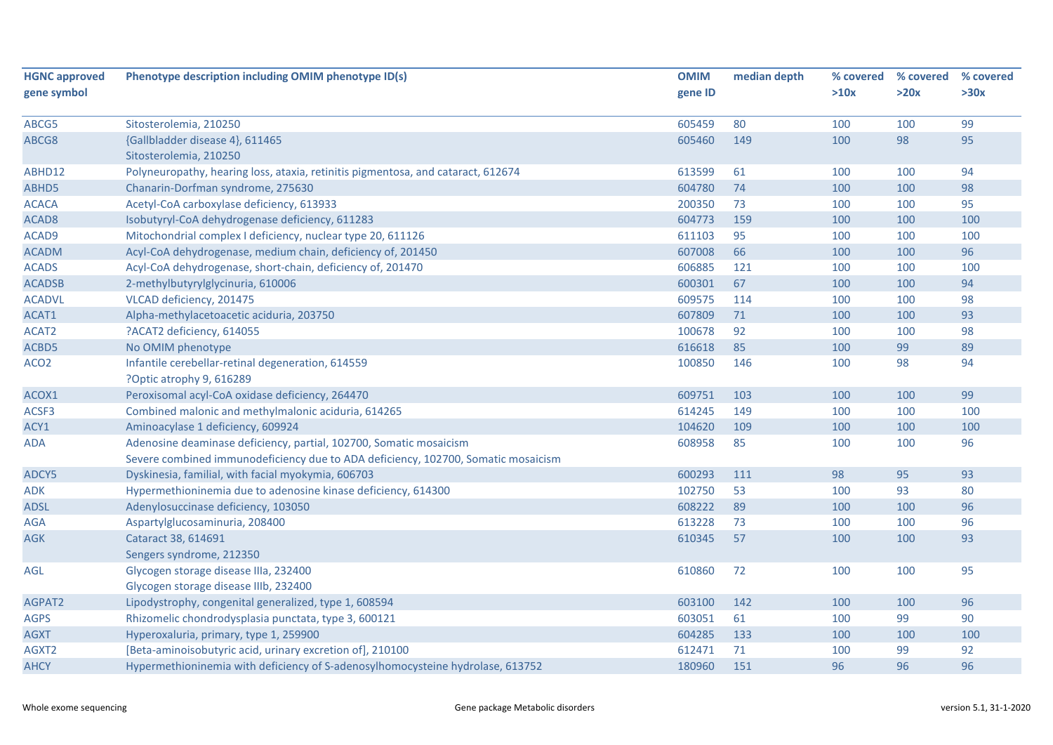| <b>HGNC approved</b> | Phenotype description including OMIM phenotype ID(s)                              | <b>OMIM</b> | median depth | % covered | % covered | % covered |
|----------------------|-----------------------------------------------------------------------------------|-------------|--------------|-----------|-----------|-----------|
| gene symbol          |                                                                                   | gene ID     |              | >10x      | >20x      | >30x      |
| ABCG5                | Sitosterolemia, 210250                                                            | 605459      | 80           | 100       | 100       | 99        |
| ABCG8                | {Gallbladder disease 4}, 611465                                                   | 605460      | 149          | 100       | 98        | 95        |
|                      | Sitosterolemia, 210250                                                            |             |              |           |           |           |
| ABHD12               | Polyneuropathy, hearing loss, ataxia, retinitis pigmentosa, and cataract, 612674  | 613599      | 61           | 100       | 100       | 94        |
| ABHD5                | Chanarin-Dorfman syndrome, 275630                                                 | 604780      | 74           | 100       | 100       | 98        |
| <b>ACACA</b>         | Acetyl-CoA carboxylase deficiency, 613933                                         | 200350      | 73           | 100       | 100       | 95        |
| ACAD <sub>8</sub>    | Isobutyryl-CoA dehydrogenase deficiency, 611283                                   | 604773      | 159          | 100       | 100       | 100       |
| ACAD9                | Mitochondrial complex I deficiency, nuclear type 20, 611126                       | 611103      | 95           | 100       | 100       | 100       |
| <b>ACADM</b>         | Acyl-CoA dehydrogenase, medium chain, deficiency of, 201450                       | 607008      | 66           | 100       | 100       | 96        |
| <b>ACADS</b>         | Acyl-CoA dehydrogenase, short-chain, deficiency of, 201470                        | 606885      | 121          | 100       | 100       | 100       |
| <b>ACADSB</b>        | 2-methylbutyrylglycinuria, 610006                                                 | 600301      | 67           | 100       | 100       | 94        |
| <b>ACADVL</b>        | VLCAD deficiency, 201475                                                          | 609575      | 114          | 100       | 100       | 98        |
| ACAT1                | Alpha-methylacetoacetic aciduria, 203750                                          | 607809      | 71           | 100       | 100       | 93        |
| ACAT2                | ?ACAT2 deficiency, 614055                                                         | 100678      | 92           | 100       | 100       | 98        |
| ACBD5                | No OMIM phenotype                                                                 | 616618      | 85           | 100       | 99        | 89        |
| ACO <sub>2</sub>     | Infantile cerebellar-retinal degeneration, 614559                                 | 100850      | 146          | 100       | 98        | 94        |
|                      | ?Optic atrophy 9, 616289                                                          |             |              |           |           |           |
| ACOX1                | Peroxisomal acyl-CoA oxidase deficiency, 264470                                   | 609751      | 103          | 100       | 100       | 99        |
| ACSF3                | Combined malonic and methylmalonic aciduria, 614265                               | 614245      | 149          | 100       | 100       | 100       |
| ACY1                 | Aminoacylase 1 deficiency, 609924                                                 | 104620      | 109          | 100       | 100       | 100       |
| <b>ADA</b>           | Adenosine deaminase deficiency, partial, 102700, Somatic mosaicism                | 608958      | 85           | 100       | 100       | 96        |
|                      | Severe combined immunodeficiency due to ADA deficiency, 102700, Somatic mosaicism |             |              |           |           |           |
| ADCY5                | Dyskinesia, familial, with facial myokymia, 606703                                | 600293      | 111          | 98        | 95        | 93        |
| ADK                  | Hypermethioninemia due to adenosine kinase deficiency, 614300                     | 102750      | 53           | 100       | 93        | 80        |
| <b>ADSL</b>          | Adenylosuccinase deficiency, 103050                                               | 608222      | 89           | 100       | 100       | 96        |
| <b>AGA</b>           | Aspartylglucosaminuria, 208400                                                    | 613228      | 73           | 100       | 100       | 96        |
| <b>AGK</b>           | Cataract 38, 614691                                                               | 610345      | 57           | 100       | 100       | 93        |
|                      | Sengers syndrome, 212350                                                          |             |              |           |           |           |
| AGL                  | Glycogen storage disease IIIa, 232400                                             | 610860      | 72           | 100       | 100       | 95        |
|                      | Glycogen storage disease IIIb, 232400                                             |             |              |           |           |           |
| AGPAT2               | Lipodystrophy, congenital generalized, type 1, 608594                             | 603100      | 142          | 100       | 100       | 96        |
| <b>AGPS</b>          | Rhizomelic chondrodysplasia punctata, type 3, 600121                              | 603051      | 61           | 100       | 99        | 90        |
| <b>AGXT</b>          | Hyperoxaluria, primary, type 1, 259900                                            | 604285      | 133          | 100       | 100       | 100       |
| AGXT2                | [Beta-aminoisobutyric acid, urinary excretion of], 210100                         | 612471      | 71           | 100       | 99        | 92        |
| <b>AHCY</b>          | Hypermethioninemia with deficiency of S-adenosylhomocysteine hydrolase, 613752    | 180960      | 151          | 96        | 96        | 96        |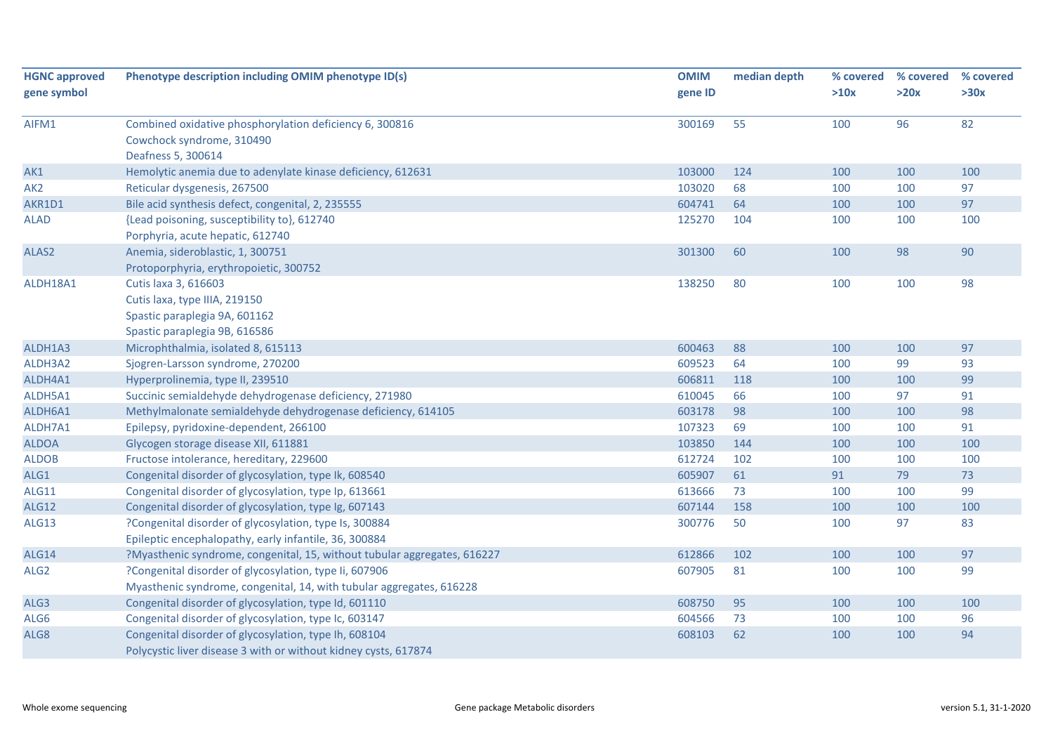| <b>HGNC approved</b> | Phenotype description including OMIM phenotype ID(s)                     | <b>OMIM</b> | median depth | % covered | % covered | % covered |
|----------------------|--------------------------------------------------------------------------|-------------|--------------|-----------|-----------|-----------|
| gene symbol          |                                                                          | gene ID     |              | >10x      | >20x      | >30x      |
| AIFM1                | Combined oxidative phosphorylation deficiency 6, 300816                  | 300169      | 55           | 100       | 96        | 82        |
|                      | Cowchock syndrome, 310490                                                |             |              |           |           |           |
|                      | Deafness 5, 300614                                                       |             |              |           |           |           |
| AK1                  | Hemolytic anemia due to adenylate kinase deficiency, 612631              | 103000      | 124          | 100       | 100       | 100       |
| AK <sub>2</sub>      | Reticular dysgenesis, 267500                                             | 103020      | 68           | 100       | 100       | 97        |
| AKR1D1               | Bile acid synthesis defect, congenital, 2, 235555                        | 604741      | 64           | 100       | 100       | 97        |
| <b>ALAD</b>          | {Lead poisoning, susceptibility to}, 612740                              | 125270      | 104          | 100       | 100       | 100       |
|                      | Porphyria, acute hepatic, 612740                                         |             |              |           |           |           |
| ALAS2                | Anemia, sideroblastic, 1, 300751                                         | 301300      | 60           | 100       | 98        | 90        |
|                      | Protoporphyria, erythropoietic, 300752                                   |             |              |           |           |           |
| ALDH18A1             | Cutis laxa 3, 616603                                                     | 138250      | 80           | 100       | 100       | 98        |
|                      | Cutis laxa, type IIIA, 219150                                            |             |              |           |           |           |
|                      | Spastic paraplegia 9A, 601162                                            |             |              |           |           |           |
|                      | Spastic paraplegia 9B, 616586                                            |             |              |           |           |           |
| ALDH1A3              | Microphthalmia, isolated 8, 615113                                       | 600463      | 88           | 100       | 100       | 97        |
| ALDH3A2              | Sjogren-Larsson syndrome, 270200                                         | 609523      | 64           | 100       | 99        | 93        |
| ALDH4A1              | Hyperprolinemia, type II, 239510                                         | 606811      | 118          | 100       | 100       | 99        |
| ALDH5A1              | Succinic semialdehyde dehydrogenase deficiency, 271980                   | 610045      | 66           | 100       | 97        | 91        |
| ALDH6A1              | Methylmalonate semialdehyde dehydrogenase deficiency, 614105             | 603178      | 98           | 100       | 100       | 98        |
| ALDH7A1              | Epilepsy, pyridoxine-dependent, 266100                                   | 107323      | 69           | 100       | 100       | 91        |
| <b>ALDOA</b>         | Glycogen storage disease XII, 611881                                     | 103850      | 144          | 100       | 100       | 100       |
| <b>ALDOB</b>         | Fructose intolerance, hereditary, 229600                                 | 612724      | 102          | 100       | 100       | 100       |
| ALG1                 | Congenital disorder of glycosylation, type Ik, 608540                    | 605907      | 61           | 91        | 79        | 73        |
| ALG11                | Congenital disorder of glycosylation, type Ip, 613661                    | 613666      | 73           | 100       | 100       | 99        |
| ALG12                | Congenital disorder of glycosylation, type Ig, 607143                    | 607144      | 158          | 100       | 100       | 100       |
| ALG13                | ?Congenital disorder of glycosylation, type Is, 300884                   | 300776      | 50           | 100       | 97        | 83        |
|                      | Epileptic encephalopathy, early infantile, 36, 300884                    |             |              |           |           |           |
| ALG14                | ?Myasthenic syndrome, congenital, 15, without tubular aggregates, 616227 | 612866      | 102          | 100       | 100       | 97        |
| ALG <sub>2</sub>     | ?Congenital disorder of glycosylation, type Ii, 607906                   | 607905      | 81           | 100       | 100       | 99        |
|                      | Myasthenic syndrome, congenital, 14, with tubular aggregates, 616228     |             |              |           |           |           |
| ALG3                 | Congenital disorder of glycosylation, type Id, 601110                    | 608750      | 95           | 100       | 100       | 100       |
| ALG6                 | Congenital disorder of glycosylation, type Ic, 603147                    | 604566      | 73           | 100       | 100       | 96        |
| ALG8                 | Congenital disorder of glycosylation, type Ih, 608104                    | 608103      | 62           | 100       | 100       | 94        |
|                      | Polycystic liver disease 3 with or without kidney cysts, 617874          |             |              |           |           |           |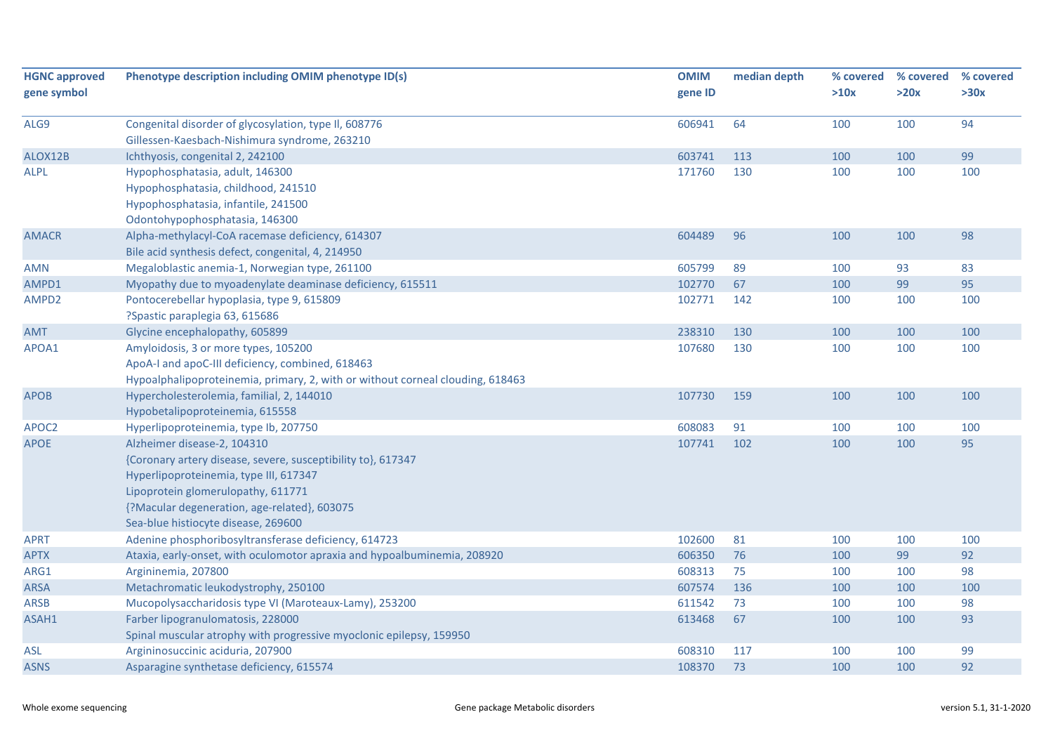| <b>HGNC approved</b> | Phenotype description including OMIM phenotype ID(s)                           | <b>OMIM</b> | median depth | % covered | % covered | % covered |
|----------------------|--------------------------------------------------------------------------------|-------------|--------------|-----------|-----------|-----------|
| gene symbol          |                                                                                | gene ID     |              | >10x      | >20x      | >30x      |
| ALG9                 | Congenital disorder of glycosylation, type II, 608776                          | 606941      | 64           | 100       | 100       | 94        |
|                      | Gillessen-Kaesbach-Nishimura syndrome, 263210                                  |             |              |           |           |           |
| ALOX12B              | Ichthyosis, congenital 2, 242100                                               | 603741      | 113          | 100       | 100       | 99        |
| <b>ALPL</b>          | Hypophosphatasia, adult, 146300                                                | 171760      | 130          | 100       | 100       | 100       |
|                      | Hypophosphatasia, childhood, 241510                                            |             |              |           |           |           |
|                      | Hypophosphatasia, infantile, 241500                                            |             |              |           |           |           |
|                      | Odontohypophosphatasia, 146300                                                 |             |              |           |           |           |
| <b>AMACR</b>         | Alpha-methylacyl-CoA racemase deficiency, 614307                               | 604489      | 96           | 100       | 100       | 98        |
|                      | Bile acid synthesis defect, congenital, 4, 214950                              |             |              |           |           |           |
| <b>AMN</b>           | Megaloblastic anemia-1, Norwegian type, 261100                                 | 605799      | 89           | 100       | 93        | 83        |
| AMPD1                | Myopathy due to myoadenylate deaminase deficiency, 615511                      | 102770      | 67           | 100       | 99        | 95        |
| AMPD2                | Pontocerebellar hypoplasia, type 9, 615809                                     | 102771      | 142          | 100       | 100       | 100       |
|                      | ?Spastic paraplegia 63, 615686                                                 |             |              |           |           |           |
| <b>AMT</b>           | Glycine encephalopathy, 605899                                                 | 238310      | 130          | 100       | 100       | 100       |
| APOA1                | Amyloidosis, 3 or more types, 105200                                           | 107680      | 130          | 100       | 100       | 100       |
|                      | ApoA-I and apoC-III deficiency, combined, 618463                               |             |              |           |           |           |
|                      | Hypoalphalipoproteinemia, primary, 2, with or without corneal clouding, 618463 |             |              |           |           |           |
| <b>APOB</b>          | Hypercholesterolemia, familial, 2, 144010                                      | 107730      | 159          | 100       | 100       | 100       |
|                      | Hypobetalipoproteinemia, 615558                                                |             |              |           |           |           |
| APOC2                | Hyperlipoproteinemia, type lb, 207750                                          | 608083      | 91           | 100       | 100       | 100       |
| <b>APOE</b>          | Alzheimer disease-2, 104310                                                    | 107741      | 102          | 100       | 100       | 95        |
|                      | {Coronary artery disease, severe, susceptibility to}, 617347                   |             |              |           |           |           |
|                      | Hyperlipoproteinemia, type III, 617347                                         |             |              |           |           |           |
|                      | Lipoprotein glomerulopathy, 611771                                             |             |              |           |           |           |
|                      | {?Macular degeneration, age-related}, 603075                                   |             |              |           |           |           |
|                      | Sea-blue histiocyte disease, 269600                                            |             |              |           |           |           |
| <b>APRT</b>          | Adenine phosphoribosyltransferase deficiency, 614723                           | 102600      | 81           | 100       | 100       | 100       |
| <b>APTX</b>          | Ataxia, early-onset, with oculomotor apraxia and hypoalbuminemia, 208920       | 606350      | 76           | 100       | 99        | 92        |
| ARG1                 | Argininemia, 207800                                                            | 608313      | 75           | 100       | 100       | 98        |
| <b>ARSA</b>          | Metachromatic leukodystrophy, 250100                                           | 607574      | 136          | 100       | 100       | 100       |
| <b>ARSB</b>          | Mucopolysaccharidosis type VI (Maroteaux-Lamy), 253200                         | 611542      | 73           | 100       | 100       | 98        |
| ASAH1                | Farber lipogranulomatosis, 228000                                              | 613468      | 67           | 100       | 100       | 93        |
|                      | Spinal muscular atrophy with progressive myoclonic epilepsy, 159950            |             |              |           |           |           |
| <b>ASL</b>           | Argininosuccinic aciduria, 207900                                              | 608310      | 117          | 100       | 100       | 99        |
| <b>ASNS</b>          | Asparagine synthetase deficiency, 615574                                       | 108370      | 73           | 100       | 100       | 92        |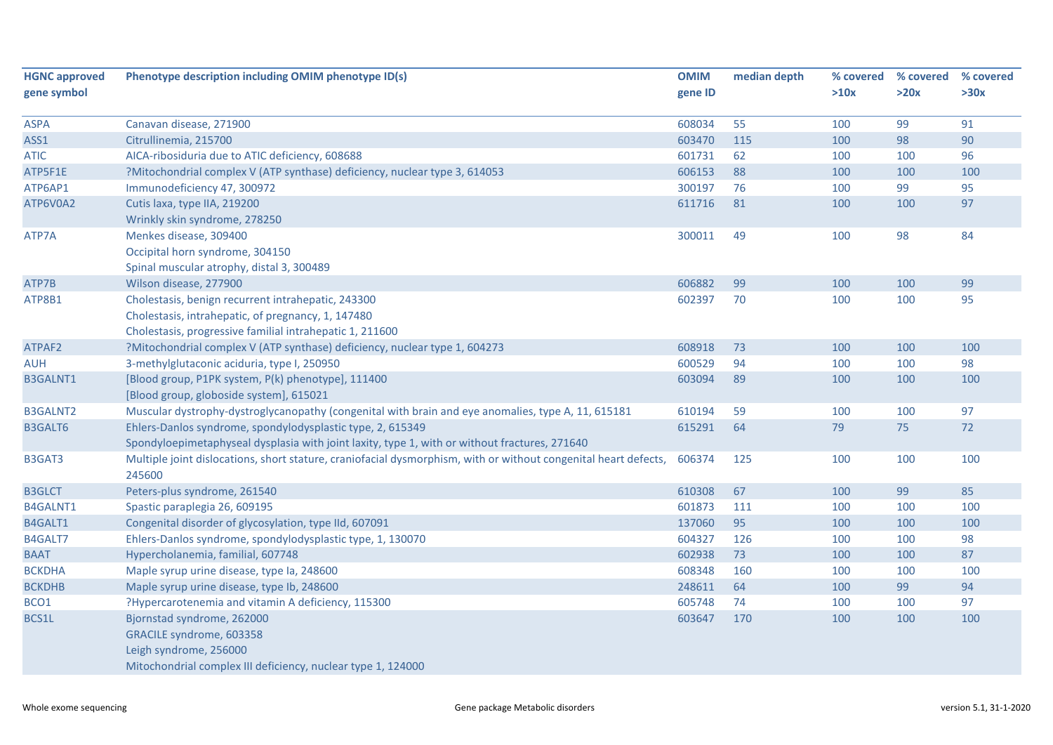| <b>HGNC approved</b> | Phenotype description including OMIM phenotype ID(s)                                                            | <b>OMIM</b> | median depth | % covered | % covered | % covered |
|----------------------|-----------------------------------------------------------------------------------------------------------------|-------------|--------------|-----------|-----------|-----------|
| gene symbol          |                                                                                                                 | gene ID     |              | >10x      | >20x      | >30x      |
| <b>ASPA</b>          | Canavan disease, 271900                                                                                         | 608034      | 55           | 100       | 99        | 91        |
| ASS1                 | Citrullinemia, 215700                                                                                           | 603470      | 115          | 100       | 98        | 90        |
| <b>ATIC</b>          | AICA-ribosiduria due to ATIC deficiency, 608688                                                                 | 601731      | 62           | 100       | 100       | 96        |
| ATP5F1E              | ?Mitochondrial complex V (ATP synthase) deficiency, nuclear type 3, 614053                                      | 606153      | 88           | 100       | 100       | 100       |
| ATP6AP1              | Immunodeficiency 47, 300972                                                                                     | 300197      | 76           | 100       | 99        | 95        |
| ATP6V0A2             | Cutis laxa, type IIA, 219200                                                                                    | 611716      | 81           | 100       | 100       | 97        |
|                      | Wrinkly skin syndrome, 278250                                                                                   |             |              |           |           |           |
| ATP7A                | Menkes disease, 309400                                                                                          | 300011      | 49           | 100       | 98        | 84        |
|                      | Occipital horn syndrome, 304150                                                                                 |             |              |           |           |           |
|                      | Spinal muscular atrophy, distal 3, 300489                                                                       |             |              |           |           |           |
| ATP7B                | Wilson disease, 277900                                                                                          | 606882      | 99           | 100       | 100       | 99        |
| ATP8B1               | Cholestasis, benign recurrent intrahepatic, 243300                                                              | 602397      | 70           | 100       | 100       | 95        |
|                      | Cholestasis, intrahepatic, of pregnancy, 1, 147480                                                              |             |              |           |           |           |
|                      | Cholestasis, progressive familial intrahepatic 1, 211600                                                        |             |              |           |           |           |
| ATPAF2               | ?Mitochondrial complex V (ATP synthase) deficiency, nuclear type 1, 604273                                      | 608918      | 73           | 100       | 100       | 100       |
| <b>AUH</b>           | 3-methylglutaconic aciduria, type I, 250950                                                                     | 600529      | 94           | 100       | 100       | 98        |
| <b>B3GALNT1</b>      | [Blood group, P1PK system, P(k) phenotype], 111400                                                              | 603094      | 89           | 100       | 100       | 100       |
|                      | [Blood group, globoside system], 615021                                                                         |             |              |           |           |           |
| <b>B3GALNT2</b>      | Muscular dystrophy-dystroglycanopathy (congenital with brain and eye anomalies, type A, 11, 615181              | 610194      | 59           | 100       | 100       | 97        |
| B3GALT6              | Ehlers-Danlos syndrome, spondylodysplastic type, 2, 615349                                                      | 615291      | 64           | 79        | 75        | 72        |
|                      | Spondyloepimetaphyseal dysplasia with joint laxity, type 1, with or without fractures, 271640                   |             |              |           |           |           |
| B3GAT3               | Multiple joint dislocations, short stature, craniofacial dysmorphism, with or without congenital heart defects, | 606374      | 125          | 100       | 100       | 100       |
|                      | 245600                                                                                                          |             |              |           |           |           |
| <b>B3GLCT</b>        | Peters-plus syndrome, 261540                                                                                    | 610308      | 67           | 100       | 99        | 85        |
| B4GALNT1             | Spastic paraplegia 26, 609195                                                                                   | 601873      | 111          | 100       | 100       | 100       |
| B4GALT1              | Congenital disorder of glycosylation, type IId, 607091                                                          | 137060      | 95           | 100       | 100       | 100       |
| B4GALT7              | Ehlers-Danlos syndrome, spondylodysplastic type, 1, 130070                                                      | 604327      | 126          | 100       | 100       | 98        |
| <b>BAAT</b>          | Hypercholanemia, familial, 607748                                                                               | 602938      | 73           | 100       | 100       | 87        |
| <b>BCKDHA</b>        | Maple syrup urine disease, type Ia, 248600                                                                      | 608348      | 160          | 100       | 100       | 100       |
| <b>BCKDHB</b>        | Maple syrup urine disease, type lb, 248600                                                                      | 248611      | 64           | 100       | 99        | 94        |
| BCO1                 | ?Hypercarotenemia and vitamin A deficiency, 115300                                                              | 605748      | 74           | 100       | 100       | 97        |
| BCS1L                | Bjornstad syndrome, 262000                                                                                      | 603647      | 170          | 100       | 100       | 100       |
|                      | GRACILE syndrome, 603358                                                                                        |             |              |           |           |           |
|                      | Leigh syndrome, 256000                                                                                          |             |              |           |           |           |
|                      | Mitochondrial complex III deficiency, nuclear type 1, 124000                                                    |             |              |           |           |           |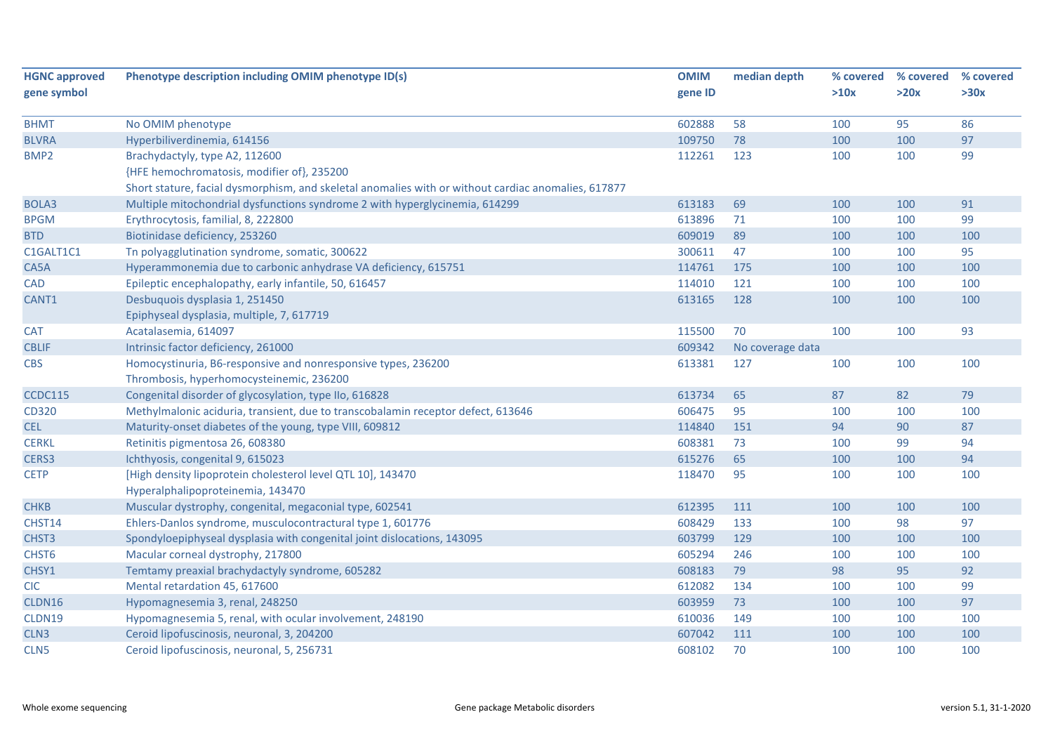| <b>HGNC approved</b><br>gene symbol | Phenotype description including OMIM phenotype ID(s)                                                | <b>OMIM</b><br>gene ID | median depth     | % covered<br>>10x | % covered<br>>20x | % covered<br>>30x |
|-------------------------------------|-----------------------------------------------------------------------------------------------------|------------------------|------------------|-------------------|-------------------|-------------------|
| <b>BHMT</b>                         | No OMIM phenotype                                                                                   | 602888                 | 58               | 100               | 95                | 86                |
| <b>BLVRA</b>                        | Hyperbiliverdinemia, 614156                                                                         | 109750                 | 78               | 100               | 100               | 97                |
| BMP <sub>2</sub>                    | Brachydactyly, type A2, 112600                                                                      | 112261                 | 123              | 100               | 100               | 99                |
|                                     | {HFE hemochromatosis, modifier of}, 235200                                                          |                        |                  |                   |                   |                   |
|                                     | Short stature, facial dysmorphism, and skeletal anomalies with or without cardiac anomalies, 617877 |                        |                  |                   |                   |                   |
| <b>BOLA3</b>                        | Multiple mitochondrial dysfunctions syndrome 2 with hyperglycinemia, 614299                         | 613183                 | 69               | 100               | 100               | 91                |
| <b>BPGM</b>                         | Erythrocytosis, familial, 8, 222800                                                                 | 613896                 | 71               | 100               | 100               | 99                |
| <b>BTD</b>                          | Biotinidase deficiency, 253260                                                                      | 609019                 | 89               | 100               | 100               | 100               |
| C1GALT1C1                           | Tn polyagglutination syndrome, somatic, 300622                                                      | 300611                 | 47               | 100               | 100               | 95                |
| CA5A                                | Hyperammonemia due to carbonic anhydrase VA deficiency, 615751                                      | 114761                 | 175              | 100               | 100               | 100               |
| <b>CAD</b>                          | Epileptic encephalopathy, early infantile, 50, 616457                                               | 114010                 | 121              | 100               | 100               | 100               |
| CANT1                               | Desbuquois dysplasia 1, 251450                                                                      | 613165                 | 128              | 100               | 100               | 100               |
|                                     | Epiphyseal dysplasia, multiple, 7, 617719                                                           |                        |                  |                   |                   |                   |
| <b>CAT</b>                          | Acatalasemia, 614097                                                                                | 115500                 | 70               | 100               | 100               | 93                |
| <b>CBLIF</b>                        | Intrinsic factor deficiency, 261000                                                                 | 609342                 | No coverage data |                   |                   |                   |
| <b>CBS</b>                          | Homocystinuria, B6-responsive and nonresponsive types, 236200                                       | 613381                 | 127              | 100               | 100               | 100               |
|                                     | Thrombosis, hyperhomocysteinemic, 236200                                                            |                        |                  |                   |                   |                   |
| <b>CCDC115</b>                      | Congenital disorder of glycosylation, type IIo, 616828                                              | 613734                 | 65               | 87                | 82                | 79                |
| CD320                               | Methylmalonic aciduria, transient, due to transcobalamin receptor defect, 613646                    | 606475                 | 95               | 100               | 100               | 100               |
| <b>CEL</b>                          | Maturity-onset diabetes of the young, type VIII, 609812                                             | 114840                 | 151              | 94                | 90                | 87                |
| <b>CERKL</b>                        | Retinitis pigmentosa 26, 608380                                                                     | 608381                 | 73               | 100               | 99                | 94                |
| CERS3                               | Ichthyosis, congenital 9, 615023                                                                    | 615276                 | 65               | 100               | 100               | 94                |
| <b>CETP</b>                         | [High density lipoprotein cholesterol level QTL 10], 143470                                         | 118470                 | 95               | 100               | 100               | 100               |
|                                     | Hyperalphalipoproteinemia, 143470                                                                   |                        |                  |                   |                   |                   |
| <b>CHKB</b>                         | Muscular dystrophy, congenital, megaconial type, 602541                                             | 612395                 | 111              | 100               | 100               | 100               |
| CHST14                              | Ehlers-Danlos syndrome, musculocontractural type 1, 601776                                          | 608429                 | 133              | 100               | 98                | 97                |
| CHST3                               | Spondyloepiphyseal dysplasia with congenital joint dislocations, 143095                             | 603799                 | 129              | 100               | 100               | 100               |
| CHST6                               | Macular corneal dystrophy, 217800                                                                   | 605294                 | 246              | 100               | 100               | 100               |
| CHSY1                               | Temtamy preaxial brachydactyly syndrome, 605282                                                     | 608183                 | 79               | 98                | 95                | 92                |
| <b>CIC</b>                          | Mental retardation 45, 617600                                                                       | 612082                 | 134              | 100               | 100               | 99                |
| CLDN16                              | Hypomagnesemia 3, renal, 248250                                                                     | 603959                 | 73               | 100               | 100               | 97                |
| CLDN19                              | Hypomagnesemia 5, renal, with ocular involvement, 248190                                            | 610036                 | 149              | 100               | 100               | 100               |
| CLN3                                | Ceroid lipofuscinosis, neuronal, 3, 204200                                                          | 607042                 | 111              | 100               | 100               | 100               |
| CLN5                                | Ceroid lipofuscinosis, neuronal, 5, 256731                                                          | 608102                 | 70               | 100               | 100               | 100               |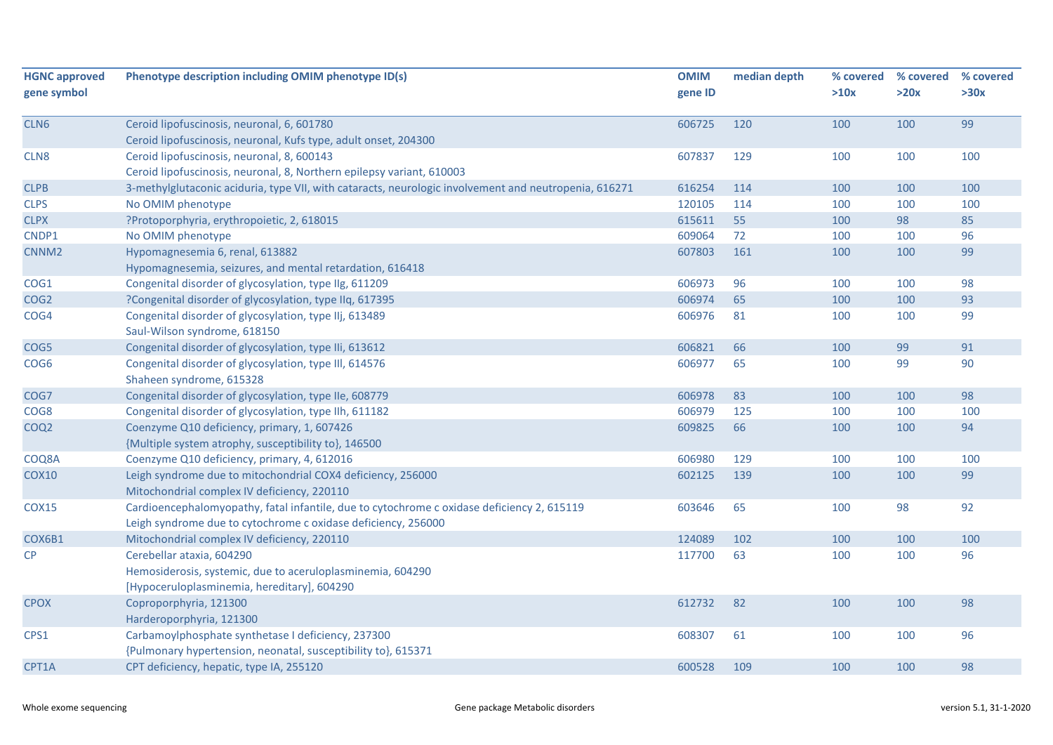| <b>HGNC approved</b><br>gene symbol | Phenotype description including OMIM phenotype ID(s)                                                  | <b>OMIM</b><br>gene ID | median depth | % covered<br>>10x | % covered<br>>20x | % covered<br>>30x |
|-------------------------------------|-------------------------------------------------------------------------------------------------------|------------------------|--------------|-------------------|-------------------|-------------------|
|                                     |                                                                                                       |                        |              |                   |                   |                   |
| CLN6                                | Ceroid lipofuscinosis, neuronal, 6, 601780                                                            | 606725                 | 120          | 100               | 100               | 99                |
|                                     | Ceroid lipofuscinosis, neuronal, Kufs type, adult onset, 204300                                       |                        |              |                   |                   |                   |
| CLN <sub>8</sub>                    | Ceroid lipofuscinosis, neuronal, 8, 600143                                                            | 607837                 | 129          | 100               | 100               | 100               |
|                                     | Ceroid lipofuscinosis, neuronal, 8, Northern epilepsy variant, 610003                                 |                        |              |                   |                   |                   |
| <b>CLPB</b>                         | 3-methylglutaconic aciduria, type VII, with cataracts, neurologic involvement and neutropenia, 616271 | 616254                 | 114          | 100               | 100               | 100               |
| <b>CLPS</b>                         | No OMIM phenotype                                                                                     | 120105                 | 114          | 100               | 100               | 100               |
| <b>CLPX</b>                         | ?Protoporphyria, erythropoietic, 2, 618015                                                            | 615611                 | 55           | 100               | 98                | 85                |
| CNDP1                               | No OMIM phenotype                                                                                     | 609064                 | 72           | 100               | 100               | 96                |
| CNNM <sub>2</sub>                   | Hypomagnesemia 6, renal, 613882                                                                       | 607803                 | 161          | 100               | 100               | 99                |
|                                     | Hypomagnesemia, seizures, and mental retardation, 616418                                              |                        |              |                   |                   |                   |
| COG1                                | Congenital disorder of glycosylation, type IIg, 611209                                                | 606973                 | 96           | 100               | 100               | 98                |
| COG <sub>2</sub>                    | ?Congenital disorder of glycosylation, type IIq, 617395                                               | 606974                 | 65           | 100               | 100               | 93                |
| COG4                                | Congenital disorder of glycosylation, type IIj, 613489                                                | 606976                 | 81           | 100               | 100               | 99                |
|                                     | Saul-Wilson syndrome, 618150                                                                          |                        |              |                   |                   |                   |
| COG5                                | Congenital disorder of glycosylation, type IIi, 613612                                                | 606821                 | 66           | 100               | 99                | 91                |
| COG <sub>6</sub>                    | Congenital disorder of glycosylation, type III, 614576                                                | 606977                 | 65           | 100               | 99                | 90                |
|                                     | Shaheen syndrome, 615328                                                                              |                        |              |                   |                   |                   |
| COG7                                | Congenital disorder of glycosylation, type IIe, 608779                                                | 606978                 | 83           | 100               | 100               | 98                |
| COG8                                | Congenital disorder of glycosylation, type IIh, 611182                                                | 606979                 | 125          | 100               | 100               | 100               |
| COQ <sub>2</sub>                    | Coenzyme Q10 deficiency, primary, 1, 607426                                                           | 609825                 | 66           | 100               | 100               | 94                |
|                                     | {Multiple system atrophy, susceptibility to}, 146500                                                  |                        |              |                   |                   |                   |
| COQ8A                               | Coenzyme Q10 deficiency, primary, 4, 612016                                                           | 606980                 | 129          | 100               | 100               | 100               |
| <b>COX10</b>                        | Leigh syndrome due to mitochondrial COX4 deficiency, 256000                                           | 602125                 | 139          | 100               | 100               | 99                |
|                                     | Mitochondrial complex IV deficiency, 220110                                                           |                        |              |                   |                   |                   |
| <b>COX15</b>                        | Cardioencephalomyopathy, fatal infantile, due to cytochrome c oxidase deficiency 2, 615119            | 603646                 | 65           | 100               | 98                | 92                |
|                                     | Leigh syndrome due to cytochrome c oxidase deficiency, 256000                                         |                        |              |                   |                   |                   |
| COX6B1                              | Mitochondrial complex IV deficiency, 220110                                                           | 124089                 | 102          | 100               | 100               | 100               |
| CP                                  | Cerebellar ataxia, 604290                                                                             | 117700                 | 63           | 100               | 100               | 96                |
|                                     | Hemosiderosis, systemic, due to aceruloplasminemia, 604290                                            |                        |              |                   |                   |                   |
|                                     | [Hypoceruloplasminemia, hereditary], 604290                                                           |                        |              |                   |                   |                   |
| <b>CPOX</b>                         | Coproporphyria, 121300                                                                                | 612732                 | 82           | 100               | 100               | 98                |
|                                     | Harderoporphyria, 121300                                                                              |                        |              |                   |                   |                   |
| CPS1                                | Carbamoylphosphate synthetase I deficiency, 237300                                                    | 608307                 | 61           | 100               | 100               | 96                |
|                                     | {Pulmonary hypertension, neonatal, susceptibility to}, 615371                                         |                        |              |                   |                   |                   |
| CPT1A                               | CPT deficiency, hepatic, type IA, 255120                                                              | 600528                 | 109          | 100               | 100               | 98                |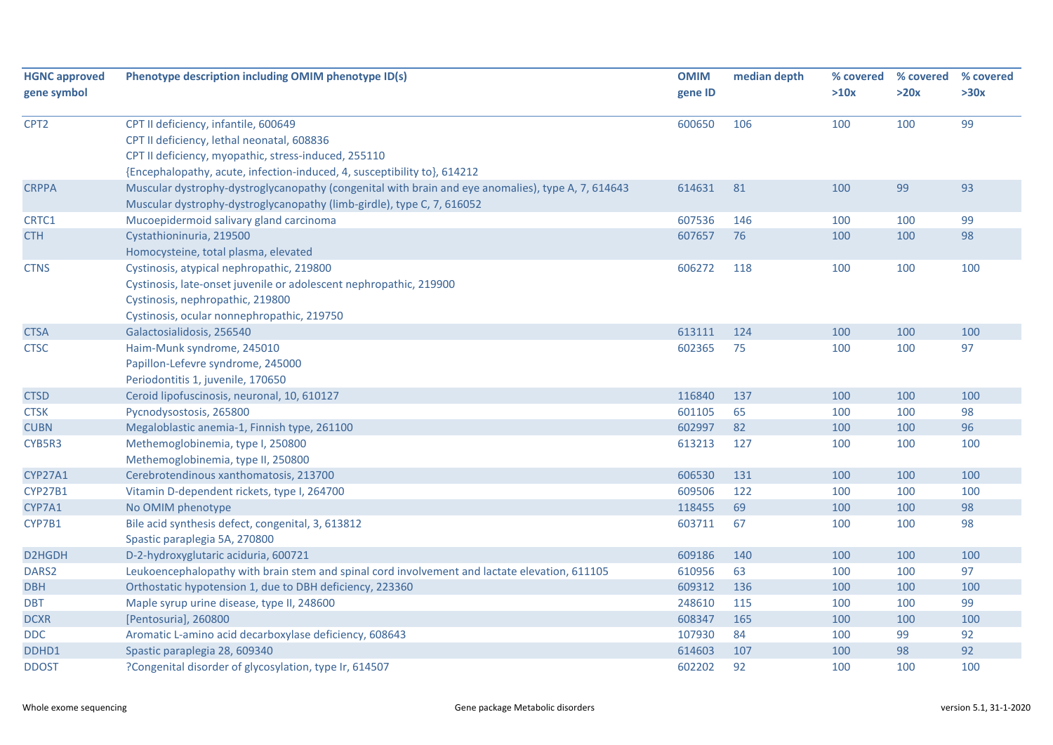| <b>HGNC approved</b> | Phenotype description including OMIM phenotype ID(s)                                               | <b>OMIM</b> | median depth | % covered | % covered | % covered |
|----------------------|----------------------------------------------------------------------------------------------------|-------------|--------------|-----------|-----------|-----------|
| gene symbol          |                                                                                                    | gene ID     |              | >10x      | >20x      | >30x      |
| CPT <sub>2</sub>     | CPT II deficiency, infantile, 600649                                                               | 600650      | 106          | 100       | 100       | 99        |
|                      | CPT II deficiency, lethal neonatal, 608836                                                         |             |              |           |           |           |
|                      | CPT II deficiency, myopathic, stress-induced, 255110                                               |             |              |           |           |           |
|                      | {Encephalopathy, acute, infection-induced, 4, susceptibility to}, 614212                           |             |              |           |           |           |
| <b>CRPPA</b>         | Muscular dystrophy-dystroglycanopathy (congenital with brain and eye anomalies), type A, 7, 614643 | 614631      | 81           | 100       | 99        | 93        |
|                      | Muscular dystrophy-dystroglycanopathy (limb-girdle), type C, 7, 616052                             |             |              |           |           |           |
| CRTC1                | Mucoepidermoid salivary gland carcinoma                                                            | 607536      | 146          | 100       | 100       | 99        |
| <b>CTH</b>           | Cystathioninuria, 219500                                                                           | 607657      | 76           | 100       | 100       | 98        |
|                      | Homocysteine, total plasma, elevated                                                               |             |              |           |           |           |
| <b>CTNS</b>          | Cystinosis, atypical nephropathic, 219800                                                          | 606272      | 118          | 100       | 100       | 100       |
|                      | Cystinosis, late-onset juvenile or adolescent nephropathic, 219900                                 |             |              |           |           |           |
|                      | Cystinosis, nephropathic, 219800                                                                   |             |              |           |           |           |
|                      | Cystinosis, ocular nonnephropathic, 219750                                                         |             |              |           |           |           |
| <b>CTSA</b>          | Galactosialidosis, 256540                                                                          | 613111      | 124          | 100       | 100       | 100       |
| <b>CTSC</b>          | Haim-Munk syndrome, 245010                                                                         | 602365      | 75           | 100       | 100       | 97        |
|                      | Papillon-Lefevre syndrome, 245000                                                                  |             |              |           |           |           |
|                      | Periodontitis 1, juvenile, 170650                                                                  |             |              |           |           |           |
| <b>CTSD</b>          | Ceroid lipofuscinosis, neuronal, 10, 610127                                                        | 116840      | 137          | 100       | 100       | 100       |
| <b>CTSK</b>          | Pycnodysostosis, 265800                                                                            | 601105      | 65           | 100       | 100       | 98        |
| <b>CUBN</b>          | Megaloblastic anemia-1, Finnish type, 261100                                                       | 602997      | 82           | 100       | 100       | 96        |
| CYB5R3               | Methemoglobinemia, type I, 250800                                                                  | 613213      | 127          | 100       | 100       | 100       |
|                      | Methemoglobinemia, type II, 250800                                                                 |             |              |           |           |           |
| <b>CYP27A1</b>       | Cerebrotendinous xanthomatosis, 213700                                                             | 606530      | 131          | 100       | 100       | 100       |
| <b>CYP27B1</b>       | Vitamin D-dependent rickets, type I, 264700                                                        | 609506      | 122          | 100       | 100       | 100       |
| CYP7A1               | No OMIM phenotype                                                                                  | 118455      | 69           | 100       | 100       | 98        |
| CYP7B1               | Bile acid synthesis defect, congenital, 3, 613812                                                  | 603711      | 67           | 100       | 100       | 98        |
|                      | Spastic paraplegia 5A, 270800                                                                      |             |              |           |           |           |
| D2HGDH               | D-2-hydroxyglutaric aciduria, 600721                                                               | 609186      | 140          | 100       | 100       | 100       |
| DARS <sub>2</sub>    | Leukoencephalopathy with brain stem and spinal cord involvement and lactate elevation, 611105      | 610956      | 63           | 100       | 100       | 97        |
| <b>DBH</b>           | Orthostatic hypotension 1, due to DBH deficiency, 223360                                           | 609312      | 136          | 100       | 100       | 100       |
| <b>DBT</b>           | Maple syrup urine disease, type II, 248600                                                         | 248610      | 115          | 100       | 100       | 99        |
| <b>DCXR</b>          | [Pentosuria], 260800                                                                               | 608347      | 165          | 100       | 100       | 100       |
| <b>DDC</b>           | Aromatic L-amino acid decarboxylase deficiency, 608643                                             | 107930      | 84           | 100       | 99        | 92        |
| DDHD1                | Spastic paraplegia 28, 609340                                                                      | 614603      | 107          | 100       | 98        | 92        |
| <b>DDOST</b>         | ?Congenital disorder of glycosylation, type Ir, 614507                                             | 602202      | 92           | 100       | 100       | 100       |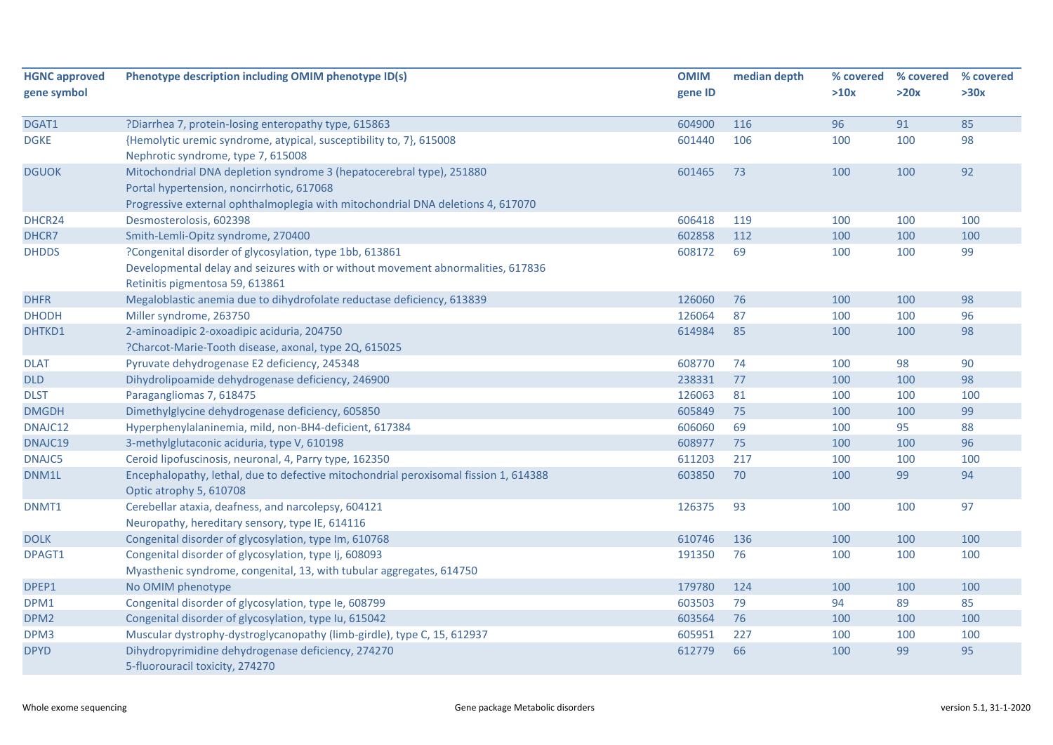| <b>HGNC approved</b> | Phenotype description including OMIM phenotype ID(s)                                 | <b>OMIM</b> | median depth | % covered | % covered | % covered |
|----------------------|--------------------------------------------------------------------------------------|-------------|--------------|-----------|-----------|-----------|
| gene symbol          |                                                                                      | gene ID     |              | >10x      | >20x      | >30x      |
|                      |                                                                                      |             |              |           |           |           |
| DGAT1                | ?Diarrhea 7, protein-losing enteropathy type, 615863                                 | 604900      | 116          | 96        | 91        | 85        |
| <b>DGKE</b>          | {Hemolytic uremic syndrome, atypical, susceptibility to, 7}, 615008                  | 601440      | 106          | 100       | 100       | 98        |
|                      | Nephrotic syndrome, type 7, 615008                                                   |             |              |           |           |           |
| <b>DGUOK</b>         | Mitochondrial DNA depletion syndrome 3 (hepatocerebral type), 251880                 | 601465      | 73           | 100       | 100       | 92        |
|                      | Portal hypertension, noncirrhotic, 617068                                            |             |              |           |           |           |
|                      | Progressive external ophthalmoplegia with mitochondrial DNA deletions 4, 617070      |             |              |           |           |           |
| DHCR24               | Desmosterolosis, 602398                                                              | 606418      | 119          | 100       | 100       | 100       |
| DHCR7                | Smith-Lemli-Opitz syndrome, 270400                                                   | 602858      | 112          | 100       | 100       | 100       |
| <b>DHDDS</b>         | ?Congenital disorder of glycosylation, type 1bb, 613861                              | 608172      | 69           | 100       | 100       | 99        |
|                      | Developmental delay and seizures with or without movement abnormalities, 617836      |             |              |           |           |           |
|                      | Retinitis pigmentosa 59, 613861                                                      |             |              |           |           |           |
| <b>DHFR</b>          | Megaloblastic anemia due to dihydrofolate reductase deficiency, 613839               | 126060      | 76           | 100       | 100       | 98        |
| <b>DHODH</b>         | Miller syndrome, 263750                                                              | 126064      | 87           | 100       | 100       | 96        |
| DHTKD1               | 2-aminoadipic 2-oxoadipic aciduria, 204750                                           | 614984      | 85           | 100       | 100       | 98        |
|                      | ?Charcot-Marie-Tooth disease, axonal, type 2Q, 615025                                |             |              |           |           |           |
| <b>DLAT</b>          | Pyruvate dehydrogenase E2 deficiency, 245348                                         | 608770      | 74           | 100       | 98        | 90        |
| <b>DLD</b>           | Dihydrolipoamide dehydrogenase deficiency, 246900                                    | 238331      | 77           | 100       | 100       | 98        |
| <b>DLST</b>          | Paragangliomas 7, 618475                                                             | 126063      | 81           | 100       | 100       | 100       |
| <b>DMGDH</b>         | Dimethylglycine dehydrogenase deficiency, 605850                                     | 605849      | 75           | 100       | 100       | 99        |
| DNAJC12              | Hyperphenylalaninemia, mild, non-BH4-deficient, 617384                               | 606060      | 69           | 100       | 95        | 88        |
| DNAJC19              | 3-methylglutaconic aciduria, type V, 610198                                          | 608977      | 75           | 100       | 100       | 96        |
| DNAJC5               | Ceroid lipofuscinosis, neuronal, 4, Parry type, 162350                               | 611203      | 217          | 100       | 100       | 100       |
| DNM1L                | Encephalopathy, lethal, due to defective mitochondrial peroxisomal fission 1, 614388 | 603850      | 70           | 100       | 99        | 94        |
|                      | Optic atrophy 5, 610708                                                              |             |              |           |           |           |
| DNMT1                | Cerebellar ataxia, deafness, and narcolepsy, 604121                                  | 126375      | 93           | 100       | 100       | 97        |
|                      | Neuropathy, hereditary sensory, type IE, 614116                                      |             |              |           |           |           |
| <b>DOLK</b>          | Congenital disorder of glycosylation, type Im, 610768                                | 610746      | 136          | 100       | 100       | 100       |
| DPAGT1               | Congenital disorder of glycosylation, type Ij, 608093                                | 191350      | 76           | 100       | 100       | 100       |
|                      | Myasthenic syndrome, congenital, 13, with tubular aggregates, 614750                 |             |              |           |           |           |
| DPEP1                | No OMIM phenotype                                                                    | 179780      | 124          | 100       | 100       | 100       |
| DPM1                 | Congenital disorder of glycosylation, type Ie, 608799                                | 603503      | 79           | 94        | 89        | 85        |
| DPM <sub>2</sub>     | Congenital disorder of glycosylation, type Iu, 615042                                | 603564      | 76           | 100       | 100       | 100       |
| DPM3                 | Muscular dystrophy-dystroglycanopathy (limb-girdle), type C, 15, 612937              | 605951      | 227          | 100       | 100       | 100       |
| <b>DPYD</b>          | Dihydropyrimidine dehydrogenase deficiency, 274270                                   | 612779      | 66           | 100       | 99        | 95        |
|                      | 5-fluorouracil toxicity, 274270                                                      |             |              |           |           |           |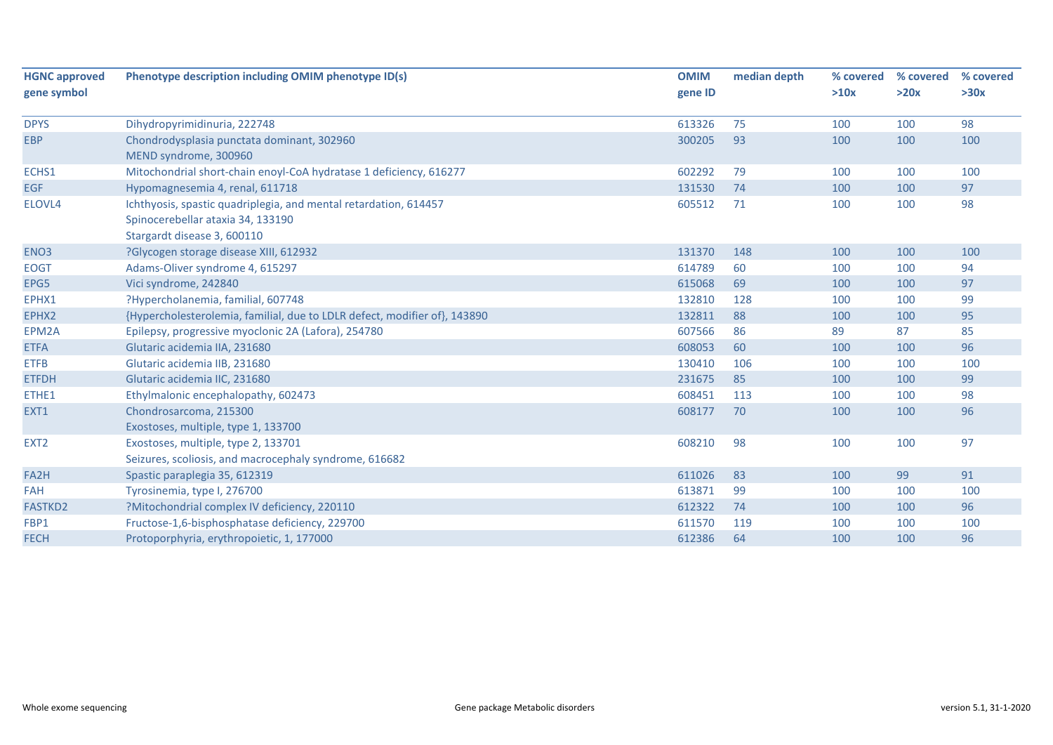| <b>HGNC approved</b><br>gene symbol | Phenotype description including OMIM phenotype ID(s)                      | <b>OMIM</b><br>gene ID | median depth | % covered<br>>10x | % covered<br>>20x | % covered<br>>30x |
|-------------------------------------|---------------------------------------------------------------------------|------------------------|--------------|-------------------|-------------------|-------------------|
|                                     |                                                                           |                        |              |                   |                   |                   |
| <b>DPYS</b>                         | Dihydropyrimidinuria, 222748                                              | 613326                 | 75           | 100               | 100               | 98                |
| <b>EBP</b>                          | Chondrodysplasia punctata dominant, 302960<br>MEND syndrome, 300960       | 300205                 | 93           | 100               | 100               | 100               |
| ECHS1                               | Mitochondrial short-chain enoyl-CoA hydratase 1 deficiency, 616277        | 602292                 | 79           | 100               | 100               | 100               |
| <b>EGF</b>                          | Hypomagnesemia 4, renal, 611718                                           | 131530                 | 74           | 100               | 100               | 97                |
| ELOVL4                              | Ichthyosis, spastic quadriplegia, and mental retardation, 614457          | 605512                 | 71           | 100               | 100               | 98                |
|                                     | Spinocerebellar ataxia 34, 133190                                         |                        |              |                   |                   |                   |
|                                     | Stargardt disease 3, 600110                                               |                        |              |                   |                   |                   |
| ENO <sub>3</sub>                    | ?Glycogen storage disease XIII, 612932                                    | 131370                 | 148          | 100               | 100               | 100               |
| <b>EOGT</b>                         | Adams-Oliver syndrome 4, 615297                                           | 614789                 | 60           | 100               | 100               | 94                |
| EPG5                                | Vici syndrome, 242840                                                     | 615068                 | 69           | 100               | 100               | 97                |
| EPHX1                               | ?Hypercholanemia, familial, 607748                                        | 132810                 | 128          | 100               | 100               | 99                |
| EPHX2                               | {Hypercholesterolemia, familial, due to LDLR defect, modifier of}, 143890 | 132811                 | 88           | 100               | 100               | 95                |
| EPM2A                               | Epilepsy, progressive myoclonic 2A (Lafora), 254780                       | 607566                 | 86           | 89                | 87                | 85                |
| <b>ETFA</b>                         | Glutaric acidemia IIA, 231680                                             | 608053                 | 60           | 100               | 100               | 96                |
| <b>ETFB</b>                         | Glutaric acidemia IIB, 231680                                             | 130410                 | 106          | 100               | 100               | 100               |
| <b>ETFDH</b>                        | Glutaric acidemia IIC, 231680                                             | 231675                 | 85           | 100               | 100               | 99                |
| ETHE1                               | Ethylmalonic encephalopathy, 602473                                       | 608451                 | 113          | 100               | 100               | 98                |
| EXT1                                | Chondrosarcoma, 215300                                                    | 608177                 | 70           | 100               | 100               | 96                |
|                                     | Exostoses, multiple, type 1, 133700                                       |                        |              |                   |                   |                   |
| EXT <sub>2</sub>                    | Exostoses, multiple, type 2, 133701                                       | 608210                 | 98           | 100               | 100               | 97                |
|                                     | Seizures, scoliosis, and macrocephaly syndrome, 616682                    |                        |              |                   |                   |                   |
| FA <sub>2</sub> H                   | Spastic paraplegia 35, 612319                                             | 611026                 | 83           | 100               | 99                | 91                |
| <b>FAH</b>                          | Tyrosinemia, type I, 276700                                               | 613871                 | 99           | 100               | 100               | 100               |
| <b>FASTKD2</b>                      | ?Mitochondrial complex IV deficiency, 220110                              | 612322                 | 74           | 100               | 100               | 96                |
| FBP1                                | Fructose-1,6-bisphosphatase deficiency, 229700                            | 611570                 | 119          | 100               | 100               | 100               |
| <b>FECH</b>                         | Protoporphyria, erythropoietic, 1, 177000                                 | 612386                 | 64           | 100               | 100               | 96                |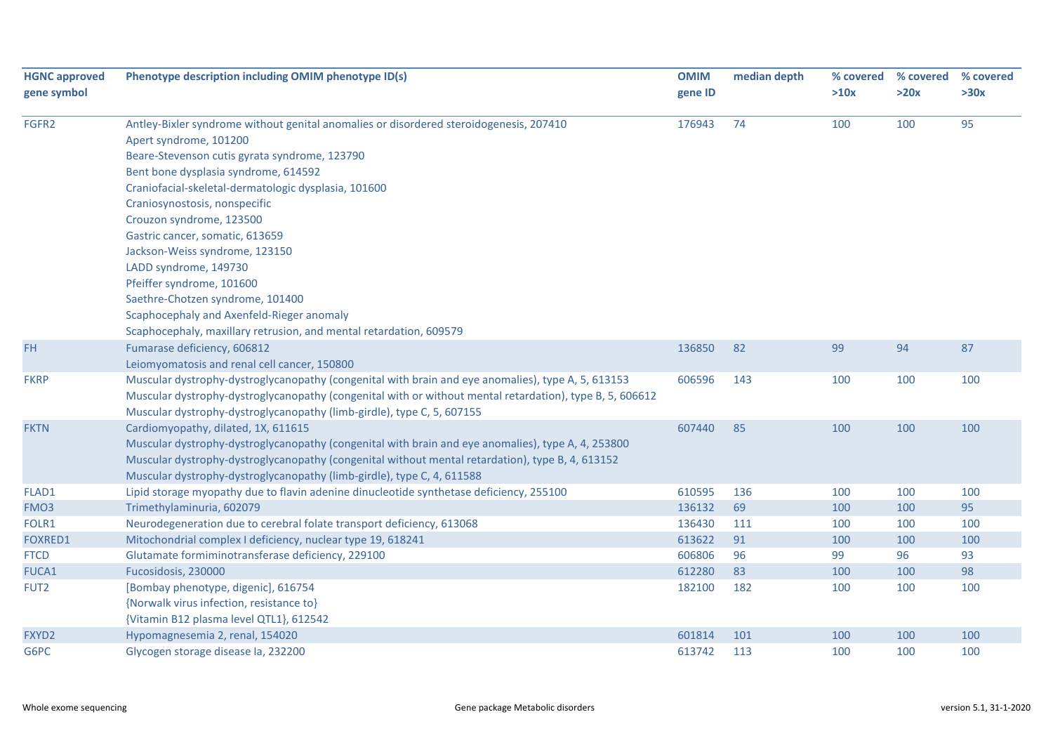| <b>HGNC approved</b> | Phenotype description including OMIM phenotype ID(s)                                                     | <b>OMIM</b> | median depth |      | % covered % covered | % covered |
|----------------------|----------------------------------------------------------------------------------------------------------|-------------|--------------|------|---------------------|-----------|
| gene symbol          |                                                                                                          | gene ID     |              | >10x | >20x                | >30x      |
| FGFR2                | Antley-Bixler syndrome without genital anomalies or disordered steroidogenesis, 207410                   | 176943      | 74           | 100  | 100                 | 95        |
|                      | Apert syndrome, 101200                                                                                   |             |              |      |                     |           |
|                      | Beare-Stevenson cutis gyrata syndrome, 123790                                                            |             |              |      |                     |           |
|                      | Bent bone dysplasia syndrome, 614592                                                                     |             |              |      |                     |           |
|                      | Craniofacial-skeletal-dermatologic dysplasia, 101600                                                     |             |              |      |                     |           |
|                      | Craniosynostosis, nonspecific                                                                            |             |              |      |                     |           |
|                      | Crouzon syndrome, 123500                                                                                 |             |              |      |                     |           |
|                      | Gastric cancer, somatic, 613659                                                                          |             |              |      |                     |           |
|                      | Jackson-Weiss syndrome, 123150                                                                           |             |              |      |                     |           |
|                      | LADD syndrome, 149730                                                                                    |             |              |      |                     |           |
|                      | Pfeiffer syndrome, 101600                                                                                |             |              |      |                     |           |
|                      | Saethre-Chotzen syndrome, 101400                                                                         |             |              |      |                     |           |
|                      | Scaphocephaly and Axenfeld-Rieger anomaly                                                                |             |              |      |                     |           |
|                      | Scaphocephaly, maxillary retrusion, and mental retardation, 609579                                       |             |              |      |                     |           |
| FH                   | Fumarase deficiency, 606812                                                                              | 136850      | 82           | 99   | 94                  | 87        |
|                      | Leiomyomatosis and renal cell cancer, 150800                                                             |             |              |      |                     |           |
| <b>FKRP</b>          | Muscular dystrophy-dystroglycanopathy (congenital with brain and eye anomalies), type A, 5, 613153       | 606596      | 143          | 100  | 100                 | 100       |
|                      | Muscular dystrophy-dystroglycanopathy (congenital with or without mental retardation), type B, 5, 606612 |             |              |      |                     |           |
|                      | Muscular dystrophy-dystroglycanopathy (limb-girdle), type C, 5, 607155                                   |             |              |      |                     |           |
| <b>FKTN</b>          | Cardiomyopathy, dilated, 1X, 611615                                                                      | 607440      | 85           | 100  | 100                 | 100       |
|                      | Muscular dystrophy-dystroglycanopathy (congenital with brain and eye anomalies), type A, 4, 253800       |             |              |      |                     |           |
|                      | Muscular dystrophy-dystroglycanopathy (congenital without mental retardation), type B, 4, 613152         |             |              |      |                     |           |
|                      | Muscular dystrophy-dystroglycanopathy (limb-girdle), type C, 4, 611588                                   |             |              |      |                     |           |
| FLAD1                | Lipid storage myopathy due to flavin adenine dinucleotide synthetase deficiency, 255100                  | 610595      | 136          | 100  | 100                 | 100       |
| FMO3                 | Trimethylaminuria, 602079                                                                                | 136132      | 69           | 100  | 100                 | 95        |
| FOLR1                | Neurodegeneration due to cerebral folate transport deficiency, 613068                                    | 136430      | 111          | 100  | 100                 | 100       |
| FOXRED1              | Mitochondrial complex I deficiency, nuclear type 19, 618241                                              | 613622      | 91           | 100  | 100                 | 100       |
| <b>FTCD</b>          | Glutamate formiminotransferase deficiency, 229100                                                        | 606806      | 96           | 99   | 96                  | 93        |
| FUCA1                | Fucosidosis, 230000                                                                                      | 612280      | 83           | 100  | 100                 | 98        |
| FUT <sub>2</sub>     | [Bombay phenotype, digenic], 616754                                                                      | 182100      | 182          | 100  | 100                 | 100       |
|                      | {Norwalk virus infection, resistance to}                                                                 |             |              |      |                     |           |
|                      | {Vitamin B12 plasma level QTL1}, 612542                                                                  |             |              |      |                     |           |
| FXYD2                | Hypomagnesemia 2, renal, 154020                                                                          | 601814      | 101          | 100  | 100                 | 100       |
| G6PC                 | Glycogen storage disease la, 232200                                                                      | 613742      | 113          | 100  | 100                 | 100       |
|                      |                                                                                                          |             |              |      |                     |           |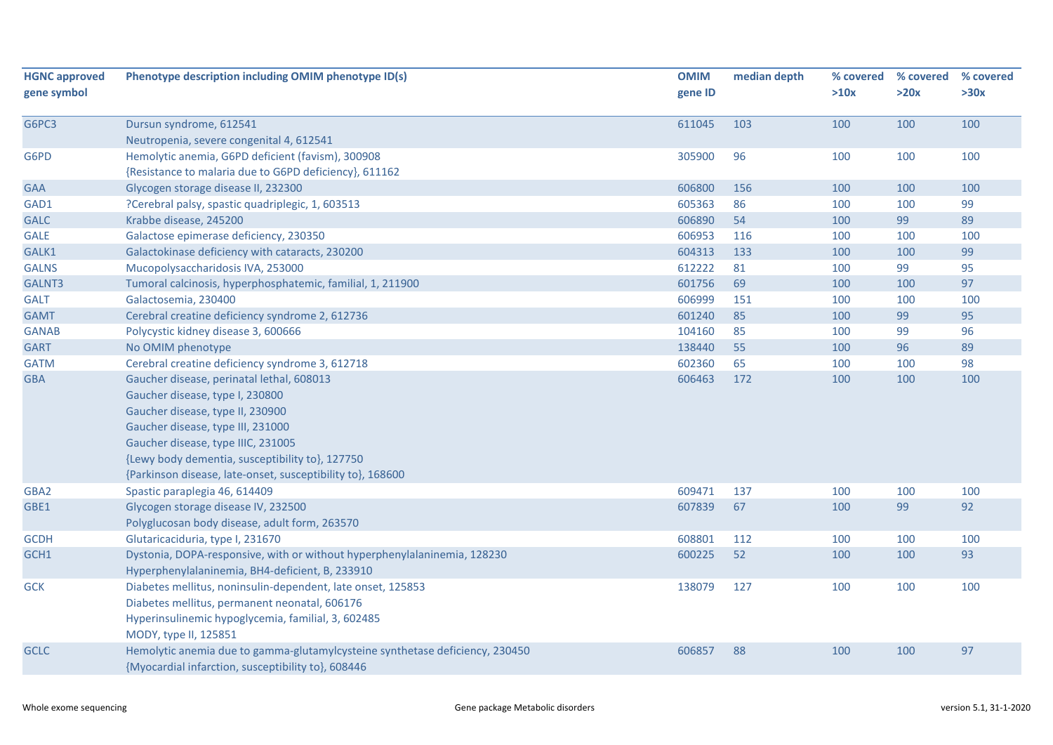| <b>HGNC approved</b><br>gene symbol | Phenotype description including OMIM phenotype ID(s)                         | <b>OMIM</b><br>gene ID | median depth | % covered<br>>10x | % covered<br>>20x | % covered<br>>30x |
|-------------------------------------|------------------------------------------------------------------------------|------------------------|--------------|-------------------|-------------------|-------------------|
|                                     |                                                                              |                        |              |                   |                   |                   |
| G6PC3                               | Dursun syndrome, 612541                                                      | 611045                 | 103          | 100               | 100               | 100               |
|                                     | Neutropenia, severe congenital 4, 612541                                     |                        |              |                   |                   |                   |
| G6PD                                | Hemolytic anemia, G6PD deficient (favism), 300908                            | 305900                 | 96           | 100               | 100               | 100               |
|                                     | {Resistance to malaria due to G6PD deficiency}, 611162                       |                        |              |                   |                   |                   |
| <b>GAA</b>                          | Glycogen storage disease II, 232300                                          | 606800                 | 156          | 100               | 100               | 100               |
| GAD1                                | ?Cerebral palsy, spastic quadriplegic, 1, 603513                             | 605363                 | 86           | 100               | 100               | 99                |
| <b>GALC</b>                         | Krabbe disease, 245200                                                       | 606890                 | 54           | 100               | 99                | 89                |
| <b>GALE</b>                         | Galactose epimerase deficiency, 230350                                       | 606953                 | 116          | 100               | 100               | 100               |
| GALK1                               | Galactokinase deficiency with cataracts, 230200                              | 604313                 | 133          | 100               | 100               | 99                |
| <b>GALNS</b>                        | Mucopolysaccharidosis IVA, 253000                                            | 612222                 | 81           | 100               | 99                | 95                |
| GALNT3                              | Tumoral calcinosis, hyperphosphatemic, familial, 1, 211900                   | 601756                 | 69           | 100               | 100               | 97                |
| <b>GALT</b>                         | Galactosemia, 230400                                                         | 606999                 | 151          | 100               | 100               | 100               |
| <b>GAMT</b>                         | Cerebral creatine deficiency syndrome 2, 612736                              | 601240                 | 85           | 100               | 99                | 95                |
| <b>GANAB</b>                        | Polycystic kidney disease 3, 600666                                          | 104160                 | 85           | 100               | 99                | 96                |
| <b>GART</b>                         | No OMIM phenotype                                                            | 138440                 | 55           | 100               | 96                | 89                |
| <b>GATM</b>                         | Cerebral creatine deficiency syndrome 3, 612718                              | 602360                 | 65           | 100               | 100               | 98                |
| <b>GBA</b>                          | Gaucher disease, perinatal lethal, 608013                                    | 606463                 | 172          | 100               | 100               | 100               |
|                                     | Gaucher disease, type I, 230800                                              |                        |              |                   |                   |                   |
|                                     | Gaucher disease, type II, 230900                                             |                        |              |                   |                   |                   |
|                                     | Gaucher disease, type III, 231000                                            |                        |              |                   |                   |                   |
|                                     | Gaucher disease, type IIIC, 231005                                           |                        |              |                   |                   |                   |
|                                     | {Lewy body dementia, susceptibility to}, 127750                              |                        |              |                   |                   |                   |
|                                     | {Parkinson disease, late-onset, susceptibility to}, 168600                   |                        |              |                   |                   |                   |
| GBA <sub>2</sub>                    | Spastic paraplegia 46, 614409                                                | 609471                 | 137          | 100               | 100               | 100               |
| GBE1                                | Glycogen storage disease IV, 232500                                          | 607839                 | 67           | 100               | 99                | 92                |
|                                     | Polyglucosan body disease, adult form, 263570                                |                        |              |                   |                   |                   |
| <b>GCDH</b>                         | Glutaricaciduria, type I, 231670                                             | 608801                 | 112          | 100               | 100               | 100               |
| GCH1                                | Dystonia, DOPA-responsive, with or without hyperphenylalaninemia, 128230     | 600225                 | 52           | 100               | 100               | 93                |
|                                     | Hyperphenylalaninemia, BH4-deficient, B, 233910                              |                        |              |                   |                   |                   |
| <b>GCK</b>                          | Diabetes mellitus, noninsulin-dependent, late onset, 125853                  | 138079                 | 127          | 100               | 100               | 100               |
|                                     | Diabetes mellitus, permanent neonatal, 606176                                |                        |              |                   |                   |                   |
|                                     | Hyperinsulinemic hypoglycemia, familial, 3, 602485                           |                        |              |                   |                   |                   |
|                                     | MODY, type II, 125851                                                        |                        |              |                   |                   |                   |
| <b>GCLC</b>                         | Hemolytic anemia due to gamma-glutamylcysteine synthetase deficiency, 230450 | 606857                 | 88           | 100               | 100               | 97                |
|                                     | {Myocardial infarction, susceptibility to}, 608446                           |                        |              |                   |                   |                   |
|                                     |                                                                              |                        |              |                   |                   |                   |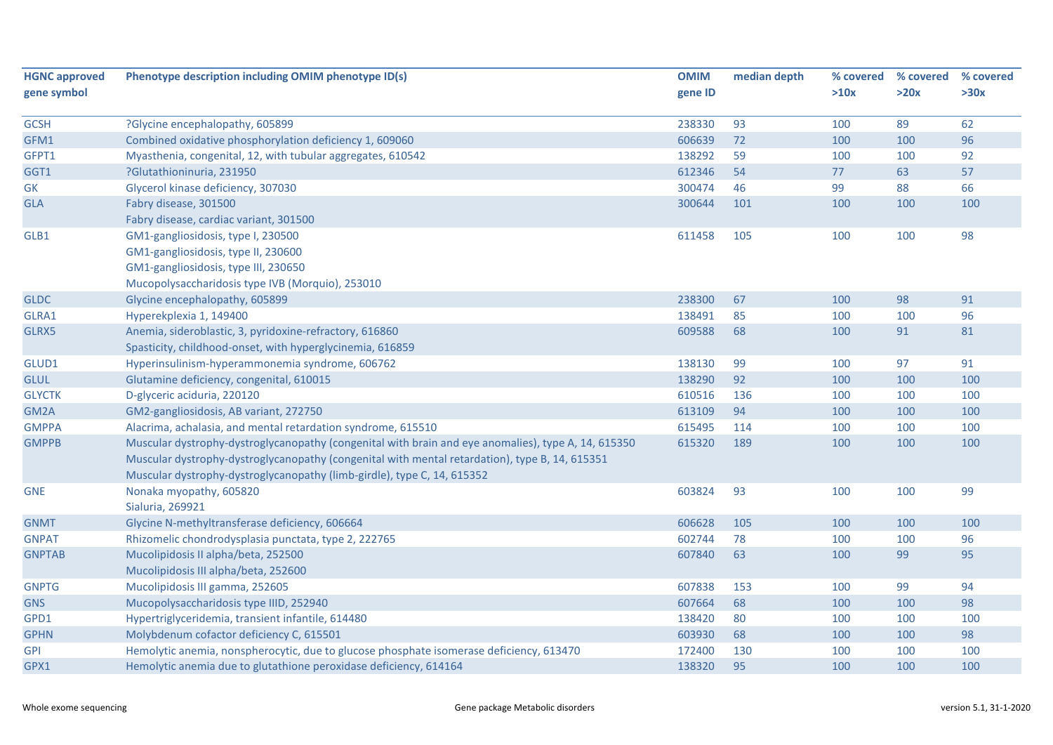| <b>HGNC approved</b> | Phenotype description including OMIM phenotype ID(s)                                                | <b>OMIM</b> | median depth | % covered | % covered | % covered |
|----------------------|-----------------------------------------------------------------------------------------------------|-------------|--------------|-----------|-----------|-----------|
| gene symbol          |                                                                                                     | gene ID     |              | >10x      | >20x      | >30x      |
| <b>GCSH</b>          | ?Glycine encephalopathy, 605899                                                                     | 238330      | 93           | 100       | 89        | 62        |
| GFM1                 | Combined oxidative phosphorylation deficiency 1, 609060                                             | 606639      | 72           | 100       | 100       | 96        |
| GFPT1                | Myasthenia, congenital, 12, with tubular aggregates, 610542                                         | 138292      | 59           | 100       | 100       | 92        |
| GGT1                 | ?Glutathioninuria, 231950                                                                           | 612346      | 54           | 77        | 63        | 57        |
| GK                   | Glycerol kinase deficiency, 307030                                                                  | 300474      | 46           | 99        | 88        | 66        |
| <b>GLA</b>           | Fabry disease, 301500                                                                               | 300644      | 101          | 100       | 100       | 100       |
|                      | Fabry disease, cardiac variant, 301500                                                              |             |              |           |           |           |
| GLB1                 | GM1-gangliosidosis, type I, 230500                                                                  | 611458      | 105          | 100       | 100       | 98        |
|                      | GM1-gangliosidosis, type II, 230600                                                                 |             |              |           |           |           |
|                      | GM1-gangliosidosis, type III, 230650                                                                |             |              |           |           |           |
|                      | Mucopolysaccharidosis type IVB (Morquio), 253010                                                    |             |              |           |           |           |
| <b>GLDC</b>          | Glycine encephalopathy, 605899                                                                      | 238300      | 67           | 100       | 98        | 91        |
| GLRA1                | Hyperekplexia 1, 149400                                                                             | 138491      | 85           | 100       | 100       | 96        |
| GLRX5                | Anemia, sideroblastic, 3, pyridoxine-refractory, 616860                                             | 609588      | 68           | 100       | 91        | 81        |
|                      | Spasticity, childhood-onset, with hyperglycinemia, 616859                                           |             |              |           |           |           |
| GLUD1                | Hyperinsulinism-hyperammonemia syndrome, 606762                                                     | 138130      | 99           | 100       | 97        | 91        |
| <b>GLUL</b>          | Glutamine deficiency, congenital, 610015                                                            | 138290      | 92           | 100       | 100       | 100       |
| <b>GLYCTK</b>        | D-glyceric aciduria, 220120                                                                         | 610516      | 136          | 100       | 100       | 100       |
| GM2A                 | GM2-gangliosidosis, AB variant, 272750                                                              | 613109      | 94           | 100       | 100       | 100       |
| <b>GMPPA</b>         | Alacrima, achalasia, and mental retardation syndrome, 615510                                        | 615495      | 114          | 100       | 100       | 100       |
| <b>GMPPB</b>         | Muscular dystrophy-dystroglycanopathy (congenital with brain and eye anomalies), type A, 14, 615350 | 615320      | 189          | 100       | 100       | 100       |
|                      | Muscular dystrophy-dystroglycanopathy (congenital with mental retardation), type B, 14, 615351      |             |              |           |           |           |
|                      | Muscular dystrophy-dystroglycanopathy (limb-girdle), type C, 14, 615352                             |             |              |           |           |           |
| <b>GNE</b>           | Nonaka myopathy, 605820                                                                             | 603824      | 93           | 100       | 100       | 99        |
|                      | Sialuria, 269921                                                                                    |             |              |           |           |           |
| <b>GNMT</b>          | Glycine N-methyltransferase deficiency, 606664                                                      | 606628      | 105          | 100       | 100       | 100       |
| <b>GNPAT</b>         | Rhizomelic chondrodysplasia punctata, type 2, 222765                                                | 602744      | 78           | 100       | 100       | 96        |
| <b>GNPTAB</b>        | Mucolipidosis II alpha/beta, 252500                                                                 | 607840      | 63           | 100       | 99        | 95        |
|                      | Mucolipidosis III alpha/beta, 252600                                                                |             |              |           |           |           |
| <b>GNPTG</b>         | Mucolipidosis III gamma, 252605                                                                     | 607838      | 153          | 100       | 99        | 94        |
| <b>GNS</b>           | Mucopolysaccharidosis type IIID, 252940                                                             | 607664      | 68           | 100       | 100       | 98        |
| GPD1                 | Hypertriglyceridemia, transient infantile, 614480                                                   | 138420      | 80           | 100       | 100       | 100       |
| <b>GPHN</b>          | Molybdenum cofactor deficiency C, 615501                                                            | 603930      | 68           | 100       | 100       | 98        |
| <b>GPI</b>           | Hemolytic anemia, nonspherocytic, due to glucose phosphate isomerase deficiency, 613470             | 172400      | 130          | 100       | 100       | 100       |
| GPX1                 | Hemolytic anemia due to glutathione peroxidase deficiency, 614164                                   | 138320      | 95           | 100       | 100       | 100       |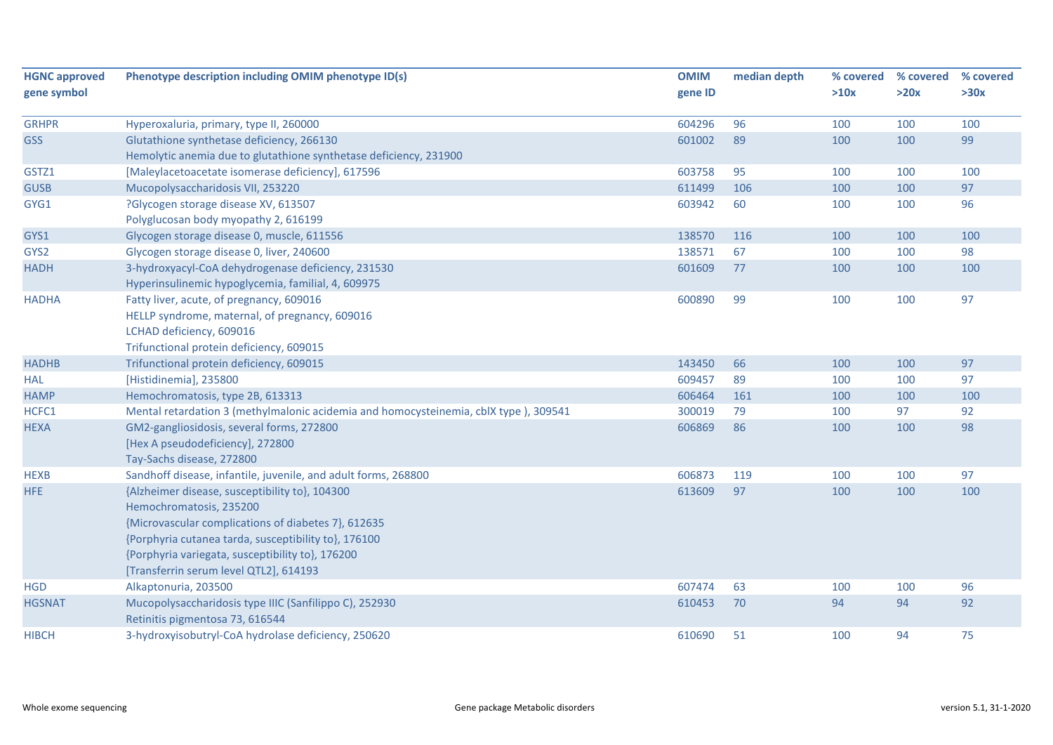| <b>HGNC approved</b><br>gene symbol | Phenotype description including OMIM phenotype ID(s)                                 | <b>OMIM</b><br>gene ID | median depth | % covered<br>>10x | % covered<br>>20x | % covered<br>>30x |
|-------------------------------------|--------------------------------------------------------------------------------------|------------------------|--------------|-------------------|-------------------|-------------------|
|                                     |                                                                                      |                        |              |                   |                   |                   |
| <b>GRHPR</b>                        | Hyperoxaluria, primary, type II, 260000                                              | 604296                 | 96           | 100               | 100               | 100               |
| <b>GSS</b>                          | Glutathione synthetase deficiency, 266130                                            | 601002                 | 89           | 100               | 100               | 99                |
|                                     | Hemolytic anemia due to glutathione synthetase deficiency, 231900                    |                        |              |                   |                   |                   |
| GSTZ1                               | [Maleylacetoacetate isomerase deficiency], 617596                                    | 603758                 | 95           | 100               | 100               | 100               |
| <b>GUSB</b>                         | Mucopolysaccharidosis VII, 253220                                                    | 611499                 | 106          | 100               | 100               | 97                |
| GYG1                                | ?Glycogen storage disease XV, 613507                                                 | 603942                 | 60           | 100               | 100               | 96                |
|                                     | Polyglucosan body myopathy 2, 616199                                                 |                        |              |                   |                   |                   |
| GYS1                                | Glycogen storage disease 0, muscle, 611556                                           | 138570                 | 116          | 100               | 100               | 100               |
| GYS2                                | Glycogen storage disease 0, liver, 240600                                            | 138571                 | 67           | 100               | 100               | 98                |
| <b>HADH</b>                         | 3-hydroxyacyl-CoA dehydrogenase deficiency, 231530                                   | 601609                 | 77           | 100               | 100               | 100               |
|                                     | Hyperinsulinemic hypoglycemia, familial, 4, 609975                                   |                        |              |                   |                   |                   |
| <b>HADHA</b>                        | Fatty liver, acute, of pregnancy, 609016                                             | 600890                 | 99           | 100               | 100               | 97                |
|                                     | HELLP syndrome, maternal, of pregnancy, 609016                                       |                        |              |                   |                   |                   |
|                                     | LCHAD deficiency, 609016                                                             |                        |              |                   |                   |                   |
|                                     | Trifunctional protein deficiency, 609015                                             |                        |              |                   |                   |                   |
| <b>HADHB</b>                        | Trifunctional protein deficiency, 609015                                             | 143450                 | 66           | 100               | 100               | 97                |
| <b>HAL</b>                          | [Histidinemia], 235800                                                               | 609457                 | 89           | 100               | 100               | 97                |
| <b>HAMP</b>                         | Hemochromatosis, type 2B, 613313                                                     | 606464                 | 161          | 100               | 100               | 100               |
| HCFC1                               | Mental retardation 3 (methylmalonic acidemia and homocysteinemia, cblX type), 309541 | 300019                 | 79           | 100               | 97                | 92                |
| <b>HEXA</b>                         | GM2-gangliosidosis, several forms, 272800                                            | 606869                 | 86           | 100               | 100               | 98                |
|                                     | [Hex A pseudodeficiency], 272800                                                     |                        |              |                   |                   |                   |
|                                     | Tay-Sachs disease, 272800                                                            |                        |              |                   |                   |                   |
| <b>HEXB</b>                         | Sandhoff disease, infantile, juvenile, and adult forms, 268800                       | 606873                 | 119          | 100               | 100               | 97                |
| HFE                                 | {Alzheimer disease, susceptibility to}, 104300                                       | 613609                 | 97           | 100               | 100               | 100               |
|                                     | Hemochromatosis, 235200                                                              |                        |              |                   |                   |                   |
|                                     | {Microvascular complications of diabetes 7}, 612635                                  |                        |              |                   |                   |                   |
|                                     | {Porphyria cutanea tarda, susceptibility to}, 176100                                 |                        |              |                   |                   |                   |
|                                     | {Porphyria variegata, susceptibility to}, 176200                                     |                        |              |                   |                   |                   |
|                                     | [Transferrin serum level QTL2], 614193                                               |                        |              |                   |                   |                   |
| <b>HGD</b>                          | Alkaptonuria, 203500                                                                 | 607474                 | 63           | 100               | 100               | 96                |
| <b>HGSNAT</b>                       | Mucopolysaccharidosis type IIIC (Sanfilippo C), 252930                               | 610453                 | 70           | 94                | 94                | 92                |
|                                     | Retinitis pigmentosa 73, 616544                                                      |                        |              |                   |                   |                   |
| <b>HIBCH</b>                        | 3-hydroxyisobutryl-CoA hydrolase deficiency, 250620                                  | 610690                 | 51           | 100               | 94                | 75                |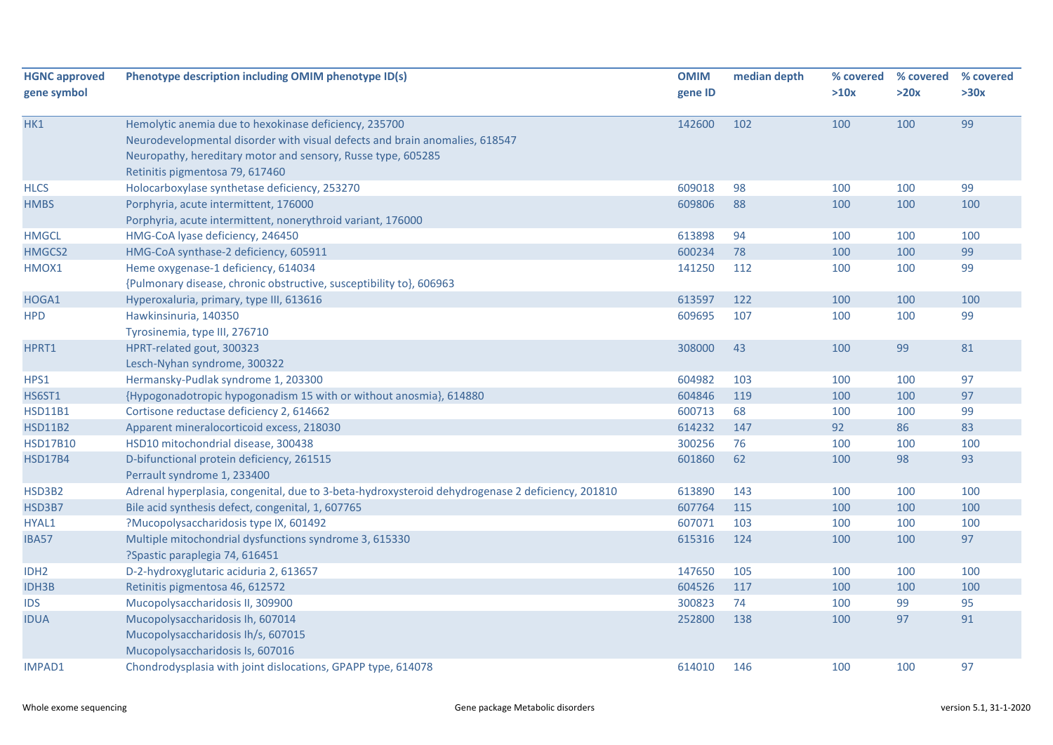| <b>HGNC approved</b> | Phenotype description including OMIM phenotype ID(s)                                             | <b>OMIM</b> | median depth | % covered | % covered | % covered |
|----------------------|--------------------------------------------------------------------------------------------------|-------------|--------------|-----------|-----------|-----------|
| gene symbol          |                                                                                                  | gene ID     |              | >10x      | >20x      | >30x      |
| HK1                  | Hemolytic anemia due to hexokinase deficiency, 235700                                            | 142600      | 102          | 100       | 100       | 99        |
|                      | Neurodevelopmental disorder with visual defects and brain anomalies, 618547                      |             |              |           |           |           |
|                      | Neuropathy, hereditary motor and sensory, Russe type, 605285                                     |             |              |           |           |           |
|                      | Retinitis pigmentosa 79, 617460                                                                  |             |              |           |           |           |
| <b>HLCS</b>          | Holocarboxylase synthetase deficiency, 253270                                                    | 609018      | 98           | 100       | 100       | 99        |
| <b>HMBS</b>          | Porphyria, acute intermittent, 176000                                                            | 609806      | 88           | 100       | 100       | 100       |
|                      | Porphyria, acute intermittent, nonerythroid variant, 176000                                      |             |              |           |           |           |
| <b>HMGCL</b>         | HMG-CoA lyase deficiency, 246450                                                                 | 613898      | 94           | 100       | 100       | 100       |
| HMGCS2               | HMG-CoA synthase-2 deficiency, 605911                                                            | 600234      | 78           | 100       | 100       | 99        |
| HMOX1                | Heme oxygenase-1 deficiency, 614034                                                              | 141250      | 112          | 100       | 100       | 99        |
|                      | {Pulmonary disease, chronic obstructive, susceptibility to}, 606963                              |             |              |           |           |           |
| HOGA1                | Hyperoxaluria, primary, type III, 613616                                                         | 613597      | 122          | 100       | 100       | 100       |
| <b>HPD</b>           | Hawkinsinuria, 140350                                                                            | 609695      | 107          | 100       | 100       | 99        |
|                      | Tyrosinemia, type III, 276710                                                                    |             |              |           |           |           |
| HPRT1                | HPRT-related gout, 300323                                                                        | 308000      | 43           | 100       | 99        | 81        |
|                      | Lesch-Nyhan syndrome, 300322                                                                     |             |              |           |           |           |
| HPS1                 | Hermansky-Pudlak syndrome 1, 203300                                                              | 604982      | 103          | 100       | 100       | 97        |
| <b>HS6ST1</b>        | {Hypogonadotropic hypogonadism 15 with or without anosmia}, 614880                               | 604846      | 119          | 100       | 100       | 97        |
| <b>HSD11B1</b>       | Cortisone reductase deficiency 2, 614662                                                         | 600713      | 68           | 100       | 100       | 99        |
| <b>HSD11B2</b>       | Apparent mineralocorticoid excess, 218030                                                        | 614232      | 147          | 92        | 86        | 83        |
| <b>HSD17B10</b>      | HSD10 mitochondrial disease, 300438                                                              | 300256      | 76           | 100       | 100       | 100       |
| <b>HSD17B4</b>       | D-bifunctional protein deficiency, 261515                                                        | 601860      | 62           | 100       | 98        | 93        |
|                      | Perrault syndrome 1, 233400                                                                      |             |              |           |           |           |
| HSD3B2               | Adrenal hyperplasia, congenital, due to 3-beta-hydroxysteroid dehydrogenase 2 deficiency, 201810 | 613890      | 143          | 100       | 100       | 100       |
| HSD3B7               | Bile acid synthesis defect, congenital, 1, 607765                                                | 607764      | 115          | 100       | 100       | 100       |
| HYAL1                | ?Mucopolysaccharidosis type IX, 601492                                                           | 607071      | 103          | 100       | 100       | 100       |
| <b>IBA57</b>         | Multiple mitochondrial dysfunctions syndrome 3, 615330                                           | 615316      | 124          | 100       | 100       | 97        |
|                      | ?Spastic paraplegia 74, 616451                                                                   |             |              |           |           |           |
| IDH <sub>2</sub>     | D-2-hydroxyglutaric aciduria 2, 613657                                                           | 147650      | 105          | 100       | 100       | 100       |
| <b>IDH3B</b>         | Retinitis pigmentosa 46, 612572                                                                  | 604526      | 117          | 100       | 100       | 100       |
| <b>IDS</b>           | Mucopolysaccharidosis II, 309900                                                                 | 300823      | 74           | 100       | 99        | 95        |
| <b>IDUA</b>          | Mucopolysaccharidosis Ih, 607014                                                                 | 252800      | 138          | 100       | 97        | 91        |
|                      | Mucopolysaccharidosis Ih/s, 607015                                                               |             |              |           |           |           |
|                      | Mucopolysaccharidosis Is, 607016                                                                 |             |              |           |           |           |
| <b>IMPAD1</b>        | Chondrodysplasia with joint dislocations, GPAPP type, 614078                                     | 614010      | 146          | 100       | 100       | 97        |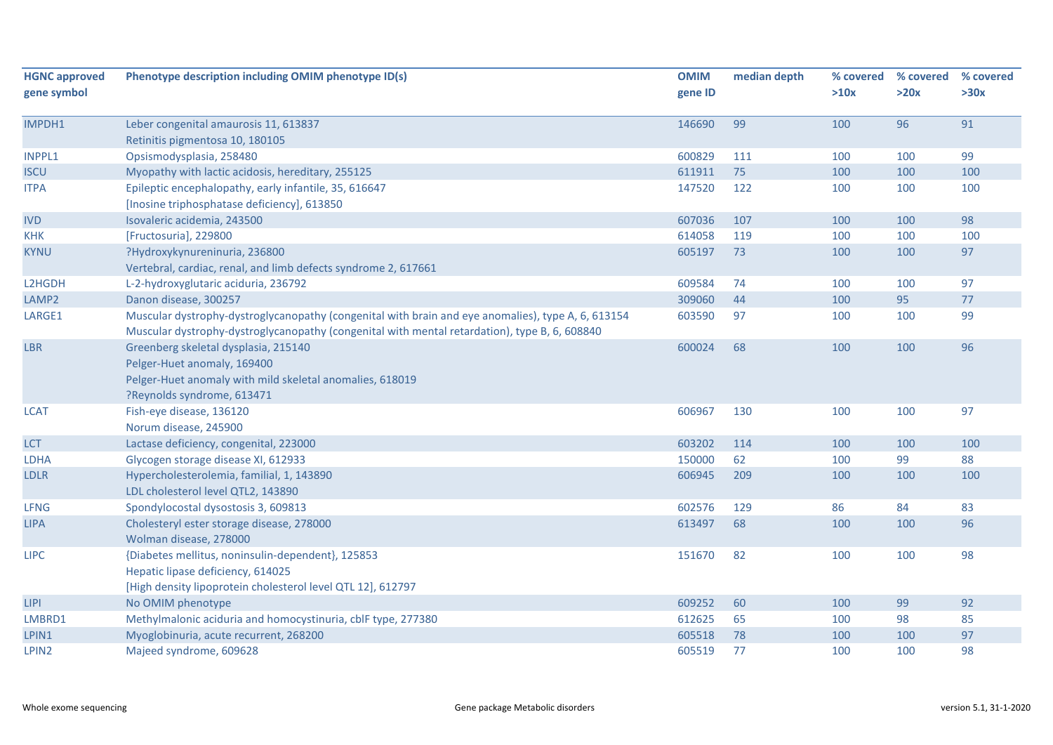| <b>HGNC</b> approved | Phenotype description including OMIM phenotype ID(s)                                               | <b>OMIM</b> | median depth | % covered | % covered | % covered |
|----------------------|----------------------------------------------------------------------------------------------------|-------------|--------------|-----------|-----------|-----------|
| gene symbol          |                                                                                                    | gene ID     |              | >10x      | >20x      | >30x      |
| IMPDH1               | Leber congenital amaurosis 11, 613837                                                              | 146690      | 99           | 100       | 96        | 91        |
|                      | Retinitis pigmentosa 10, 180105                                                                    |             |              |           |           |           |
| <b>INPPL1</b>        | Opsismodysplasia, 258480                                                                           | 600829      | 111          | 100       | 100       | 99        |
| <b>ISCU</b>          | Myopathy with lactic acidosis, hereditary, 255125                                                  | 611911      | 75           | 100       | 100       | 100       |
| <b>ITPA</b>          | Epileptic encephalopathy, early infantile, 35, 616647                                              | 147520      | 122          | 100       | 100       | 100       |
|                      | [Inosine triphosphatase deficiency], 613850                                                        |             |              |           |           |           |
| <b>IVD</b>           | Isovaleric acidemia, 243500                                                                        | 607036      | 107          | 100       | 100       | 98        |
| <b>KHK</b>           | [Fructosuria], 229800                                                                              | 614058      | 119          | 100       | 100       | 100       |
| <b>KYNU</b>          | ?Hydroxykynureninuria, 236800<br>Vertebral, cardiac, renal, and limb defects syndrome 2, 617661    | 605197      | 73           | 100       | 100       | 97        |
| L2HGDH               | L-2-hydroxyglutaric aciduria, 236792                                                               | 609584      | 74           | 100       | 100       | 97        |
| LAMP2                | Danon disease, 300257                                                                              | 309060      | 44           | 100       | 95        | 77        |
| LARGE1               | Muscular dystrophy-dystroglycanopathy (congenital with brain and eye anomalies), type A, 6, 613154 | 603590      | 97           | 100       | 100       | 99        |
|                      | Muscular dystrophy-dystroglycanopathy (congenital with mental retardation), type B, 6, 608840      |             |              |           |           |           |
| <b>LBR</b>           | Greenberg skeletal dysplasia, 215140                                                               | 600024      | 68           | 100       | 100       | 96        |
|                      | Pelger-Huet anomaly, 169400                                                                        |             |              |           |           |           |
|                      | Pelger-Huet anomaly with mild skeletal anomalies, 618019                                           |             |              |           |           |           |
|                      | ?Reynolds syndrome, 613471                                                                         |             |              |           |           |           |
| <b>LCAT</b>          | Fish-eye disease, 136120                                                                           | 606967      | 130          | 100       | 100       | 97        |
|                      | Norum disease, 245900                                                                              |             |              |           |           |           |
| LCT                  | Lactase deficiency, congenital, 223000                                                             | 603202      | 114          | 100       | 100       | 100       |
| <b>LDHA</b>          | Glycogen storage disease XI, 612933                                                                | 150000      | 62           | 100       | 99        | 88        |
| <b>LDLR</b>          | Hypercholesterolemia, familial, 1, 143890                                                          | 606945      | 209          | 100       | 100       | 100       |
|                      | LDL cholesterol level QTL2, 143890                                                                 |             |              |           |           |           |
| <b>LFNG</b>          | Spondylocostal dysostosis 3, 609813                                                                | 602576      | 129          | 86        | 84        | 83        |
| <b>LIPA</b>          | Cholesteryl ester storage disease, 278000                                                          | 613497      | 68           | 100       | 100       | 96        |
|                      | Wolman disease, 278000                                                                             |             |              |           |           |           |
| <b>LIPC</b>          | {Diabetes mellitus, noninsulin-dependent}, 125853                                                  | 151670      | 82           | 100       | 100       | 98        |
|                      | Hepatic lipase deficiency, 614025                                                                  |             |              |           |           |           |
|                      | [High density lipoprotein cholesterol level QTL 12], 612797                                        |             |              |           |           |           |
| <b>LIPI</b>          | No OMIM phenotype                                                                                  | 609252      | 60           | 100       | 99        | 92        |
| LMBRD1               | Methylmalonic aciduria and homocystinuria, cblF type, 277380                                       | 612625      | 65           | 100       | 98        | 85        |
| LPIN1                | Myoglobinuria, acute recurrent, 268200                                                             | 605518      | 78           | 100       | 100       | 97        |
| LPIN <sub>2</sub>    | Majeed syndrome, 609628                                                                            | 605519      | 77           | 100       | 100       | 98        |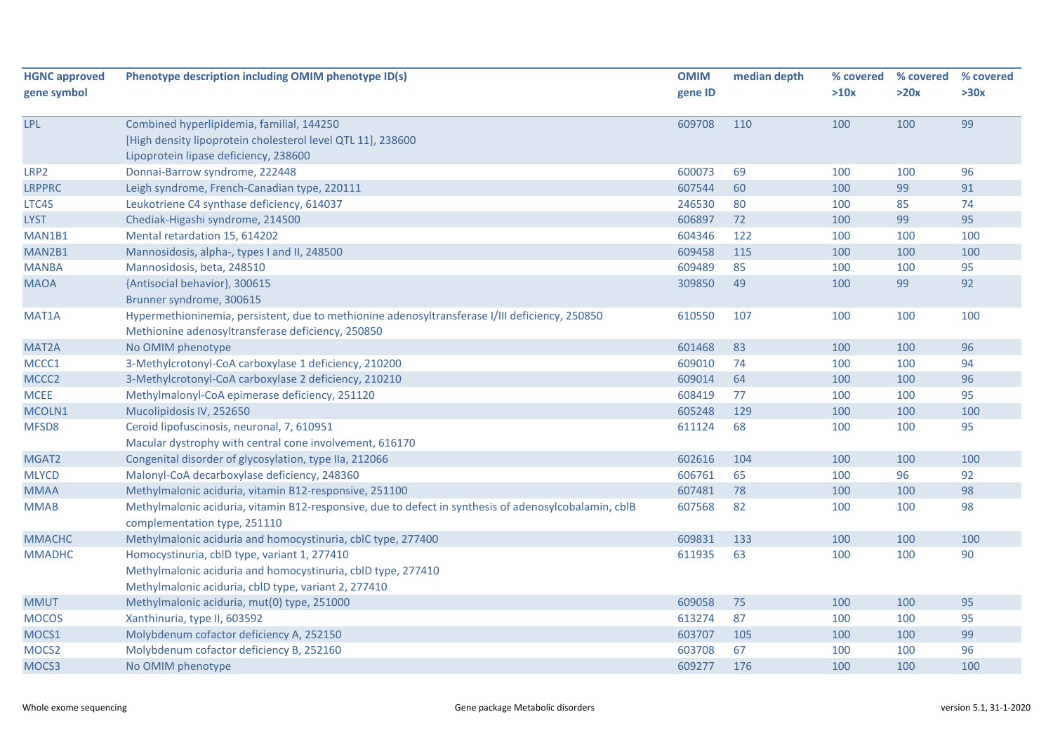| <b>HGNC approved</b> | Phenotype description including OMIM phenotype ID(s)                                                  | <b>OMIM</b> | median depth | % covered | % covered | % covered |
|----------------------|-------------------------------------------------------------------------------------------------------|-------------|--------------|-----------|-----------|-----------|
| gene symbol          |                                                                                                       | gene ID     |              | >10x      | >20x      | >30x      |
| <b>LPL</b>           | Combined hyperlipidemia, familial, 144250                                                             | 609708      | 110          | 100       | 100       | 99        |
|                      | [High density lipoprotein cholesterol level QTL 11], 238600                                           |             |              |           |           |           |
|                      | Lipoprotein lipase deficiency, 238600                                                                 |             |              |           |           |           |
| LRP2                 | Donnai-Barrow syndrome, 222448                                                                        | 600073      | 69           | 100       | 100       | 96        |
| <b>LRPPRC</b>        | Leigh syndrome, French-Canadian type, 220111                                                          | 607544      | 60           | 100       | 99        | 91        |
| LTC4S                | Leukotriene C4 synthase deficiency, 614037                                                            | 246530      | 80           | 100       | 85        | 74        |
| <b>LYST</b>          | Chediak-Higashi syndrome, 214500                                                                      | 606897      | 72           | 100       | 99        | 95        |
| MAN1B1               | Mental retardation 15, 614202                                                                         | 604346      | 122          | 100       | 100       | 100       |
| MAN2B1               | Mannosidosis, alpha-, types I and II, 248500                                                          | 609458      | 115          | 100       | 100       | 100       |
| <b>MANBA</b>         | Mannosidosis, beta, 248510                                                                            | 609489      | 85           | 100       | 100       | 95        |
| <b>MAOA</b>          | {Antisocial behavior}, 300615                                                                         | 309850      | 49           | 100       | 99        | 92        |
|                      | Brunner syndrome, 300615                                                                              |             |              |           |           |           |
| MAT1A                | Hypermethioninemia, persistent, due to methionine adenosyltransferase I/III deficiency, 250850        | 610550      | 107          | 100       | 100       | 100       |
|                      | Methionine adenosyltransferase deficiency, 250850                                                     |             |              |           |           |           |
| MAT <sub>2</sub> A   | No OMIM phenotype                                                                                     | 601468      | 83           | 100       | 100       | 96        |
| MCCC1                | 3-Methylcrotonyl-CoA carboxylase 1 deficiency, 210200                                                 | 609010      | 74           | 100       | 100       | 94        |
| MCCC <sub>2</sub>    | 3-Methylcrotonyl-CoA carboxylase 2 deficiency, 210210                                                 | 609014      | 64           | 100       | 100       | 96        |
| <b>MCEE</b>          | Methylmalonyl-CoA epimerase deficiency, 251120                                                        | 608419      | 77           | 100       | 100       | 95        |
| MCOLN1               | Mucolipidosis IV, 252650                                                                              | 605248      | 129          | 100       | 100       | 100       |
| MFSD8                | Ceroid lipofuscinosis, neuronal, 7, 610951                                                            | 611124      | 68           | 100       | 100       | 95        |
|                      | Macular dystrophy with central cone involvement, 616170                                               |             |              |           |           |           |
| MGAT2                | Congenital disorder of glycosylation, type IIa, 212066                                                | 602616      | 104          | 100       | 100       | 100       |
| <b>MLYCD</b>         | Malonyl-CoA decarboxylase deficiency, 248360                                                          | 606761      | 65           | 100       | 96        | 92        |
| <b>MMAA</b>          | Methylmalonic aciduria, vitamin B12-responsive, 251100                                                | 607481      | 78           | 100       | 100       | 98        |
| <b>MMAB</b>          | Methylmalonic aciduria, vitamin B12-responsive, due to defect in synthesis of adenosylcobalamin, cblB | 607568      | 82           | 100       | 100       | 98        |
|                      | complementation type, 251110                                                                          |             |              |           |           |           |
| <b>MMACHC</b>        | Methylmalonic aciduria and homocystinuria, cblC type, 277400                                          | 609831      | 133          | 100       | 100       | 100       |
| <b>MMADHC</b>        | Homocystinuria, cblD type, variant 1, 277410                                                          | 611935      | 63           | 100       | 100       | 90        |
|                      | Methylmalonic aciduria and homocystinuria, cblD type, 277410                                          |             |              |           |           |           |
|                      | Methylmalonic aciduria, cblD type, variant 2, 277410                                                  |             |              |           |           |           |
| <b>MMUT</b>          | Methylmalonic aciduria, mut(0) type, 251000                                                           | 609058      | 75           | 100       | 100       | 95        |
| <b>MOCOS</b>         | Xanthinuria, type II, 603592                                                                          | 613274      | 87           | 100       | 100       | 95        |
| MOCS1                | Molybdenum cofactor deficiency A, 252150                                                              | 603707      | 105          | 100       | 100       | 99        |
| MOCS <sub>2</sub>    | Molybdenum cofactor deficiency B, 252160                                                              | 603708      | 67           | 100       | 100       | 96        |
| MOCS3                | No OMIM phenotype                                                                                     | 609277      | 176          | 100       | 100       | 100       |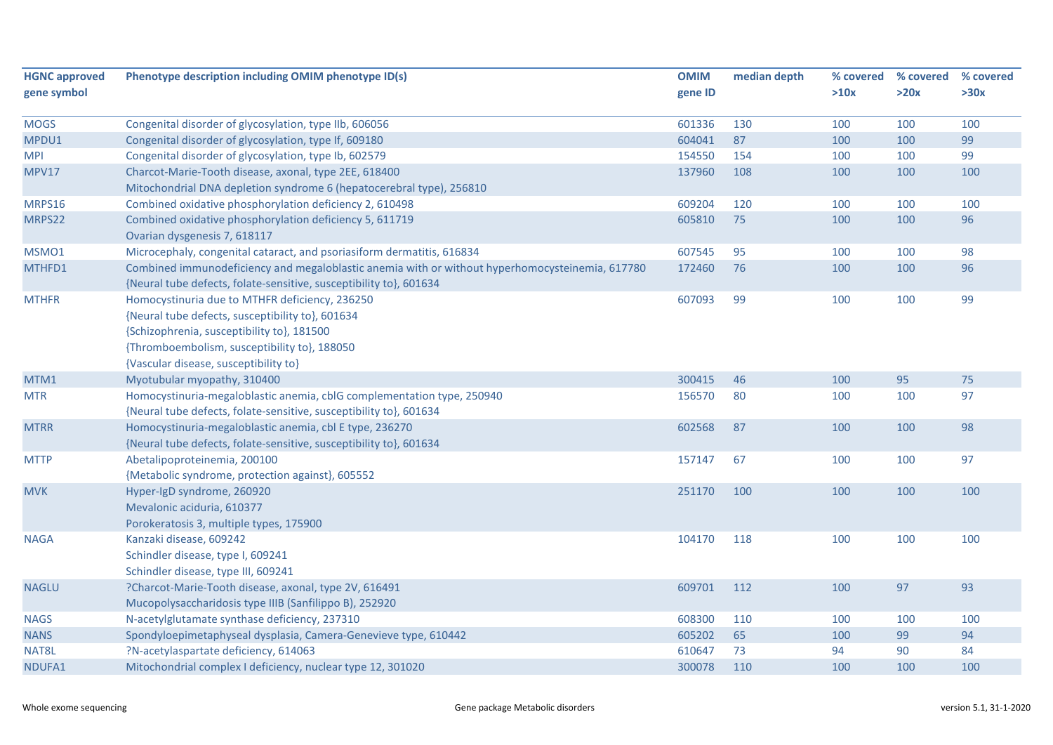| <b>HGNC approved</b><br>gene symbol | Phenotype description including OMIM phenotype ID(s)                                                                                                                                                                                      | <b>OMIM</b><br>gene ID | median depth | % covered<br>>10x | % covered<br>>20x | % covered<br>>30x |
|-------------------------------------|-------------------------------------------------------------------------------------------------------------------------------------------------------------------------------------------------------------------------------------------|------------------------|--------------|-------------------|-------------------|-------------------|
| <b>MOGS</b>                         | Congenital disorder of glycosylation, type IIb, 606056                                                                                                                                                                                    | 601336                 | 130          | 100               | 100               | 100               |
| MPDU1                               | Congenital disorder of glycosylation, type If, 609180                                                                                                                                                                                     | 604041                 | 87           | 100               | 100               | 99                |
| <b>MPI</b>                          | Congenital disorder of glycosylation, type Ib, 602579                                                                                                                                                                                     | 154550                 | 154          | 100               | 100               | 99                |
| MPV17                               | Charcot-Marie-Tooth disease, axonal, type 2EE, 618400<br>Mitochondrial DNA depletion syndrome 6 (hepatocerebral type), 256810                                                                                                             | 137960                 | 108          | 100               | 100               | 100               |
| MRPS16                              | Combined oxidative phosphorylation deficiency 2, 610498                                                                                                                                                                                   | 609204                 | 120          | 100               | 100               | 100               |
| MRPS22                              | Combined oxidative phosphorylation deficiency 5, 611719<br>Ovarian dysgenesis 7, 618117                                                                                                                                                   | 605810                 | 75           | 100               | 100               | 96                |
| MSMO1                               | Microcephaly, congenital cataract, and psoriasiform dermatitis, 616834                                                                                                                                                                    | 607545                 | 95           | 100               | 100               | 98                |
| MTHFD1                              | Combined immunodeficiency and megaloblastic anemia with or without hyperhomocysteinemia, 617780<br>{Neural tube defects, folate-sensitive, susceptibility to}, 601634                                                                     | 172460                 | 76           | 100               | 100               | 96                |
| <b>MTHFR</b>                        | Homocystinuria due to MTHFR deficiency, 236250<br>{Neural tube defects, susceptibility to}, 601634<br>{Schizophrenia, susceptibility to}, 181500<br>{Thromboembolism, susceptibility to}, 188050<br>{Vascular disease, susceptibility to} | 607093                 | 99           | 100               | 100               | 99                |
| MTM1                                | Myotubular myopathy, 310400                                                                                                                                                                                                               | 300415                 | 46           | 100               | 95                | 75                |
| <b>MTR</b>                          | Homocystinuria-megaloblastic anemia, cblG complementation type, 250940<br>{Neural tube defects, folate-sensitive, susceptibility to}, 601634                                                                                              | 156570                 | 80           | 100               | 100               | 97                |
| <b>MTRR</b>                         | Homocystinuria-megaloblastic anemia, cbl E type, 236270<br>{Neural tube defects, folate-sensitive, susceptibility to}, 601634                                                                                                             | 602568                 | 87           | 100               | 100               | 98                |
| <b>MTTP</b>                         | Abetalipoproteinemia, 200100<br>{Metabolic syndrome, protection against}, 605552                                                                                                                                                          | 157147                 | 67           | 100               | 100               | 97                |
| <b>MVK</b>                          | Hyper-IgD syndrome, 260920<br>Mevalonic aciduria, 610377<br>Porokeratosis 3, multiple types, 175900                                                                                                                                       | 251170                 | 100          | 100               | 100               | 100               |
| <b>NAGA</b>                         | Kanzaki disease, 609242<br>Schindler disease, type I, 609241<br>Schindler disease, type III, 609241                                                                                                                                       | 104170                 | 118          | 100               | 100               | 100               |
| <b>NAGLU</b>                        | ?Charcot-Marie-Tooth disease, axonal, type 2V, 616491<br>Mucopolysaccharidosis type IIIB (Sanfilippo B), 252920                                                                                                                           | 609701                 | 112          | 100               | 97                | 93                |
| <b>NAGS</b>                         | N-acetylglutamate synthase deficiency, 237310                                                                                                                                                                                             | 608300                 | 110          | 100               | 100               | 100               |
| <b>NANS</b>                         | Spondyloepimetaphyseal dysplasia, Camera-Genevieve type, 610442                                                                                                                                                                           | 605202                 | 65           | 100               | 99                | 94                |
| NAT8L                               | ?N-acetylaspartate deficiency, 614063                                                                                                                                                                                                     | 610647                 | 73           | 94                | 90                | 84                |
| NDUFA1                              | Mitochondrial complex I deficiency, nuclear type 12, 301020                                                                                                                                                                               | 300078                 | 110          | 100               | 100               | 100               |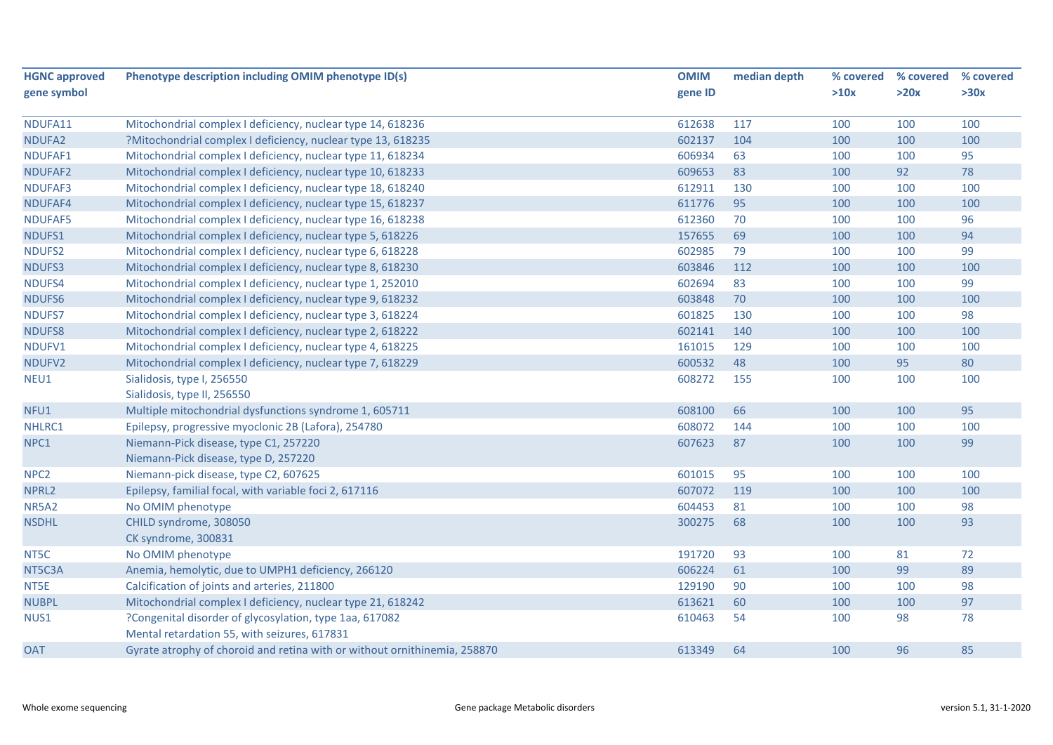| <b>HGNC approved</b> | Phenotype description including OMIM phenotype ID(s)                      | <b>OMIM</b> | median depth | % covered | % covered | % covered |
|----------------------|---------------------------------------------------------------------------|-------------|--------------|-----------|-----------|-----------|
| gene symbol          |                                                                           | gene ID     |              | >10x      | >20x      | >30x      |
| NDUFA11              | Mitochondrial complex I deficiency, nuclear type 14, 618236               | 612638      | 117          | 100       | 100       | 100       |
| NDUFA2               | ?Mitochondrial complex I deficiency, nuclear type 13, 618235              | 602137      | 104          | 100       | 100       | 100       |
| NDUFAF1              | Mitochondrial complex I deficiency, nuclear type 11, 618234               | 606934      | 63           | 100       | 100       | 95        |
| NDUFAF2              | Mitochondrial complex I deficiency, nuclear type 10, 618233               | 609653      | 83           | 100       | 92        | 78        |
| NDUFAF3              | Mitochondrial complex I deficiency, nuclear type 18, 618240               | 612911      | 130          | 100       | 100       | 100       |
| NDUFAF4              | Mitochondrial complex I deficiency, nuclear type 15, 618237               | 611776      | 95           | 100       | 100       | 100       |
| NDUFAF5              | Mitochondrial complex I deficiency, nuclear type 16, 618238               | 612360      | 70           | 100       | 100       | 96        |
| NDUFS1               | Mitochondrial complex I deficiency, nuclear type 5, 618226                | 157655      | 69           | 100       | 100       | 94        |
| NDUFS2               | Mitochondrial complex I deficiency, nuclear type 6, 618228                | 602985      | 79           | 100       | 100       | 99        |
| NDUFS3               | Mitochondrial complex I deficiency, nuclear type 8, 618230                | 603846      | 112          | 100       | 100       | 100       |
| NDUFS4               | Mitochondrial complex I deficiency, nuclear type 1, 252010                | 602694      | 83           | 100       | 100       | 99        |
| NDUFS6               | Mitochondrial complex I deficiency, nuclear type 9, 618232                | 603848      | 70           | 100       | 100       | 100       |
| NDUFS7               | Mitochondrial complex I deficiency, nuclear type 3, 618224                | 601825      | 130          | 100       | 100       | 98        |
| <b>NDUFS8</b>        | Mitochondrial complex I deficiency, nuclear type 2, 618222                | 602141      | 140          | 100       | 100       | 100       |
| NDUFV1               | Mitochondrial complex I deficiency, nuclear type 4, 618225                | 161015      | 129          | 100       | 100       | 100       |
| NDUFV2               | Mitochondrial complex I deficiency, nuclear type 7, 618229                | 600532      | 48           | 100       | 95        | 80        |
| NEU1                 | Sialidosis, type I, 256550                                                | 608272      | 155          | 100       | 100       | 100       |
|                      | Sialidosis, type II, 256550                                               |             |              |           |           |           |
| NFU1                 | Multiple mitochondrial dysfunctions syndrome 1, 605711                    | 608100      | 66           | 100       | 100       | 95        |
| NHLRC1               | Epilepsy, progressive myoclonic 2B (Lafora), 254780                       | 608072      | 144          | 100       | 100       | 100       |
| NPC1                 | Niemann-Pick disease, type C1, 257220                                     | 607623      | 87           | 100       | 100       | 99        |
|                      | Niemann-Pick disease, type D, 257220                                      |             |              |           |           |           |
| NPC <sub>2</sub>     | Niemann-pick disease, type C2, 607625                                     | 601015      | 95           | 100       | 100       | 100       |
| NPRL2                | Epilepsy, familial focal, with variable foci 2, 617116                    | 607072      | 119          | 100       | 100       | 100       |
| <b>NR5A2</b>         | No OMIM phenotype                                                         | 604453      | 81           | 100       | 100       | 98        |
| <b>NSDHL</b>         | CHILD syndrome, 308050                                                    | 300275      | 68           | 100       | 100       | 93        |
|                      | CK syndrome, 300831                                                       |             |              |           |           |           |
| NT5C                 | No OMIM phenotype                                                         | 191720      | 93           | 100       | 81        | 72        |
| NT5C3A               | Anemia, hemolytic, due to UMPH1 deficiency, 266120                        | 606224      | 61           | 100       | 99        | 89        |
| NT5E                 | Calcification of joints and arteries, 211800                              | 129190      | 90           | 100       | 100       | 98        |
| <b>NUBPL</b>         | Mitochondrial complex I deficiency, nuclear type 21, 618242               | 613621      | 60           | 100       | 100       | 97        |
| NUS1                 | ?Congenital disorder of glycosylation, type 1aa, 617082                   | 610463      | 54           | 100       | 98        | 78        |
|                      | Mental retardation 55, with seizures, 617831                              |             |              |           |           |           |
| <b>OAT</b>           | Gyrate atrophy of choroid and retina with or without ornithinemia, 258870 | 613349      | 64           | 100       | 96        | 85        |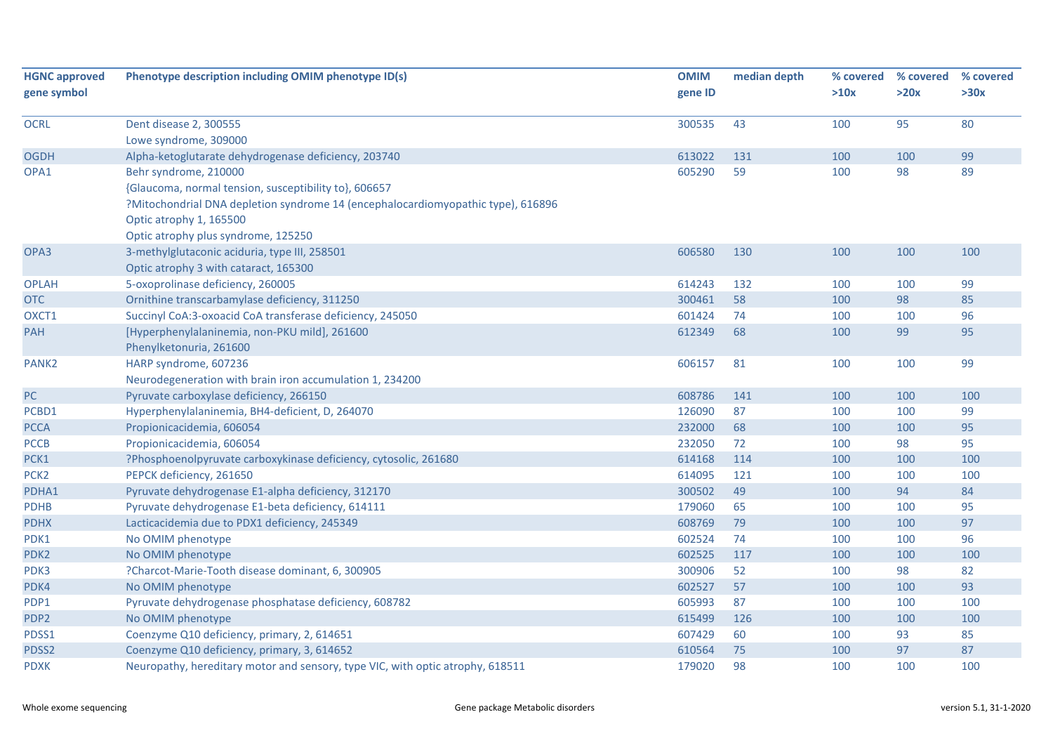| <b>HGNC approved</b> | Phenotype description including OMIM phenotype ID(s)                             | <b>OMIM</b> | median depth | % covered | % covered | % covered |
|----------------------|----------------------------------------------------------------------------------|-------------|--------------|-----------|-----------|-----------|
| gene symbol          |                                                                                  | gene ID     |              | >10x      | >20x      | >30x      |
|                      |                                                                                  |             |              |           |           |           |
| <b>OCRL</b>          | Dent disease 2, 300555                                                           | 300535      | 43           | 100       | 95        | 80        |
|                      | Lowe syndrome, 309000                                                            |             |              |           |           |           |
| <b>OGDH</b>          | Alpha-ketoglutarate dehydrogenase deficiency, 203740                             | 613022      | 131          | 100       | 100       | 99        |
| OPA1                 | Behr syndrome, 210000                                                            | 605290      | 59           | 100       | 98        | 89        |
|                      | {Glaucoma, normal tension, susceptibility to}, 606657                            |             |              |           |           |           |
|                      | ?Mitochondrial DNA depletion syndrome 14 (encephalocardiomyopathic type), 616896 |             |              |           |           |           |
|                      | Optic atrophy 1, 165500                                                          |             |              |           |           |           |
|                      | Optic atrophy plus syndrome, 125250                                              |             |              |           |           |           |
| OPA3                 | 3-methylglutaconic aciduria, type III, 258501                                    | 606580      | 130          | 100       | 100       | 100       |
|                      | Optic atrophy 3 with cataract, 165300                                            |             |              |           |           |           |
| <b>OPLAH</b>         | 5-oxoprolinase deficiency, 260005                                                | 614243      | 132          | 100       | 100       | 99        |
| <b>OTC</b>           | Ornithine transcarbamylase deficiency, 311250                                    | 300461      | 58           | 100       | 98        | 85        |
| OXCT1                | Succinyl CoA:3-oxoacid CoA transferase deficiency, 245050                        | 601424      | 74           | 100       | 100       | 96        |
| <b>PAH</b>           | [Hyperphenylalaninemia, non-PKU mild], 261600                                    | 612349      | 68           | 100       | 99        | 95        |
|                      | Phenylketonuria, 261600                                                          |             |              |           |           |           |
| PANK <sub>2</sub>    | HARP syndrome, 607236                                                            | 606157      | 81           | 100       | 100       | 99        |
|                      | Neurodegeneration with brain iron accumulation 1, 234200                         |             |              |           |           |           |
| PC                   | Pyruvate carboxylase deficiency, 266150                                          | 608786      | 141          | 100       | 100       | 100       |
| PCBD1                | Hyperphenylalaninemia, BH4-deficient, D, 264070                                  | 126090      | 87           | 100       | 100       | 99        |
| <b>PCCA</b>          | Propionicacidemia, 606054                                                        | 232000      | 68           | 100       | 100       | 95        |
| <b>PCCB</b>          | Propionicacidemia, 606054                                                        | 232050      | 72           | 100       | 98        | 95        |
| PCK1                 | ?Phosphoenolpyruvate carboxykinase deficiency, cytosolic, 261680                 | 614168      | 114          | 100       | 100       | 100       |
| PCK <sub>2</sub>     | PEPCK deficiency, 261650                                                         | 614095      | 121          | 100       | 100       | 100       |
| PDHA1                | Pyruvate dehydrogenase E1-alpha deficiency, 312170                               | 300502      | 49           | 100       | 94        | 84        |
| <b>PDHB</b>          | Pyruvate dehydrogenase E1-beta deficiency, 614111                                | 179060      | 65           | 100       | 100       | 95        |
| <b>PDHX</b>          | Lacticacidemia due to PDX1 deficiency, 245349                                    | 608769      | 79           | 100       | 100       | 97        |
| PDK1                 | No OMIM phenotype                                                                | 602524      | 74           | 100       | 100       | 96        |
| PDK <sub>2</sub>     | No OMIM phenotype                                                                | 602525      | 117          | 100       | 100       | 100       |
| PDK3                 | ?Charcot-Marie-Tooth disease dominant, 6, 300905                                 | 300906      | 52           | 100       | 98        | 82        |
| PDK4                 | No OMIM phenotype                                                                | 602527      | 57           | 100       | 100       | 93        |
| PDP1                 | Pyruvate dehydrogenase phosphatase deficiency, 608782                            | 605993      | 87           | 100       | 100       | 100       |
| PDP <sub>2</sub>     | No OMIM phenotype                                                                | 615499      | 126          | 100       | 100       | 100       |
| PDSS1                | Coenzyme Q10 deficiency, primary, 2, 614651                                      | 607429      | 60           | 100       | 93        | 85        |
| PDSS2                | Coenzyme Q10 deficiency, primary, 3, 614652                                      | 610564      | 75           | 100       | 97        | 87        |
| <b>PDXK</b>          | Neuropathy, hereditary motor and sensory, type VIC, with optic atrophy, 618511   | 179020      | 98           | 100       | 100       | 100       |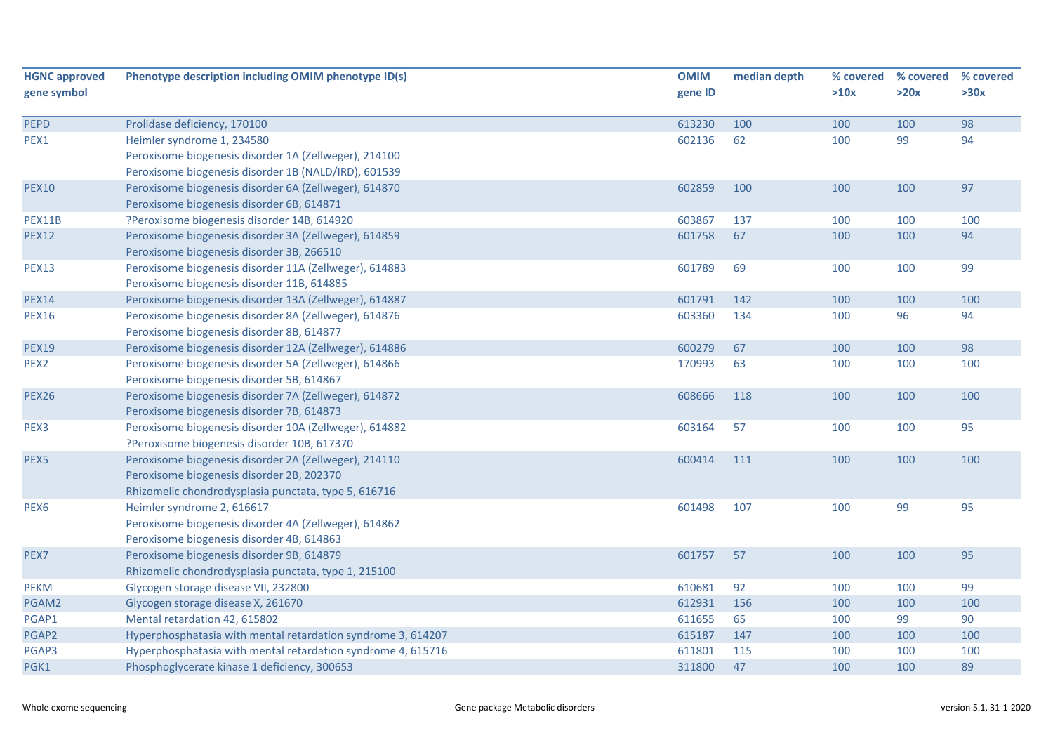| gene symbol                                                                                                                                                                                                                                       |                                                                                                                                                                                                                                                                                                                                                                                                                                                                                                                                                                                                                                                                                                                                                                                                                                                                                                                                                                                                                                                                                                                                                                                                                                                                                                                                                                                                                                                                                                                                                                                                                      |                                                                                                                                                                                  |                                                                                                                   |                                                                                                                                   | % covered<br>% covered                                                                                                         | % covered |
|---------------------------------------------------------------------------------------------------------------------------------------------------------------------------------------------------------------------------------------------------|----------------------------------------------------------------------------------------------------------------------------------------------------------------------------------------------------------------------------------------------------------------------------------------------------------------------------------------------------------------------------------------------------------------------------------------------------------------------------------------------------------------------------------------------------------------------------------------------------------------------------------------------------------------------------------------------------------------------------------------------------------------------------------------------------------------------------------------------------------------------------------------------------------------------------------------------------------------------------------------------------------------------------------------------------------------------------------------------------------------------------------------------------------------------------------------------------------------------------------------------------------------------------------------------------------------------------------------------------------------------------------------------------------------------------------------------------------------------------------------------------------------------------------------------------------------------------------------------------------------------|----------------------------------------------------------------------------------------------------------------------------------------------------------------------------------|-------------------------------------------------------------------------------------------------------------------|-----------------------------------------------------------------------------------------------------------------------------------|--------------------------------------------------------------------------------------------------------------------------------|-----------|
|                                                                                                                                                                                                                                                   |                                                                                                                                                                                                                                                                                                                                                                                                                                                                                                                                                                                                                                                                                                                                                                                                                                                                                                                                                                                                                                                                                                                                                                                                                                                                                                                                                                                                                                                                                                                                                                                                                      | gene ID                                                                                                                                                                          |                                                                                                                   | >10x                                                                                                                              | >20x                                                                                                                           | >30x      |
| <b>PEPD</b>                                                                                                                                                                                                                                       | Prolidase deficiency, 170100                                                                                                                                                                                                                                                                                                                                                                                                                                                                                                                                                                                                                                                                                                                                                                                                                                                                                                                                                                                                                                                                                                                                                                                                                                                                                                                                                                                                                                                                                                                                                                                         | 613230                                                                                                                                                                           | 100                                                                                                               | 100                                                                                                                               | 100                                                                                                                            | 98        |
| PEX1                                                                                                                                                                                                                                              | Heimler syndrome 1, 234580                                                                                                                                                                                                                                                                                                                                                                                                                                                                                                                                                                                                                                                                                                                                                                                                                                                                                                                                                                                                                                                                                                                                                                                                                                                                                                                                                                                                                                                                                                                                                                                           | 602136                                                                                                                                                                           | 62                                                                                                                | 100                                                                                                                               | 99                                                                                                                             | 94        |
|                                                                                                                                                                                                                                                   | Peroxisome biogenesis disorder 1A (Zellweger), 214100                                                                                                                                                                                                                                                                                                                                                                                                                                                                                                                                                                                                                                                                                                                                                                                                                                                                                                                                                                                                                                                                                                                                                                                                                                                                                                                                                                                                                                                                                                                                                                |                                                                                                                                                                                  |                                                                                                                   |                                                                                                                                   |                                                                                                                                |           |
|                                                                                                                                                                                                                                                   | Peroxisome biogenesis disorder 1B (NALD/IRD), 601539                                                                                                                                                                                                                                                                                                                                                                                                                                                                                                                                                                                                                                                                                                                                                                                                                                                                                                                                                                                                                                                                                                                                                                                                                                                                                                                                                                                                                                                                                                                                                                 |                                                                                                                                                                                  |                                                                                                                   |                                                                                                                                   |                                                                                                                                |           |
|                                                                                                                                                                                                                                                   |                                                                                                                                                                                                                                                                                                                                                                                                                                                                                                                                                                                                                                                                                                                                                                                                                                                                                                                                                                                                                                                                                                                                                                                                                                                                                                                                                                                                                                                                                                                                                                                                                      | 602859                                                                                                                                                                           | 100                                                                                                               |                                                                                                                                   |                                                                                                                                | 97        |
|                                                                                                                                                                                                                                                   |                                                                                                                                                                                                                                                                                                                                                                                                                                                                                                                                                                                                                                                                                                                                                                                                                                                                                                                                                                                                                                                                                                                                                                                                                                                                                                                                                                                                                                                                                                                                                                                                                      |                                                                                                                                                                                  |                                                                                                                   |                                                                                                                                   |                                                                                                                                |           |
|                                                                                                                                                                                                                                                   |                                                                                                                                                                                                                                                                                                                                                                                                                                                                                                                                                                                                                                                                                                                                                                                                                                                                                                                                                                                                                                                                                                                                                                                                                                                                                                                                                                                                                                                                                                                                                                                                                      |                                                                                                                                                                                  |                                                                                                                   |                                                                                                                                   |                                                                                                                                | 100       |
|                                                                                                                                                                                                                                                   |                                                                                                                                                                                                                                                                                                                                                                                                                                                                                                                                                                                                                                                                                                                                                                                                                                                                                                                                                                                                                                                                                                                                                                                                                                                                                                                                                                                                                                                                                                                                                                                                                      |                                                                                                                                                                                  |                                                                                                                   |                                                                                                                                   |                                                                                                                                | 94        |
|                                                                                                                                                                                                                                                   |                                                                                                                                                                                                                                                                                                                                                                                                                                                                                                                                                                                                                                                                                                                                                                                                                                                                                                                                                                                                                                                                                                                                                                                                                                                                                                                                                                                                                                                                                                                                                                                                                      |                                                                                                                                                                                  |                                                                                                                   |                                                                                                                                   |                                                                                                                                |           |
|                                                                                                                                                                                                                                                   |                                                                                                                                                                                                                                                                                                                                                                                                                                                                                                                                                                                                                                                                                                                                                                                                                                                                                                                                                                                                                                                                                                                                                                                                                                                                                                                                                                                                                                                                                                                                                                                                                      |                                                                                                                                                                                  |                                                                                                                   |                                                                                                                                   |                                                                                                                                | 99        |
|                                                                                                                                                                                                                                                   |                                                                                                                                                                                                                                                                                                                                                                                                                                                                                                                                                                                                                                                                                                                                                                                                                                                                                                                                                                                                                                                                                                                                                                                                                                                                                                                                                                                                                                                                                                                                                                                                                      |                                                                                                                                                                                  |                                                                                                                   |                                                                                                                                   |                                                                                                                                |           |
|                                                                                                                                                                                                                                                   |                                                                                                                                                                                                                                                                                                                                                                                                                                                                                                                                                                                                                                                                                                                                                                                                                                                                                                                                                                                                                                                                                                                                                                                                                                                                                                                                                                                                                                                                                                                                                                                                                      |                                                                                                                                                                                  |                                                                                                                   |                                                                                                                                   |                                                                                                                                | 100       |
|                                                                                                                                                                                                                                                   |                                                                                                                                                                                                                                                                                                                                                                                                                                                                                                                                                                                                                                                                                                                                                                                                                                                                                                                                                                                                                                                                                                                                                                                                                                                                                                                                                                                                                                                                                                                                                                                                                      |                                                                                                                                                                                  |                                                                                                                   |                                                                                                                                   |                                                                                                                                |           |
|                                                                                                                                                                                                                                                   |                                                                                                                                                                                                                                                                                                                                                                                                                                                                                                                                                                                                                                                                                                                                                                                                                                                                                                                                                                                                                                                                                                                                                                                                                                                                                                                                                                                                                                                                                                                                                                                                                      |                                                                                                                                                                                  |                                                                                                                   |                                                                                                                                   |                                                                                                                                |           |
|                                                                                                                                                                                                                                                   |                                                                                                                                                                                                                                                                                                                                                                                                                                                                                                                                                                                                                                                                                                                                                                                                                                                                                                                                                                                                                                                                                                                                                                                                                                                                                                                                                                                                                                                                                                                                                                                                                      |                                                                                                                                                                                  |                                                                                                                   |                                                                                                                                   |                                                                                                                                | 98        |
|                                                                                                                                                                                                                                                   |                                                                                                                                                                                                                                                                                                                                                                                                                                                                                                                                                                                                                                                                                                                                                                                                                                                                                                                                                                                                                                                                                                                                                                                                                                                                                                                                                                                                                                                                                                                                                                                                                      |                                                                                                                                                                                  |                                                                                                                   |                                                                                                                                   |                                                                                                                                | 100       |
|                                                                                                                                                                                                                                                   |                                                                                                                                                                                                                                                                                                                                                                                                                                                                                                                                                                                                                                                                                                                                                                                                                                                                                                                                                                                                                                                                                                                                                                                                                                                                                                                                                                                                                                                                                                                                                                                                                      |                                                                                                                                                                                  |                                                                                                                   |                                                                                                                                   |                                                                                                                                |           |
|                                                                                                                                                                                                                                                   |                                                                                                                                                                                                                                                                                                                                                                                                                                                                                                                                                                                                                                                                                                                                                                                                                                                                                                                                                                                                                                                                                                                                                                                                                                                                                                                                                                                                                                                                                                                                                                                                                      |                                                                                                                                                                                  |                                                                                                                   |                                                                                                                                   |                                                                                                                                | 100       |
|                                                                                                                                                                                                                                                   |                                                                                                                                                                                                                                                                                                                                                                                                                                                                                                                                                                                                                                                                                                                                                                                                                                                                                                                                                                                                                                                                                                                                                                                                                                                                                                                                                                                                                                                                                                                                                                                                                      |                                                                                                                                                                                  |                                                                                                                   |                                                                                                                                   |                                                                                                                                |           |
|                                                                                                                                                                                                                                                   |                                                                                                                                                                                                                                                                                                                                                                                                                                                                                                                                                                                                                                                                                                                                                                                                                                                                                                                                                                                                                                                                                                                                                                                                                                                                                                                                                                                                                                                                                                                                                                                                                      |                                                                                                                                                                                  |                                                                                                                   |                                                                                                                                   |                                                                                                                                | 95        |
|                                                                                                                                                                                                                                                   |                                                                                                                                                                                                                                                                                                                                                                                                                                                                                                                                                                                                                                                                                                                                                                                                                                                                                                                                                                                                                                                                                                                                                                                                                                                                                                                                                                                                                                                                                                                                                                                                                      |                                                                                                                                                                                  |                                                                                                                   |                                                                                                                                   |                                                                                                                                |           |
|                                                                                                                                                                                                                                                   |                                                                                                                                                                                                                                                                                                                                                                                                                                                                                                                                                                                                                                                                                                                                                                                                                                                                                                                                                                                                                                                                                                                                                                                                                                                                                                                                                                                                                                                                                                                                                                                                                      |                                                                                                                                                                                  |                                                                                                                   |                                                                                                                                   |                                                                                                                                | 100       |
|                                                                                                                                                                                                                                                   |                                                                                                                                                                                                                                                                                                                                                                                                                                                                                                                                                                                                                                                                                                                                                                                                                                                                                                                                                                                                                                                                                                                                                                                                                                                                                                                                                                                                                                                                                                                                                                                                                      |                                                                                                                                                                                  |                                                                                                                   |                                                                                                                                   |                                                                                                                                |           |
|                                                                                                                                                                                                                                                   |                                                                                                                                                                                                                                                                                                                                                                                                                                                                                                                                                                                                                                                                                                                                                                                                                                                                                                                                                                                                                                                                                                                                                                                                                                                                                                                                                                                                                                                                                                                                                                                                                      |                                                                                                                                                                                  |                                                                                                                   |                                                                                                                                   |                                                                                                                                |           |
|                                                                                                                                                                                                                                                   |                                                                                                                                                                                                                                                                                                                                                                                                                                                                                                                                                                                                                                                                                                                                                                                                                                                                                                                                                                                                                                                                                                                                                                                                                                                                                                                                                                                                                                                                                                                                                                                                                      |                                                                                                                                                                                  |                                                                                                                   |                                                                                                                                   |                                                                                                                                | 95        |
|                                                                                                                                                                                                                                                   |                                                                                                                                                                                                                                                                                                                                                                                                                                                                                                                                                                                                                                                                                                                                                                                                                                                                                                                                                                                                                                                                                                                                                                                                                                                                                                                                                                                                                                                                                                                                                                                                                      |                                                                                                                                                                                  |                                                                                                                   |                                                                                                                                   |                                                                                                                                |           |
|                                                                                                                                                                                                                                                   |                                                                                                                                                                                                                                                                                                                                                                                                                                                                                                                                                                                                                                                                                                                                                                                                                                                                                                                                                                                                                                                                                                                                                                                                                                                                                                                                                                                                                                                                                                                                                                                                                      |                                                                                                                                                                                  |                                                                                                                   |                                                                                                                                   |                                                                                                                                |           |
|                                                                                                                                                                                                                                                   |                                                                                                                                                                                                                                                                                                                                                                                                                                                                                                                                                                                                                                                                                                                                                                                                                                                                                                                                                                                                                                                                                                                                                                                                                                                                                                                                                                                                                                                                                                                                                                                                                      |                                                                                                                                                                                  |                                                                                                                   |                                                                                                                                   |                                                                                                                                | 95        |
|                                                                                                                                                                                                                                                   |                                                                                                                                                                                                                                                                                                                                                                                                                                                                                                                                                                                                                                                                                                                                                                                                                                                                                                                                                                                                                                                                                                                                                                                                                                                                                                                                                                                                                                                                                                                                                                                                                      |                                                                                                                                                                                  |                                                                                                                   |                                                                                                                                   |                                                                                                                                |           |
|                                                                                                                                                                                                                                                   |                                                                                                                                                                                                                                                                                                                                                                                                                                                                                                                                                                                                                                                                                                                                                                                                                                                                                                                                                                                                                                                                                                                                                                                                                                                                                                                                                                                                                                                                                                                                                                                                                      |                                                                                                                                                                                  |                                                                                                                   |                                                                                                                                   |                                                                                                                                | 99        |
|                                                                                                                                                                                                                                                   |                                                                                                                                                                                                                                                                                                                                                                                                                                                                                                                                                                                                                                                                                                                                                                                                                                                                                                                                                                                                                                                                                                                                                                                                                                                                                                                                                                                                                                                                                                                                                                                                                      |                                                                                                                                                                                  |                                                                                                                   |                                                                                                                                   |                                                                                                                                | 100       |
|                                                                                                                                                                                                                                                   |                                                                                                                                                                                                                                                                                                                                                                                                                                                                                                                                                                                                                                                                                                                                                                                                                                                                                                                                                                                                                                                                                                                                                                                                                                                                                                                                                                                                                                                                                                                                                                                                                      |                                                                                                                                                                                  |                                                                                                                   |                                                                                                                                   |                                                                                                                                | 90        |
|                                                                                                                                                                                                                                                   |                                                                                                                                                                                                                                                                                                                                                                                                                                                                                                                                                                                                                                                                                                                                                                                                                                                                                                                                                                                                                                                                                                                                                                                                                                                                                                                                                                                                                                                                                                                                                                                                                      |                                                                                                                                                                                  |                                                                                                                   |                                                                                                                                   |                                                                                                                                | 100       |
|                                                                                                                                                                                                                                                   |                                                                                                                                                                                                                                                                                                                                                                                                                                                                                                                                                                                                                                                                                                                                                                                                                                                                                                                                                                                                                                                                                                                                                                                                                                                                                                                                                                                                                                                                                                                                                                                                                      |                                                                                                                                                                                  |                                                                                                                   |                                                                                                                                   |                                                                                                                                | 100       |
|                                                                                                                                                                                                                                                   |                                                                                                                                                                                                                                                                                                                                                                                                                                                                                                                                                                                                                                                                                                                                                                                                                                                                                                                                                                                                                                                                                                                                                                                                                                                                                                                                                                                                                                                                                                                                                                                                                      |                                                                                                                                                                                  |                                                                                                                   |                                                                                                                                   |                                                                                                                                | 89        |
| <b>PEX10</b><br>PEX11B<br><b>PEX12</b><br><b>PEX13</b><br><b>PEX14</b><br><b>PEX16</b><br><b>PEX19</b><br>PEX <sub>2</sub><br><b>PEX26</b><br>PEX3<br>PEX5<br>PEX <sub>6</sub><br>PEX7<br><b>PFKM</b><br>PGAM2<br>PGAP1<br>PGAP2<br>PGAP3<br>PGK1 | Peroxisome biogenesis disorder 6A (Zellweger), 614870<br>Peroxisome biogenesis disorder 6B, 614871<br>?Peroxisome biogenesis disorder 14B, 614920<br>Peroxisome biogenesis disorder 3A (Zellweger), 614859<br>Peroxisome biogenesis disorder 3B, 266510<br>Peroxisome biogenesis disorder 11A (Zellweger), 614883<br>Peroxisome biogenesis disorder 11B, 614885<br>Peroxisome biogenesis disorder 13A (Zellweger), 614887<br>Peroxisome biogenesis disorder 8A (Zellweger), 614876<br>Peroxisome biogenesis disorder 8B, 614877<br>Peroxisome biogenesis disorder 12A (Zellweger), 614886<br>Peroxisome biogenesis disorder 5A (Zellweger), 614866<br>Peroxisome biogenesis disorder 5B, 614867<br>Peroxisome biogenesis disorder 7A (Zellweger), 614872<br>Peroxisome biogenesis disorder 7B, 614873<br>Peroxisome biogenesis disorder 10A (Zellweger), 614882<br>?Peroxisome biogenesis disorder 10B, 617370<br>Peroxisome biogenesis disorder 2A (Zellweger), 214110<br>Peroxisome biogenesis disorder 2B, 202370<br>Rhizomelic chondrodysplasia punctata, type 5, 616716<br>Heimler syndrome 2, 616617<br>Peroxisome biogenesis disorder 4A (Zellweger), 614862<br>Peroxisome biogenesis disorder 4B, 614863<br>Peroxisome biogenesis disorder 9B, 614879<br>Rhizomelic chondrodysplasia punctata, type 1, 215100<br>Glycogen storage disease VII, 232800<br>Glycogen storage disease X, 261670<br>Mental retardation 42, 615802<br>Hyperphosphatasia with mental retardation syndrome 3, 614207<br>Hyperphosphatasia with mental retardation syndrome 4, 615716<br>Phosphoglycerate kinase 1 deficiency, 300653 | 603867<br>601758<br>601789<br>601791<br>603360<br>600279<br>170993<br>608666<br>603164<br>600414<br>601498<br>601757<br>610681<br>612931<br>611655<br>615187<br>611801<br>311800 | 137<br>67<br>69<br>142<br>134<br>67<br>63<br>118<br>57<br>111<br>107<br>57<br>92<br>156<br>65<br>147<br>115<br>47 | 100<br>100<br>100<br>100<br>100<br>100<br>100<br>100<br>100<br>100<br>100<br>100<br>100<br>100<br>100<br>100<br>100<br>100<br>100 | 100<br>100<br>100<br>100<br>100<br>96<br>100<br>100<br>100<br>100<br>100<br>99<br>100<br>100<br>100<br>99<br>100<br>100<br>100 | 94        |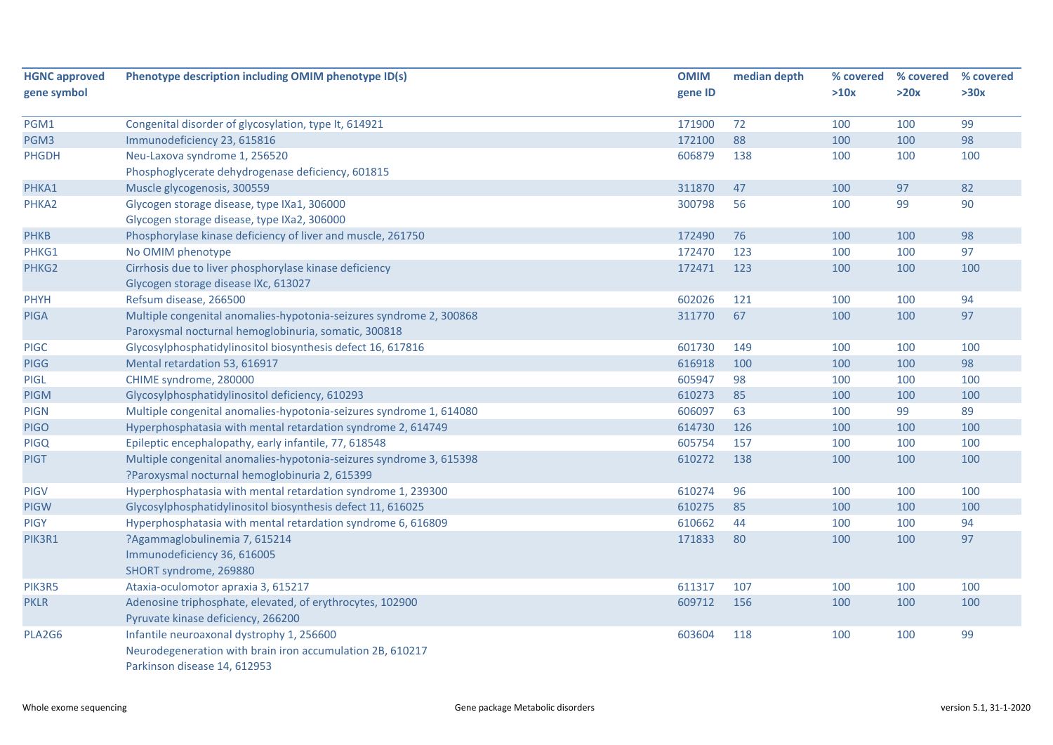| <b>HGNC approved</b> | Phenotype description including OMIM phenotype ID(s)                | <b>OMIM</b> | median depth | % covered | % covered | % covered |
|----------------------|---------------------------------------------------------------------|-------------|--------------|-----------|-----------|-----------|
| gene symbol          |                                                                     | gene ID     |              | >10x      | >20x      | >30x      |
| PGM1                 | Congenital disorder of glycosylation, type It, 614921               | 171900      | 72           | 100       | 100       | 99        |
| PGM3                 | Immunodeficiency 23, 615816                                         | 172100      | 88           | 100       | 100       | 98        |
| <b>PHGDH</b>         | Neu-Laxova syndrome 1, 256520                                       | 606879      | 138          | 100       | 100       | 100       |
|                      | Phosphoglycerate dehydrogenase deficiency, 601815                   |             |              |           |           |           |
| PHKA1                | Muscle glycogenosis, 300559                                         | 311870      | 47           | 100       | 97        | 82        |
| PHKA2                | Glycogen storage disease, type IXa1, 306000                         | 300798      | 56           | 100       | 99        | 90        |
|                      | Glycogen storage disease, type IXa2, 306000                         |             |              |           |           |           |
| <b>PHKB</b>          | Phosphorylase kinase deficiency of liver and muscle, 261750         | 172490      | 76           | 100       | 100       | 98        |
| PHKG1                | No OMIM phenotype                                                   | 172470      | 123          | 100       | 100       | 97        |
| PHKG2                | Cirrhosis due to liver phosphorylase kinase deficiency              | 172471      | 123          | 100       | 100       | 100       |
|                      | Glycogen storage disease IXc, 613027                                |             |              |           |           |           |
| <b>PHYH</b>          | Refsum disease, 266500                                              | 602026      | 121          | 100       | 100       | 94        |
| <b>PIGA</b>          | Multiple congenital anomalies-hypotonia-seizures syndrome 2, 300868 | 311770      | 67           | 100       | 100       | 97        |
|                      | Paroxysmal nocturnal hemoglobinuria, somatic, 300818                |             |              |           |           |           |
| <b>PIGC</b>          | Glycosylphosphatidylinositol biosynthesis defect 16, 617816         | 601730      | 149          | 100       | 100       | 100       |
| <b>PIGG</b>          | Mental retardation 53, 616917                                       | 616918      | 100          | 100       | 100       | 98        |
| <b>PIGL</b>          | CHIME syndrome, 280000                                              | 605947      | 98           | 100       | 100       | 100       |
| <b>PIGM</b>          | Glycosylphosphatidylinositol deficiency, 610293                     | 610273      | 85           | 100       | 100       | 100       |
| <b>PIGN</b>          | Multiple congenital anomalies-hypotonia-seizures syndrome 1, 614080 | 606097      | 63           | 100       | 99        | 89        |
| <b>PIGO</b>          | Hyperphosphatasia with mental retardation syndrome 2, 614749        | 614730      | 126          | 100       | 100       | 100       |
| <b>PIGQ</b>          | Epileptic encephalopathy, early infantile, 77, 618548               | 605754      | 157          | 100       | 100       | 100       |
| <b>PIGT</b>          | Multiple congenital anomalies-hypotonia-seizures syndrome 3, 615398 | 610272      | 138          | 100       | 100       | 100       |
|                      | ?Paroxysmal nocturnal hemoglobinuria 2, 615399                      |             |              |           |           |           |
| <b>PIGV</b>          | Hyperphosphatasia with mental retardation syndrome 1, 239300        | 610274      | 96           | 100       | 100       | 100       |
| <b>PIGW</b>          | Glycosylphosphatidylinositol biosynthesis defect 11, 616025         | 610275      | 85           | 100       | 100       | 100       |
| <b>PIGY</b>          | Hyperphosphatasia with mental retardation syndrome 6, 616809        | 610662      | 44           | 100       | 100       | 94        |
| PIK3R1               | ?Agammaglobulinemia 7, 615214                                       | 171833      | 80           | 100       | 100       | 97        |
|                      | Immunodeficiency 36, 616005                                         |             |              |           |           |           |
|                      | SHORT syndrome, 269880                                              |             |              |           |           |           |
| PIK3R5               | Ataxia-oculomotor apraxia 3, 615217                                 | 611317      | 107          | 100       | 100       | 100       |
| <b>PKLR</b>          | Adenosine triphosphate, elevated, of erythrocytes, 102900           | 609712      | 156          | 100       | 100       | 100       |
|                      | Pyruvate kinase deficiency, 266200                                  |             |              |           |           |           |
| PLA2G6               | Infantile neuroaxonal dystrophy 1, 256600                           | 603604      | 118          | 100       | 100       | 99        |
|                      | Neurodegeneration with brain iron accumulation 2B, 610217           |             |              |           |           |           |
|                      | Parkinson disease 14, 612953                                        |             |              |           |           |           |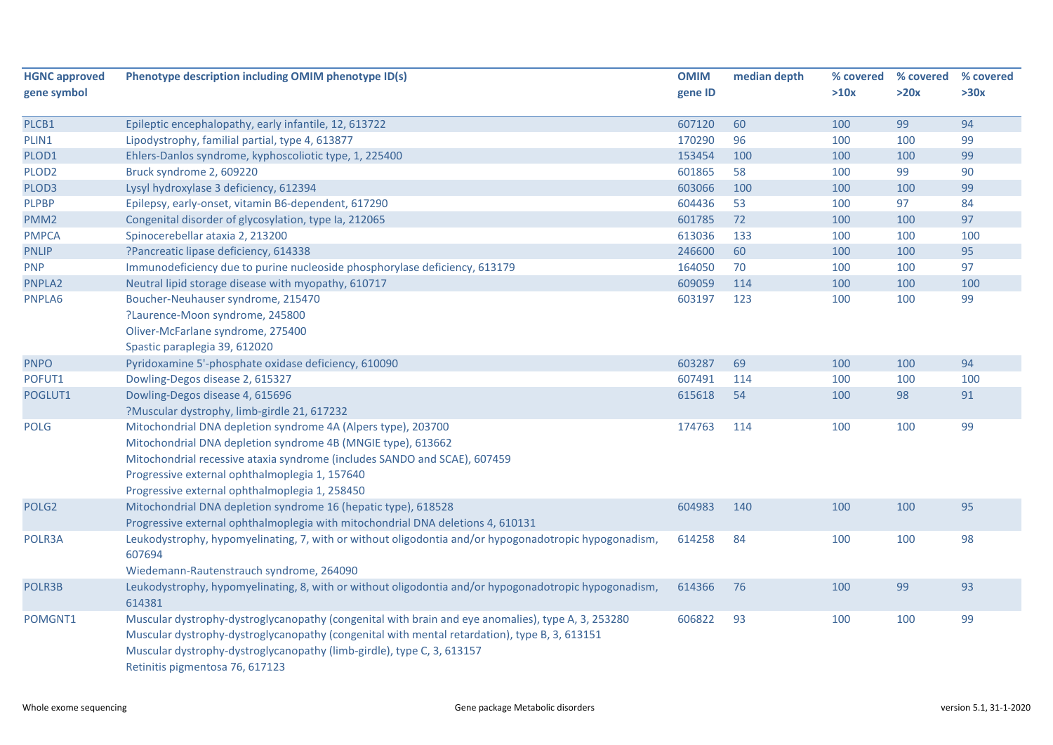| <b>HGNC approved</b> | Phenotype description including OMIM phenotype ID(s)                                                  | <b>OMIM</b> | median depth | % covered | % covered | % covered |
|----------------------|-------------------------------------------------------------------------------------------------------|-------------|--------------|-----------|-----------|-----------|
| gene symbol          |                                                                                                       | gene ID     |              | >10x      | >20x      | >30x      |
| PLCB1                | Epileptic encephalopathy, early infantile, 12, 613722                                                 | 607120      | 60           | 100       | 99        | 94        |
| PLIN1                | Lipodystrophy, familial partial, type 4, 613877                                                       | 170290      | 96           | 100       | 100       | 99        |
| PLOD1                | Ehlers-Danlos syndrome, kyphoscoliotic type, 1, 225400                                                | 153454      | 100          | 100       | 100       | 99        |
| PLOD <sub>2</sub>    | Bruck syndrome 2, 609220                                                                              | 601865      | 58           | 100       | 99        | 90        |
| PLOD3                | Lysyl hydroxylase 3 deficiency, 612394                                                                | 603066      | 100          | 100       | 100       | 99        |
| <b>PLPBP</b>         | Epilepsy, early-onset, vitamin B6-dependent, 617290                                                   | 604436      | 53           | 100       | 97        | 84        |
| PMM <sub>2</sub>     | Congenital disorder of glycosylation, type Ia, 212065                                                 | 601785      | 72           | 100       | 100       | 97        |
| <b>PMPCA</b>         | Spinocerebellar ataxia 2, 213200                                                                      | 613036      | 133          | 100       | 100       | 100       |
| <b>PNLIP</b>         | ?Pancreatic lipase deficiency, 614338                                                                 | 246600      | 60           | 100       | 100       | 95        |
| <b>PNP</b>           | Immunodeficiency due to purine nucleoside phosphorylase deficiency, 613179                            | 164050      | 70           | 100       | 100       | 97        |
| PNPLA2               | Neutral lipid storage disease with myopathy, 610717                                                   | 609059      | 114          | 100       | 100       | 100       |
| PNPLA6               | Boucher-Neuhauser syndrome, 215470                                                                    | 603197      | 123          | 100       | 100       | 99        |
|                      | ?Laurence-Moon syndrome, 245800                                                                       |             |              |           |           |           |
|                      | Oliver-McFarlane syndrome, 275400                                                                     |             |              |           |           |           |
|                      | Spastic paraplegia 39, 612020                                                                         |             |              |           |           |           |
| <b>PNPO</b>          | Pyridoxamine 5'-phosphate oxidase deficiency, 610090                                                  | 603287      | 69           | 100       | 100       | 94        |
| POFUT1               | Dowling-Degos disease 2, 615327                                                                       | 607491      | 114          | 100       | 100       | 100       |
| POGLUT1              | Dowling-Degos disease 4, 615696                                                                       | 615618      | 54           | 100       | 98        | 91        |
|                      | ?Muscular dystrophy, limb-girdle 21, 617232                                                           |             |              |           |           |           |
| <b>POLG</b>          | Mitochondrial DNA depletion syndrome 4A (Alpers type), 203700                                         | 174763      | 114          | 100       | 100       | 99        |
|                      | Mitochondrial DNA depletion syndrome 4B (MNGIE type), 613662                                          |             |              |           |           |           |
|                      | Mitochondrial recessive ataxia syndrome (includes SANDO and SCAE), 607459                             |             |              |           |           |           |
|                      | Progressive external ophthalmoplegia 1, 157640                                                        |             |              |           |           |           |
|                      | Progressive external ophthalmoplegia 1, 258450                                                        |             |              |           |           |           |
| POLG <sub>2</sub>    | Mitochondrial DNA depletion syndrome 16 (hepatic type), 618528                                        | 604983      | 140          | 100       | 100       | 95        |
|                      | Progressive external ophthalmoplegia with mitochondrial DNA deletions 4, 610131                       |             |              |           |           |           |
| POLR3A               | Leukodystrophy, hypomyelinating, 7, with or without oligodontia and/or hypogonadotropic hypogonadism, | 614258      | 84           | 100       | 100       | 98        |
|                      | 607694                                                                                                |             |              |           |           |           |
|                      | Wiedemann-Rautenstrauch syndrome, 264090                                                              |             |              |           |           |           |
| POLR3B               | Leukodystrophy, hypomyelinating, 8, with or without oligodontia and/or hypogonadotropic hypogonadism, | 614366      | 76           | 100       | 99        | 93        |
|                      | 614381                                                                                                |             |              |           |           |           |
| POMGNT1              | Muscular dystrophy-dystroglycanopathy (congenital with brain and eye anomalies), type A, 3, 253280    | 606822      | 93           | 100       | 100       | 99        |
|                      | Muscular dystrophy-dystroglycanopathy (congenital with mental retardation), type B, 3, 613151         |             |              |           |           |           |
|                      | Muscular dystrophy-dystroglycanopathy (limb-girdle), type C, 3, 613157                                |             |              |           |           |           |
|                      | Retinitis pigmentosa 76, 617123                                                                       |             |              |           |           |           |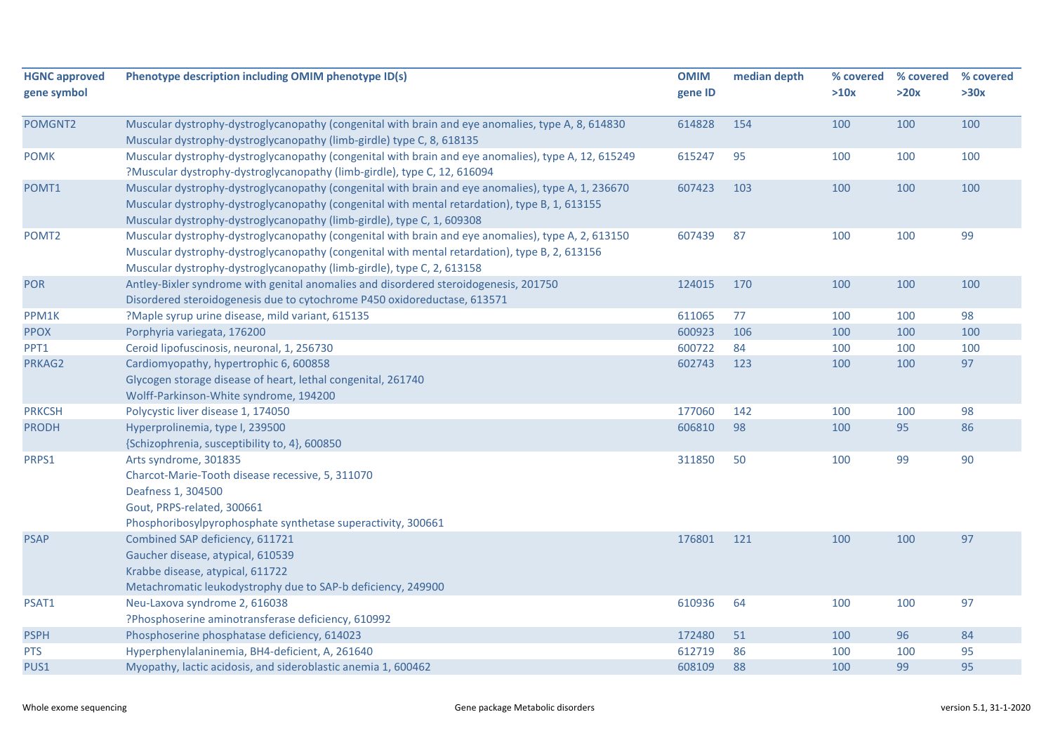| <b>HGNC approved</b><br>gene symbol | Phenotype description including OMIM phenotype ID(s)                                                                                                                                                                                                                          | <b>OMIM</b><br>gene ID | median depth | % covered<br>>10x | % covered<br>>20x | % covered<br>>30x |
|-------------------------------------|-------------------------------------------------------------------------------------------------------------------------------------------------------------------------------------------------------------------------------------------------------------------------------|------------------------|--------------|-------------------|-------------------|-------------------|
| POMGNT2                             | Muscular dystrophy-dystroglycanopathy (congenital with brain and eye anomalies, type A, 8, 614830                                                                                                                                                                             | 614828                 | 154          | 100               | 100               | 100               |
|                                     | Muscular dystrophy-dystroglycanopathy (limb-girdle) type C, 8, 618135                                                                                                                                                                                                         |                        |              |                   |                   |                   |
| <b>POMK</b>                         | Muscular dystrophy-dystroglycanopathy (congenital with brain and eye anomalies), type A, 12, 615249<br>?Muscular dystrophy-dystroglycanopathy (limb-girdle), type C, 12, 616094                                                                                               | 615247                 | 95           | 100               | 100               | 100               |
| POMT1                               | Muscular dystrophy-dystroglycanopathy (congenital with brain and eye anomalies), type A, 1, 236670<br>Muscular dystrophy-dystroglycanopathy (congenital with mental retardation), type B, 1, 613155<br>Muscular dystrophy-dystroglycanopathy (limb-girdle), type C, 1, 609308 | 607423                 | 103          | 100               | 100               | 100               |
| POMT <sub>2</sub>                   | Muscular dystrophy-dystroglycanopathy (congenital with brain and eye anomalies), type A, 2, 613150<br>Muscular dystrophy-dystroglycanopathy (congenital with mental retardation), type B, 2, 613156<br>Muscular dystrophy-dystroglycanopathy (limb-girdle), type C, 2, 613158 | 607439                 | 87           | 100               | 100               | 99                |
| <b>POR</b>                          | Antley-Bixler syndrome with genital anomalies and disordered steroidogenesis, 201750<br>Disordered steroidogenesis due to cytochrome P450 oxidoreductase, 613571                                                                                                              | 124015                 | 170          | 100               | 100               | 100               |
| PPM1K                               | ?Maple syrup urine disease, mild variant, 615135                                                                                                                                                                                                                              | 611065                 | 77           | 100               | 100               | 98                |
| <b>PPOX</b>                         | Porphyria variegata, 176200                                                                                                                                                                                                                                                   | 600923                 | 106          | 100               | 100               | 100               |
| PPT1                                | Ceroid lipofuscinosis, neuronal, 1, 256730                                                                                                                                                                                                                                    | 600722                 | 84           | 100               | 100               | 100               |
| PRKAG2                              | Cardiomyopathy, hypertrophic 6, 600858<br>Glycogen storage disease of heart, lethal congenital, 261740<br>Wolff-Parkinson-White syndrome, 194200                                                                                                                              | 602743                 | 123          | 100               | 100               | 97                |
| <b>PRKCSH</b>                       | Polycystic liver disease 1, 174050                                                                                                                                                                                                                                            | 177060                 | 142          | 100               | 100               | 98                |
| <b>PRODH</b>                        | Hyperprolinemia, type I, 239500<br>{Schizophrenia, susceptibility to, 4}, 600850                                                                                                                                                                                              | 606810                 | 98           | 100               | 95                | 86                |
| PRPS1                               | Arts syndrome, 301835<br>Charcot-Marie-Tooth disease recessive, 5, 311070<br>Deafness 1, 304500<br>Gout, PRPS-related, 300661<br>Phosphoribosylpyrophosphate synthetase superactivity, 300661                                                                                 | 311850                 | 50           | 100               | 99                | 90                |
| <b>PSAP</b>                         | Combined SAP deficiency, 611721<br>Gaucher disease, atypical, 610539<br>Krabbe disease, atypical, 611722<br>Metachromatic leukodystrophy due to SAP-b deficiency, 249900                                                                                                      | 176801                 | 121          | 100               | 100               | 97                |
| PSAT1                               | Neu-Laxova syndrome 2, 616038<br>?Phosphoserine aminotransferase deficiency, 610992                                                                                                                                                                                           | 610936                 | 64           | 100               | 100               | 97                |
| <b>PSPH</b>                         | Phosphoserine phosphatase deficiency, 614023                                                                                                                                                                                                                                  | 172480                 | 51           | 100               | 96                | 84                |
| <b>PTS</b>                          | Hyperphenylalaninemia, BH4-deficient, A, 261640                                                                                                                                                                                                                               | 612719                 | 86           | 100               | 100               | 95                |
| PUS1                                | Myopathy, lactic acidosis, and sideroblastic anemia 1, 600462                                                                                                                                                                                                                 | 608109                 | 88           | 100               | 99                | 95                |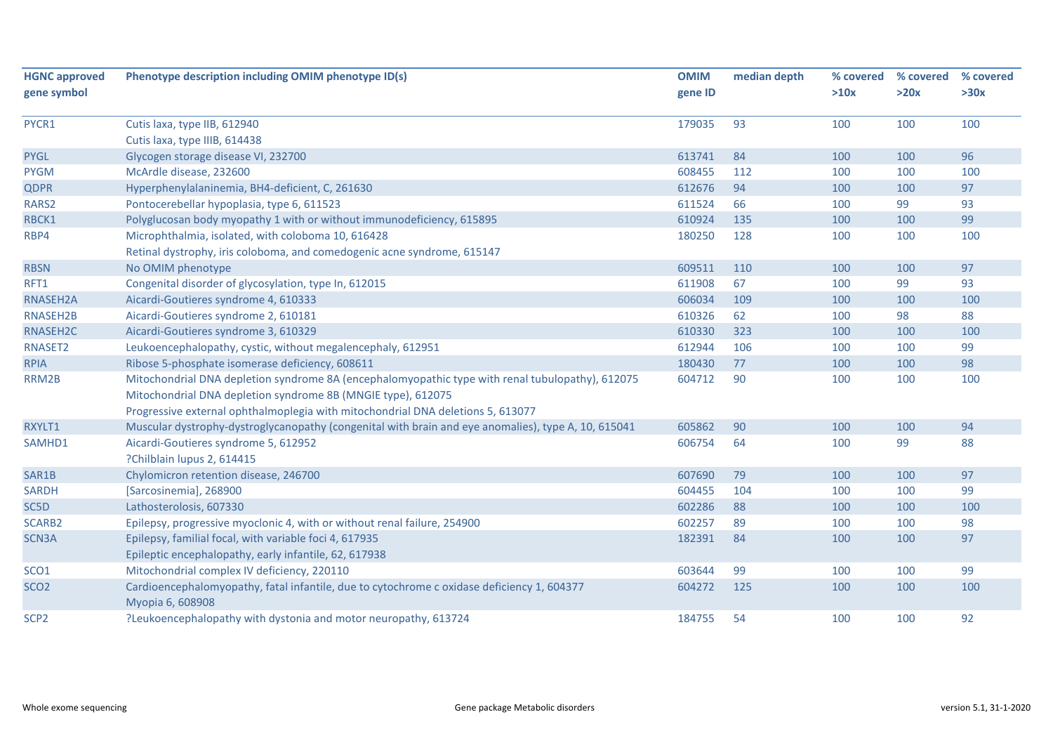| <b>HGNC approved</b><br>gene symbol | Phenotype description including OMIM phenotype ID(s)                                                           | <b>OMIM</b><br>gene ID | median depth | % covered<br>>10x | % covered<br>>20x | % covered<br>>30x |
|-------------------------------------|----------------------------------------------------------------------------------------------------------------|------------------------|--------------|-------------------|-------------------|-------------------|
|                                     |                                                                                                                |                        |              |                   |                   |                   |
| PYCR1                               | Cutis laxa, type IIB, 612940                                                                                   | 179035                 | 93           | 100               | 100               | 100               |
|                                     | Cutis laxa, type IIIB, 614438                                                                                  |                        |              |                   |                   |                   |
| <b>PYGL</b>                         | Glycogen storage disease VI, 232700                                                                            | 613741                 | 84           | 100               | 100               | 96                |
| <b>PYGM</b>                         | McArdle disease, 232600                                                                                        | 608455                 | 112          | 100               | 100               | 100               |
| <b>QDPR</b>                         | Hyperphenylalaninemia, BH4-deficient, C, 261630                                                                | 612676                 | 94           | 100               | 100               | 97                |
| RARS2                               | Pontocerebellar hypoplasia, type 6, 611523                                                                     | 611524                 | 66           | 100               | 99                | 93                |
| RBCK1                               | Polyglucosan body myopathy 1 with or without immunodeficiency, 615895                                          | 610924                 | 135          | 100               | 100               | 99                |
| RBP4                                | Microphthalmia, isolated, with coloboma 10, 616428                                                             | 180250                 | 128          | 100               | 100               | 100               |
|                                     | Retinal dystrophy, iris coloboma, and comedogenic acne syndrome, 615147                                        |                        |              |                   |                   |                   |
| <b>RBSN</b>                         | No OMIM phenotype                                                                                              | 609511                 | 110          | 100               | 100               | 97                |
| RFT1                                | Congenital disorder of glycosylation, type In, 612015                                                          | 611908                 | 67           | 100               | 99                | 93                |
| <b>RNASEH2A</b>                     | Aicardi-Goutieres syndrome 4, 610333                                                                           | 606034                 | 109          | 100               | 100               | 100               |
| RNASEH2B                            | Aicardi-Goutieres syndrome 2, 610181                                                                           | 610326                 | 62           | 100               | 98                | 88                |
| RNASEH2C                            | Aicardi-Goutieres syndrome 3, 610329                                                                           | 610330                 | 323          | 100               | 100               | 100               |
| RNASET2                             | Leukoencephalopathy, cystic, without megalencephaly, 612951                                                    | 612944                 | 106          | 100               | 100               | 99                |
| <b>RPIA</b>                         | Ribose 5-phosphate isomerase deficiency, 608611                                                                | 180430                 | 77           | 100               | 100               | 98                |
| RRM2B                               | Mitochondrial DNA depletion syndrome 8A (encephalomyopathic type with renal tubulopathy), 612075               | 604712                 | 90           | 100               | 100               | 100               |
|                                     | Mitochondrial DNA depletion syndrome 8B (MNGIE type), 612075                                                   |                        |              |                   |                   |                   |
|                                     | Progressive external ophthalmoplegia with mitochondrial DNA deletions 5, 613077                                |                        |              |                   |                   |                   |
| RXYLT1                              | Muscular dystrophy-dystroglycanopathy (congenital with brain and eye anomalies), type A, 10, 615041            | 605862                 | 90           | 100               | 100               | 94                |
| SAMHD1                              | Aicardi-Goutieres syndrome 5, 612952                                                                           | 606754                 | 64           | 100               | 99                | 88                |
|                                     | ?Chilblain lupus 2, 614415                                                                                     |                        |              |                   |                   |                   |
| SAR1B                               | Chylomicron retention disease, 246700                                                                          | 607690                 | 79           | 100               | 100               | 97                |
| <b>SARDH</b>                        | [Sarcosinemia], 268900                                                                                         | 604455                 | 104          | 100               | 100               | 99                |
| SC <sub>5</sub> D                   | Lathosterolosis, 607330                                                                                        | 602286                 | 88           | 100               | 100               | 100               |
| <b>SCARB2</b>                       | Epilepsy, progressive myoclonic 4, with or without renal failure, 254900                                       | 602257                 | 89           | 100               | 100               | 98                |
| SCN3A                               | Epilepsy, familial focal, with variable foci 4, 617935                                                         | 182391                 | 84           | 100               | 100               | 97                |
|                                     | Epileptic encephalopathy, early infantile, 62, 617938                                                          |                        |              |                   |                   |                   |
| SCO <sub>1</sub>                    | Mitochondrial complex IV deficiency, 220110                                                                    | 603644                 | 99           | 100               | 100               | 99                |
| SCO <sub>2</sub>                    | Cardioencephalomyopathy, fatal infantile, due to cytochrome c oxidase deficiency 1, 604377<br>Myopia 6, 608908 | 604272                 | 125          | 100               | 100               | 100               |
| SCP <sub>2</sub>                    | ?Leukoencephalopathy with dystonia and motor neuropathy, 613724                                                | 184755                 | 54           | 100               | 100               | 92                |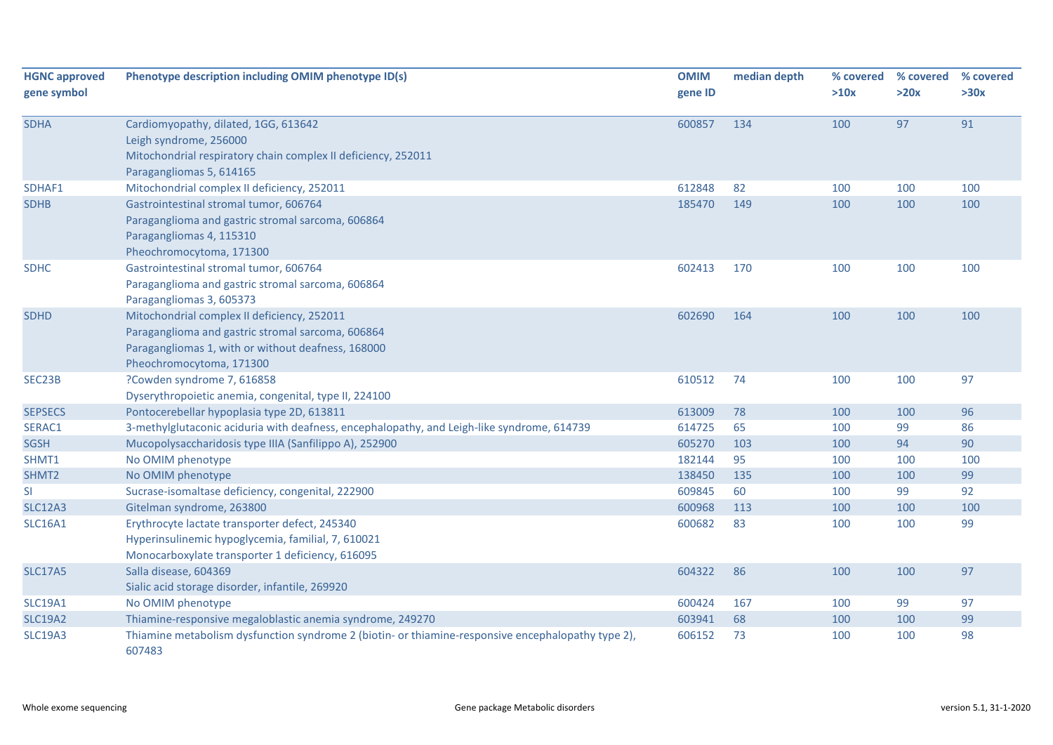| <b>HGNC approved</b> | Phenotype description including OMIM phenotype ID(s)                                                         | <b>OMIM</b> | median depth | % covered | % covered | % covered |
|----------------------|--------------------------------------------------------------------------------------------------------------|-------------|--------------|-----------|-----------|-----------|
| gene symbol          |                                                                                                              | gene ID     |              | >10x      | >20x      | >30x      |
| <b>SDHA</b>          | Cardiomyopathy, dilated, 1GG, 613642                                                                         | 600857      | 134          | 100       | 97        | 91        |
|                      | Leigh syndrome, 256000                                                                                       |             |              |           |           |           |
|                      | Mitochondrial respiratory chain complex II deficiency, 252011                                                |             |              |           |           |           |
|                      | Paragangliomas 5, 614165                                                                                     |             |              |           |           |           |
| SDHAF1               | Mitochondrial complex II deficiency, 252011                                                                  | 612848      | 82           | 100       | 100       | 100       |
| <b>SDHB</b>          | Gastrointestinal stromal tumor, 606764                                                                       | 185470      | 149          | 100       | 100       | 100       |
|                      | Paraganglioma and gastric stromal sarcoma, 606864                                                            |             |              |           |           |           |
|                      | Paragangliomas 4, 115310                                                                                     |             |              |           |           |           |
|                      | Pheochromocytoma, 171300                                                                                     |             |              |           |           |           |
| <b>SDHC</b>          | Gastrointestinal stromal tumor, 606764                                                                       | 602413      | 170          | 100       | 100       | 100       |
|                      | Paraganglioma and gastric stromal sarcoma, 606864                                                            |             |              |           |           |           |
|                      | Paragangliomas 3, 605373                                                                                     |             |              |           |           |           |
| <b>SDHD</b>          | Mitochondrial complex II deficiency, 252011                                                                  | 602690      | 164          | 100       | 100       | 100       |
|                      | Paraganglioma and gastric stromal sarcoma, 606864                                                            |             |              |           |           |           |
|                      | Paragangliomas 1, with or without deafness, 168000                                                           |             |              |           |           |           |
|                      | Pheochromocytoma, 171300                                                                                     |             |              |           |           |           |
| SEC23B               | ?Cowden syndrome 7, 616858                                                                                   | 610512      | 74           | 100       | 100       | 97        |
|                      | Dyserythropoietic anemia, congenital, type II, 224100                                                        |             |              |           |           |           |
| <b>SEPSECS</b>       | Pontocerebellar hypoplasia type 2D, 613811                                                                   | 613009      | 78           | 100       | 100       | 96        |
| SERAC1               | 3-methylglutaconic aciduria with deafness, encephalopathy, and Leigh-like syndrome, 614739                   | 614725      | 65           | 100       | 99        | 86        |
| <b>SGSH</b>          | Mucopolysaccharidosis type IIIA (Sanfilippo A), 252900                                                       | 605270      | 103          | 100       | 94        | 90        |
| SHMT1                | No OMIM phenotype                                                                                            | 182144      | 95           | 100       | 100       | 100       |
| SHMT2                | No OMIM phenotype                                                                                            | 138450      | 135          | 100       | 100       | 99        |
| <b>SI</b>            | Sucrase-isomaltase deficiency, congenital, 222900                                                            | 609845      | 60           | 100       | 99        | 92        |
| <b>SLC12A3</b>       | Gitelman syndrome, 263800                                                                                    | 600968      | 113          | 100       | 100       | 100       |
| <b>SLC16A1</b>       | Erythrocyte lactate transporter defect, 245340                                                               | 600682      | 83           | 100       | 100       | 99        |
|                      | Hyperinsulinemic hypoglycemia, familial, 7, 610021                                                           |             |              |           |           |           |
|                      | Monocarboxylate transporter 1 deficiency, 616095                                                             |             |              |           |           |           |
| <b>SLC17A5</b>       | Salla disease, 604369                                                                                        | 604322      | 86           | 100       | 100       | 97        |
|                      | Sialic acid storage disorder, infantile, 269920                                                              |             |              |           |           |           |
| <b>SLC19A1</b>       | No OMIM phenotype                                                                                            | 600424      | 167          | 100       | 99        | 97        |
| <b>SLC19A2</b>       | Thiamine-responsive megaloblastic anemia syndrome, 249270                                                    | 603941      | 68           | 100       | 100       | 99        |
| <b>SLC19A3</b>       | Thiamine metabolism dysfunction syndrome 2 (biotin- or thiamine-responsive encephalopathy type 2),<br>607483 | 606152      | 73           | 100       | 100       | 98        |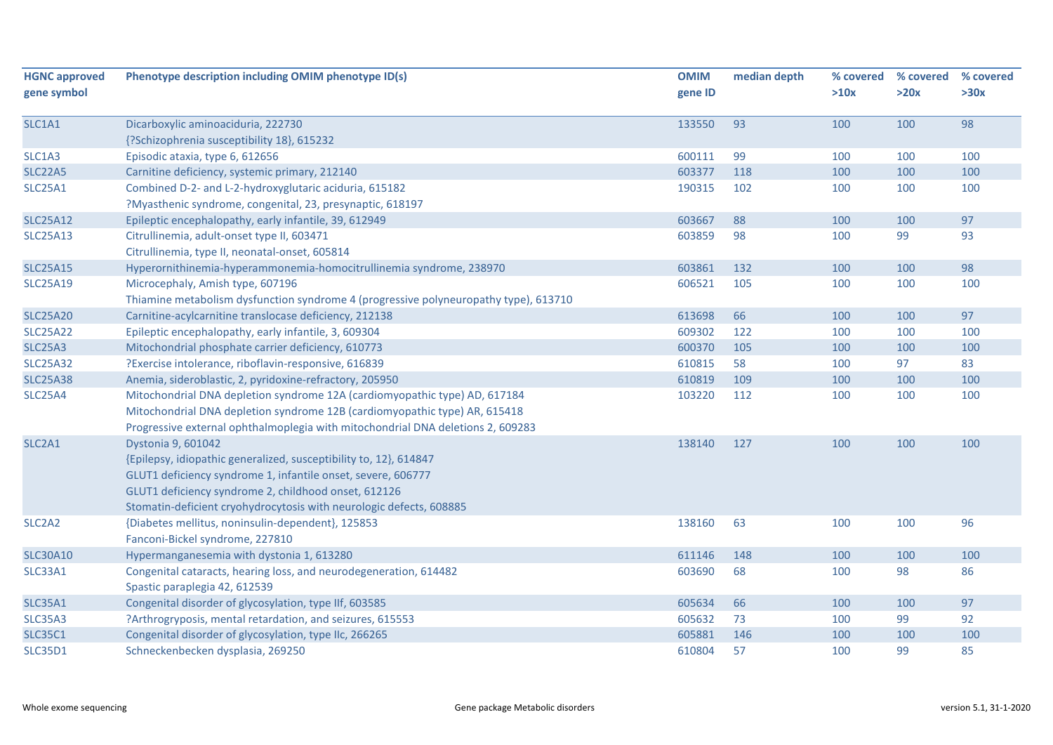| <b>HGNC approved</b><br>gene symbol | Phenotype description including OMIM phenotype ID(s)                                 | <b>OMIM</b><br>gene ID | median depth | % covered<br>>10x | % covered<br>>20x | % covered<br>>30x |
|-------------------------------------|--------------------------------------------------------------------------------------|------------------------|--------------|-------------------|-------------------|-------------------|
|                                     |                                                                                      |                        |              |                   |                   |                   |
| SLC1A1                              | Dicarboxylic aminoaciduria, 222730                                                   | 133550                 | 93           | 100               | 100               | 98                |
|                                     | {?Schizophrenia susceptibility 18}, 615232                                           |                        |              |                   |                   |                   |
| SLC1A3                              | Episodic ataxia, type 6, 612656                                                      | 600111                 | 99           | 100               | 100               | 100               |
| <b>SLC22A5</b>                      | Carnitine deficiency, systemic primary, 212140                                       | 603377                 | 118          | 100               | 100               | 100               |
| <b>SLC25A1</b>                      | Combined D-2- and L-2-hydroxyglutaric aciduria, 615182                               | 190315                 | 102          | 100               | 100               | 100               |
|                                     | ?Myasthenic syndrome, congenital, 23, presynaptic, 618197                            |                        |              |                   |                   |                   |
| <b>SLC25A12</b>                     | Epileptic encephalopathy, early infantile, 39, 612949                                | 603667                 | 88           | 100               | 100               | 97                |
| <b>SLC25A13</b>                     | Citrullinemia, adult-onset type II, 603471                                           | 603859                 | 98           | 100               | 99                | 93                |
|                                     | Citrullinemia, type II, neonatal-onset, 605814                                       |                        |              |                   |                   |                   |
| <b>SLC25A15</b>                     | Hyperornithinemia-hyperammonemia-homocitrullinemia syndrome, 238970                  | 603861                 | 132          | 100               | 100               | 98                |
| <b>SLC25A19</b>                     | Microcephaly, Amish type, 607196                                                     | 606521                 | 105          | 100               | 100               | 100               |
|                                     | Thiamine metabolism dysfunction syndrome 4 (progressive polyneuropathy type), 613710 |                        |              |                   |                   |                   |
| <b>SLC25A20</b>                     | Carnitine-acylcarnitine translocase deficiency, 212138                               | 613698                 | 66           | 100               | 100               | 97                |
| <b>SLC25A22</b>                     | Epileptic encephalopathy, early infantile, 3, 609304                                 | 609302                 | 122          | 100               | 100               | 100               |
| <b>SLC25A3</b>                      | Mitochondrial phosphate carrier deficiency, 610773                                   | 600370                 | 105          | 100               | 100               | 100               |
| <b>SLC25A32</b>                     | ?Exercise intolerance, riboflavin-responsive, 616839                                 | 610815                 | 58           | 100               | 97                | 83                |
| <b>SLC25A38</b>                     | Anemia, sideroblastic, 2, pyridoxine-refractory, 205950                              | 610819                 | 109          | 100               | 100               | 100               |
| <b>SLC25A4</b>                      | Mitochondrial DNA depletion syndrome 12A (cardiomyopathic type) AD, 617184           | 103220                 | 112          | 100               | 100               | 100               |
|                                     | Mitochondrial DNA depletion syndrome 12B (cardiomyopathic type) AR, 615418           |                        |              |                   |                   |                   |
|                                     | Progressive external ophthalmoplegia with mitochondrial DNA deletions 2, 609283      |                        |              |                   |                   |                   |
| SLC <sub>2</sub> A <sub>1</sub>     | Dystonia 9, 601042                                                                   | 138140                 | 127          | 100               | 100               | 100               |
|                                     | {Epilepsy, idiopathic generalized, susceptibility to, 12}, 614847                    |                        |              |                   |                   |                   |
|                                     | GLUT1 deficiency syndrome 1, infantile onset, severe, 606777                         |                        |              |                   |                   |                   |
|                                     | GLUT1 deficiency syndrome 2, childhood onset, 612126                                 |                        |              |                   |                   |                   |
|                                     | Stomatin-deficient cryohydrocytosis with neurologic defects, 608885                  |                        |              |                   |                   |                   |
| SLC <sub>2</sub> A <sub>2</sub>     | {Diabetes mellitus, noninsulin-dependent}, 125853                                    | 138160                 | 63           | 100               | 100               | 96                |
|                                     | Fanconi-Bickel syndrome, 227810                                                      |                        |              |                   |                   |                   |
| <b>SLC30A10</b>                     | Hypermanganesemia with dystonia 1, 613280                                            | 611146                 | 148          | 100               | 100               | 100               |
| <b>SLC33A1</b>                      | Congenital cataracts, hearing loss, and neurodegeneration, 614482                    | 603690                 | 68           | 100               | 98                | 86                |
|                                     | Spastic paraplegia 42, 612539                                                        |                        |              |                   |                   |                   |
| <b>SLC35A1</b>                      | Congenital disorder of glycosylation, type IIf, 603585                               | 605634                 | 66           | 100               | 100               | 97                |
| <b>SLC35A3</b>                      | ?Arthrogryposis, mental retardation, and seizures, 615553                            | 605632                 | 73           | 100               | 99                | 92                |
| <b>SLC35C1</b>                      | Congenital disorder of glycosylation, type IIc, 266265                               | 605881                 | 146          | 100               | 100               | 100               |
| <b>SLC35D1</b>                      | Schneckenbecken dysplasia, 269250                                                    | 610804                 | 57           | 100               | 99                | 85                |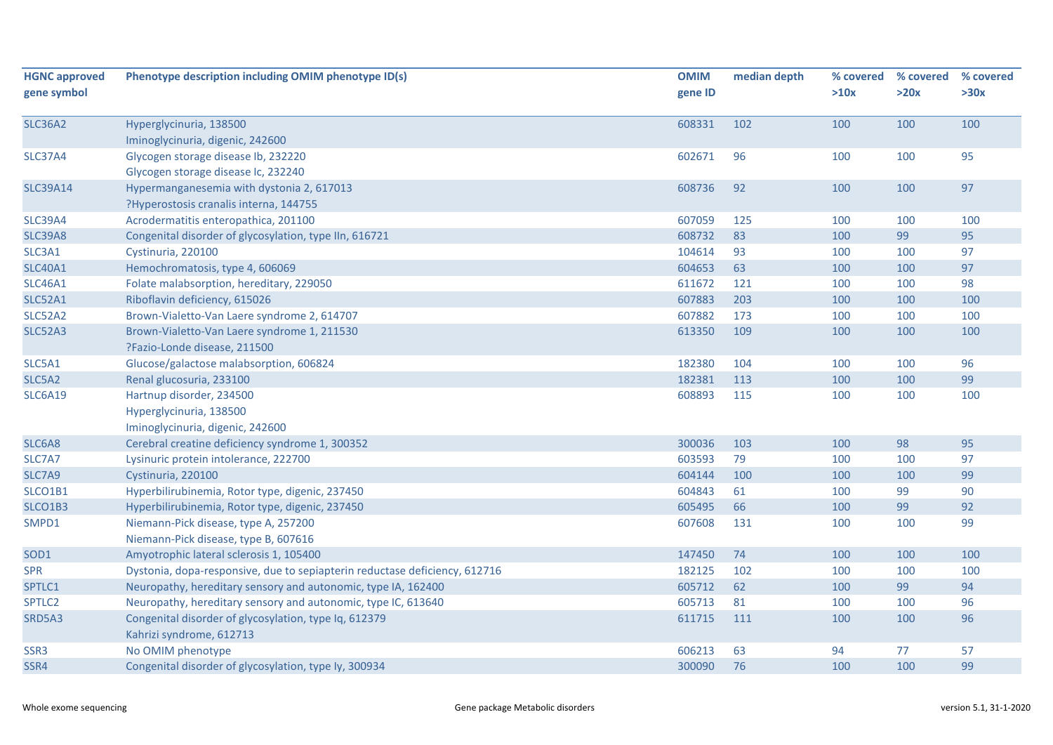| <b>HGNC approved</b> | Phenotype description including OMIM phenotype ID(s)                       | <b>OMIM</b> | median depth | % covered | % covered | % covered |
|----------------------|----------------------------------------------------------------------------|-------------|--------------|-----------|-----------|-----------|
| gene symbol          |                                                                            | gene ID     |              | >10x      | >20x      | >30x      |
| <b>SLC36A2</b>       | Hyperglycinuria, 138500                                                    | 608331      | 102          | 100       | 100       | 100       |
|                      | Iminoglycinuria, digenic, 242600                                           |             |              |           |           |           |
| <b>SLC37A4</b>       | Glycogen storage disease Ib, 232220                                        | 602671      | 96           | 100       | 100       | 95        |
|                      | Glycogen storage disease Ic, 232240                                        |             |              |           |           |           |
| <b>SLC39A14</b>      | Hypermanganesemia with dystonia 2, 617013                                  | 608736      | 92           | 100       | 100       | 97        |
|                      | ?Hyperostosis cranalis interna, 144755                                     |             |              |           |           |           |
| <b>SLC39A4</b>       | Acrodermatitis enteropathica, 201100                                       | 607059      | 125          | 100       | 100       | 100       |
| <b>SLC39A8</b>       | Congenital disorder of glycosylation, type IIn, 616721                     | 608732      | 83           | 100       | 99        | 95        |
| SLC3A1               | Cystinuria, 220100                                                         | 104614      | 93           | 100       | 100       | 97        |
| <b>SLC40A1</b>       | Hemochromatosis, type 4, 606069                                            | 604653      | 63           | 100       | 100       | 97        |
| <b>SLC46A1</b>       | Folate malabsorption, hereditary, 229050                                   | 611672      | 121          | 100       | 100       | 98        |
| <b>SLC52A1</b>       | Riboflavin deficiency, 615026                                              | 607883      | 203          | 100       | 100       | 100       |
| SLC52A2              | Brown-Vialetto-Van Laere syndrome 2, 614707                                | 607882      | 173          | 100       | 100       | 100       |
| <b>SLC52A3</b>       | Brown-Vialetto-Van Laere syndrome 1, 211530                                | 613350      | 109          | 100       | 100       | 100       |
|                      | ?Fazio-Londe disease, 211500                                               |             |              |           |           |           |
| SLC5A1               | Glucose/galactose malabsorption, 606824                                    | 182380      | 104          | 100       | 100       | 96        |
| SLC5A2               | Renal glucosuria, 233100                                                   | 182381      | 113          | 100       | 100       | 99        |
| <b>SLC6A19</b>       | Hartnup disorder, 234500                                                   | 608893      | 115          | 100       | 100       | 100       |
|                      | Hyperglycinuria, 138500                                                    |             |              |           |           |           |
|                      | Iminoglycinuria, digenic, 242600                                           |             |              |           |           |           |
| SLC6A8               | Cerebral creatine deficiency syndrome 1, 300352                            | 300036      | 103          | 100       | 98        | 95        |
| SLC7A7               | Lysinuric protein intolerance, 222700                                      | 603593      | 79           | 100       | 100       | 97        |
| SLC7A9               | Cystinuria, 220100                                                         | 604144      | 100          | 100       | 100       | 99        |
| SLCO1B1              | Hyperbilirubinemia, Rotor type, digenic, 237450                            | 604843      | 61           | 100       | 99        | 90        |
| SLCO1B3              | Hyperbilirubinemia, Rotor type, digenic, 237450                            | 605495      | 66           | 100       | 99        | 92        |
| SMPD1                | Niemann-Pick disease, type A, 257200                                       | 607608      | 131          | 100       | 100       | 99        |
|                      | Niemann-Pick disease, type B, 607616                                       |             |              |           |           |           |
| SOD1                 | Amyotrophic lateral sclerosis 1, 105400                                    | 147450      | 74           | 100       | 100       | 100       |
| <b>SPR</b>           | Dystonia, dopa-responsive, due to sepiapterin reductase deficiency, 612716 | 182125      | 102          | 100       | 100       | 100       |
| SPTLC1               | Neuropathy, hereditary sensory and autonomic, type IA, 162400              | 605712      | 62           | 100       | 99        | 94        |
| SPTLC <sub>2</sub>   | Neuropathy, hereditary sensory and autonomic, type IC, 613640              | 605713      | 81           | 100       | 100       | 96        |
| SRD5A3               | Congenital disorder of glycosylation, type Iq, 612379                      | 611715      | 111          | 100       | 100       | 96        |
|                      | Kahrizi syndrome, 612713                                                   |             |              |           |           |           |
| SSR3                 | No OMIM phenotype                                                          | 606213      | 63           | 94        | 77        | 57        |
| SSR4                 | Congenital disorder of glycosylation, type ly, 300934                      | 300090      | 76           | 100       | 100       | 99        |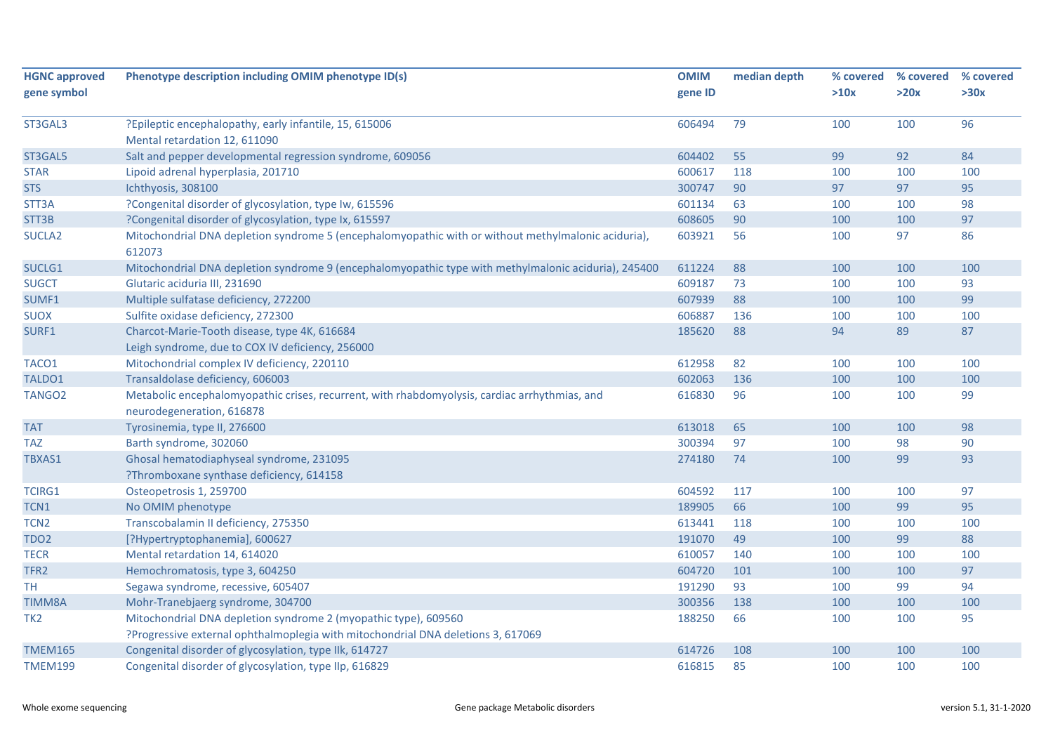| <b>HGNC approved</b> | Phenotype description including OMIM phenotype ID(s)                                                          | <b>OMIM</b> | median depth | % covered | % covered | % covered |
|----------------------|---------------------------------------------------------------------------------------------------------------|-------------|--------------|-----------|-----------|-----------|
| gene symbol          |                                                                                                               | gene ID     |              | >10x      | >20x      | >30x      |
| ST3GAL3              | ?Epileptic encephalopathy, early infantile, 15, 615006                                                        | 606494      | 79           | 100       | 100       | 96        |
|                      | Mental retardation 12, 611090                                                                                 |             |              |           |           |           |
| ST3GAL5              | Salt and pepper developmental regression syndrome, 609056                                                     | 604402      | 55           | 99        | 92        | 84        |
| <b>STAR</b>          | Lipoid adrenal hyperplasia, 201710                                                                            | 600617      | 118          | 100       | 100       | 100       |
| <b>STS</b>           | Ichthyosis, 308100                                                                                            | 300747      | 90           | 97        | 97        | 95        |
| STT3A                | ?Congenital disorder of glycosylation, type Iw, 615596                                                        | 601134      | 63           | 100       | 100       | 98        |
| STT3B                | ?Congenital disorder of glycosylation, type Ix, 615597                                                        | 608605      | 90           | 100       | 100       | 97        |
| SUCLA <sub>2</sub>   | Mitochondrial DNA depletion syndrome 5 (encephalomyopathic with or without methylmalonic aciduria),<br>612073 | 603921      | 56           | 100       | 97        | 86        |
| SUCLG1               | Mitochondrial DNA depletion syndrome 9 (encephalomyopathic type with methylmalonic aciduria), 245400          | 611224      | 88           | 100       | 100       | 100       |
| <b>SUGCT</b>         | Glutaric aciduria III, 231690                                                                                 | 609187      | 73           | 100       | 100       | 93        |
| SUMF1                | Multiple sulfatase deficiency, 272200                                                                         | 607939      | 88           | 100       | 100       | 99        |
| <b>SUOX</b>          | Sulfite oxidase deficiency, 272300                                                                            | 606887      | 136          | 100       | 100       | 100       |
| SURF1                | Charcot-Marie-Tooth disease, type 4K, 616684                                                                  | 185620      | 88           | 94        | 89        | 87        |
|                      | Leigh syndrome, due to COX IV deficiency, 256000                                                              |             |              |           |           |           |
| TACO1                | Mitochondrial complex IV deficiency, 220110                                                                   | 612958      | 82           | 100       | 100       | 100       |
| TALDO1               | Transaldolase deficiency, 606003                                                                              | 602063      | 136          | 100       | 100       | 100       |
| TANGO <sub>2</sub>   | Metabolic encephalomyopathic crises, recurrent, with rhabdomyolysis, cardiac arrhythmias, and                 | 616830      | 96           | 100       | 100       | 99        |
|                      | neurodegeneration, 616878                                                                                     |             |              |           |           |           |
| <b>TAT</b>           | Tyrosinemia, type II, 276600                                                                                  | 613018      | 65           | 100       | 100       | 98        |
| <b>TAZ</b>           | Barth syndrome, 302060                                                                                        | 300394      | 97           | 100       | 98        | 90        |
| TBXAS1               | Ghosal hematodiaphyseal syndrome, 231095                                                                      | 274180      | 74           | 100       | 99        | 93        |
|                      | ?Thromboxane synthase deficiency, 614158                                                                      |             |              |           |           |           |
| <b>TCIRG1</b>        | Osteopetrosis 1, 259700                                                                                       | 604592      | 117          | 100       | 100       | 97        |
| TCN1                 | No OMIM phenotype                                                                                             | 189905      | 66           | 100       | 99        | 95        |
| TCN <sub>2</sub>     | Transcobalamin II deficiency, 275350                                                                          | 613441      | 118          | 100       | 100       | 100       |
| TDO <sub>2</sub>     | [?Hypertryptophanemia], 600627                                                                                | 191070      | 49           | 100       | 99        | 88        |
| <b>TECR</b>          | Mental retardation 14, 614020                                                                                 | 610057      | 140          | 100       | 100       | 100       |
| TFR2                 | Hemochromatosis, type 3, 604250                                                                               | 604720      | 101          | 100       | 100       | 97        |
| <b>TH</b>            | Segawa syndrome, recessive, 605407                                                                            | 191290      | 93           | 100       | 99        | 94        |
| <b>TIMM8A</b>        | Mohr-Tranebjaerg syndrome, 304700                                                                             | 300356      | 138          | 100       | 100       | 100       |
| TK <sub>2</sub>      | Mitochondrial DNA depletion syndrome 2 (myopathic type), 609560                                               | 188250      | 66           | 100       | 100       | 95        |
|                      | ?Progressive external ophthalmoplegia with mitochondrial DNA deletions 3, 617069                              |             |              |           |           |           |
| <b>TMEM165</b>       | Congenital disorder of glycosylation, type Ilk, 614727                                                        | 614726      | 108          | 100       | 100       | 100       |
| <b>TMEM199</b>       | Congenital disorder of glycosylation, type IIp, 616829                                                        | 616815      | 85           | 100       | 100       | 100       |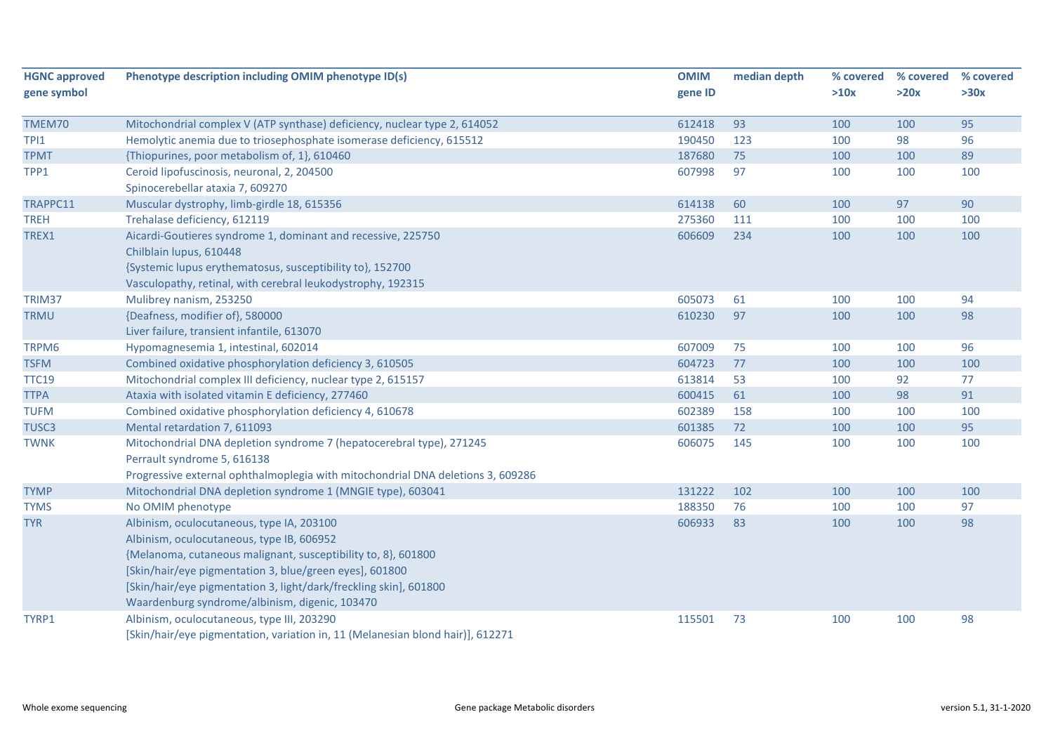| <b>HGNC approved</b><br>gene symbol | Phenotype description including OMIM phenotype ID(s)                            | <b>OMIM</b><br>gene ID | median depth | % covered<br>>10x | % covered<br>>20x | % covered<br>>30x |
|-------------------------------------|---------------------------------------------------------------------------------|------------------------|--------------|-------------------|-------------------|-------------------|
| TMEM70                              | Mitochondrial complex V (ATP synthase) deficiency, nuclear type 2, 614052       | 612418                 | 93           | 100               | 100               | 95                |
| TPI1                                | Hemolytic anemia due to triosephosphate isomerase deficiency, 615512            | 190450                 | 123          | 100               | 98                | 96                |
| <b>TPMT</b>                         | {Thiopurines, poor metabolism of, 1}, 610460                                    | 187680                 | 75           | 100               | 100               | 89                |
| TPP1                                | Ceroid lipofuscinosis, neuronal, 2, 204500                                      | 607998                 | 97           | 100               | 100               | 100               |
|                                     | Spinocerebellar ataxia 7, 609270                                                |                        |              |                   |                   |                   |
| TRAPPC11                            | Muscular dystrophy, limb-girdle 18, 615356                                      | 614138                 | 60           | 100               | 97                | 90                |
| <b>TREH</b>                         | Trehalase deficiency, 612119                                                    | 275360                 | 111          | 100               | 100               | 100               |
| TREX1                               | Aicardi-Goutieres syndrome 1, dominant and recessive, 225750                    | 606609                 | 234          | 100               | 100               | 100               |
|                                     | Chilblain lupus, 610448                                                         |                        |              |                   |                   |                   |
|                                     | {Systemic lupus erythematosus, susceptibility to}, 152700                       |                        |              |                   |                   |                   |
|                                     | Vasculopathy, retinal, with cerebral leukodystrophy, 192315                     |                        |              |                   |                   |                   |
| TRIM37                              | Mulibrey nanism, 253250                                                         | 605073                 | 61           | 100               | 100               | 94                |
| <b>TRMU</b>                         | {Deafness, modifier of}, 580000                                                 | 610230                 | 97           | 100               | 100               | 98                |
|                                     | Liver failure, transient infantile, 613070                                      |                        |              |                   |                   |                   |
| TRPM6                               | Hypomagnesemia 1, intestinal, 602014                                            | 607009                 | 75           | 100               | 100               | 96                |
| <b>TSFM</b>                         | Combined oxidative phosphorylation deficiency 3, 610505                         | 604723                 | 77           | 100               | 100               | 100               |
| <b>TTC19</b>                        | Mitochondrial complex III deficiency, nuclear type 2, 615157                    | 613814                 | 53           | 100               | 92                | 77                |
| <b>TTPA</b>                         | Ataxia with isolated vitamin E deficiency, 277460                               | 600415                 | 61           | 100               | 98                | 91                |
| <b>TUFM</b>                         | Combined oxidative phosphorylation deficiency 4, 610678                         | 602389                 | 158          | 100               | 100               | 100               |
| TUSC <sub>3</sub>                   | Mental retardation 7, 611093                                                    | 601385                 | 72           | 100               | 100               | 95                |
| <b>TWNK</b>                         | Mitochondrial DNA depletion syndrome 7 (hepatocerebral type), 271245            | 606075                 | 145          | 100               | 100               | 100               |
|                                     | Perrault syndrome 5, 616138                                                     |                        |              |                   |                   |                   |
|                                     | Progressive external ophthalmoplegia with mitochondrial DNA deletions 3, 609286 |                        |              |                   |                   |                   |
| <b>TYMP</b>                         | Mitochondrial DNA depletion syndrome 1 (MNGIE type), 603041                     | 131222                 | 102          | 100               | 100               | 100               |
| <b>TYMS</b>                         | No OMIM phenotype                                                               | 188350                 | 76           | 100               | 100               | 97                |
| <b>TYR</b>                          | Albinism, oculocutaneous, type IA, 203100                                       | 606933                 | 83           | 100               | 100               | 98                |
|                                     | Albinism, oculocutaneous, type IB, 606952                                       |                        |              |                   |                   |                   |
|                                     | {Melanoma, cutaneous malignant, susceptibility to, 8}, 601800                   |                        |              |                   |                   |                   |
|                                     | [Skin/hair/eye pigmentation 3, blue/green eyes], 601800                         |                        |              |                   |                   |                   |
|                                     | [Skin/hair/eye pigmentation 3, light/dark/freckling skin], 601800               |                        |              |                   |                   |                   |
|                                     | Waardenburg syndrome/albinism, digenic, 103470                                  |                        |              |                   |                   |                   |
| TYRP1                               | Albinism, oculocutaneous, type III, 203290                                      | 115501                 | 73           | 100               | 100               | 98                |
|                                     | [Skin/hair/eye pigmentation, variation in, 11 (Melanesian blond hair)], 612271  |                        |              |                   |                   |                   |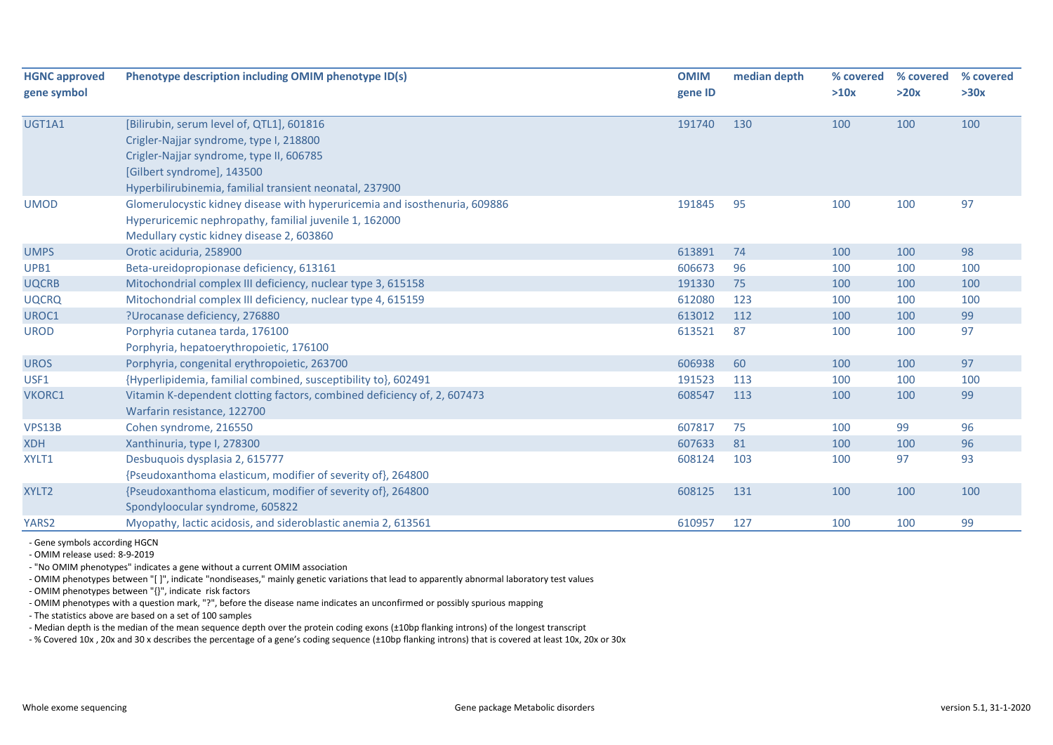| <b>HGNC approved</b> | Phenotype description including OMIM phenotype ID(s)                       | <b>OMIM</b> | median depth | % covered | % covered | % covered |
|----------------------|----------------------------------------------------------------------------|-------------|--------------|-----------|-----------|-----------|
| gene symbol          |                                                                            | gene ID     |              | >10x      | >20x      | >30x      |
| UGT1A1               | [Bilirubin, serum level of, QTL1], 601816                                  | 191740      | 130          | 100       | 100       | 100       |
|                      | Crigler-Najjar syndrome, type I, 218800                                    |             |              |           |           |           |
|                      | Crigler-Najjar syndrome, type II, 606785                                   |             |              |           |           |           |
|                      | [Gilbert syndrome], 143500                                                 |             |              |           |           |           |
|                      | Hyperbilirubinemia, familial transient neonatal, 237900                    |             |              |           |           |           |
| <b>UMOD</b>          | Glomerulocystic kidney disease with hyperuricemia and isosthenuria, 609886 | 191845      | 95           | 100       | 100       | 97        |
|                      | Hyperuricemic nephropathy, familial juvenile 1, 162000                     |             |              |           |           |           |
|                      | Medullary cystic kidney disease 2, 603860                                  |             |              |           |           |           |
| <b>UMPS</b>          | Orotic aciduria, 258900                                                    | 613891      | 74           | 100       | 100       | 98        |
| UPB1                 | Beta-ureidopropionase deficiency, 613161                                   | 606673      | 96           | 100       | 100       | 100       |
| <b>UQCRB</b>         | Mitochondrial complex III deficiency, nuclear type 3, 615158               | 191330      | 75           | 100       | 100       | 100       |
| <b>UQCRQ</b>         | Mitochondrial complex III deficiency, nuclear type 4, 615159               | 612080      | 123          | 100       | 100       | 100       |
| UROC1                | ?Urocanase deficiency, 276880                                              | 613012      | 112          | 100       | 100       | 99        |
| <b>UROD</b>          | Porphyria cutanea tarda, 176100                                            | 613521      | 87           | 100       | 100       | 97        |
|                      | Porphyria, hepatoerythropoietic, 176100                                    |             |              |           |           |           |
| <b>UROS</b>          | Porphyria, congenital erythropoietic, 263700                               | 606938      | 60           | 100       | 100       | 97        |
| USF1                 | {Hyperlipidemia, familial combined, susceptibility to}, 602491             | 191523      | 113          | 100       | 100       | 100       |
| VKORC1               | Vitamin K-dependent clotting factors, combined deficiency of, 2, 607473    | 608547      | 113          | 100       | 100       | 99        |
|                      | Warfarin resistance, 122700                                                |             |              |           |           |           |
| VPS13B               | Cohen syndrome, 216550                                                     | 607817      | 75           | 100       | 99        | 96        |
| <b>XDH</b>           | Xanthinuria, type I, 278300                                                | 607633      | 81           | 100       | 100       | 96        |
| XYLT1                | Desbuquois dysplasia 2, 615777                                             | 608124      | 103          | 100       | 97        | 93        |
|                      | {Pseudoxanthoma elasticum, modifier of severity of}, 264800                |             |              |           |           |           |
| XYLT2                | {Pseudoxanthoma elasticum, modifier of severity of}, 264800                | 608125      | 131          | 100       | 100       | 100       |
|                      | Spondyloocular syndrome, 605822                                            |             |              |           |           |           |
| YARS2                | Myopathy, lactic acidosis, and sideroblastic anemia 2, 613561              | 610957      | 127          | 100       | 100       | 99        |

- Gene symbols according HGCN

- OMIM release used: 8-9-2019

- "No OMIM phenotypes" indicates a gene without a current OMIM association

- OMIM phenotypes between "[ ]", indicate "nondiseases," mainly genetic variations that lead to apparently abnormal laboratory test values

- OMIM phenotypes between "{}", indicate risk factors

- OMIM phenotypes with a question mark, "?", before the disease name indicates an unconfirmed or possibly spurious mapping

- The statistics above are based on a set of 100 samples

- Median depth is the median of the mean sequence depth over the protein coding exons (±10bp flanking introns) of the longest transcript

- % Covered 10x , 20x and 30 x describes the percentage of a gene's coding sequence (±10bp flanking introns) that is covered at least 10x, 20x or 30x